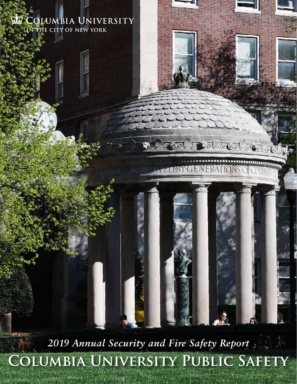*2019 Annual Security and Fire Safety Report* **Columbia University Public Safety**

 $\sigma$  and  $\sigma$ 

PBYGENERATIONS

COLUMBIA UNIVERSITY

IN THE CITY OF NEW YORK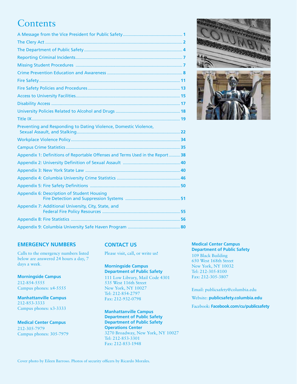# **Contents**

| Preventing and Responding to Dating Violence, Domestic Violence,                |  |
|---------------------------------------------------------------------------------|--|
|                                                                                 |  |
|                                                                                 |  |
| Appendix 1: Definitions of Reportable Offenses and Terms Used in the Report  38 |  |
|                                                                                 |  |
|                                                                                 |  |
|                                                                                 |  |
|                                                                                 |  |
| <b>Appendix 6: Description of Student Housing</b>                               |  |
| Appendix 7: Additional University, City, State, and                             |  |
|                                                                                 |  |
|                                                                                 |  |
|                                                                                 |  |





# **EMERGENCY NUMBERS**

Calls to the emergency numbers listed below are answered 24 hours a day, 7 days a week.

**Morningside Campus** 212-854-5555 Campus phones: x4-5555

**Manhattanville Campus** 212-853-3333 Campus phones: x3-3333

**Medical Center Campus** 212-305-7979 Campus phones: 305-7979

# **CONTACT US**

Please visit, call, or write us!

# **Morningside Campus Department of Public Safety** 111 Low Library, Mail Code 4301

535 West 116th Street New York, NY 10027 Tel: 212-854-2797 Fax: 212-932-0798

**Manhattanville Campus Department of Public Safety Department of Public Safety Operations Center** 3270 Broadway, New York, NY 10027 Tel: 212-853-3301 Fax: 212-853-1948

# **Medical Center Campus Department of Public Safety**

109 Black Building 650 West 168th Street New York, NY 10032 Tel: 212-305-8100 Fax: 212-305-3807

Email: publicsafety@columbia.edu

Website: **publicsafety.columbia.edu**

Facebook: **Facebook.com/cu/publicsafety**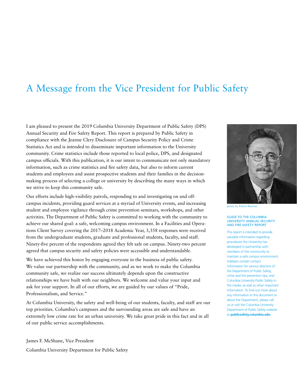# A Message from the Vice President for Public Safety

I am pleased to present the 2019 Columbia University Department of Public Safety (DPS) Annual Security and Fire Safety Report. This report is prepared by Public Safety in compliance with the Jeanne Clery Disclosure of Campus Security Policy and Crime Statistics Act and is intended to disseminate important information to the University community. Crime statistics include those reported to local police, DPS, and designated campus officials. With this publication, it is our intent to communicate not only mandatory information, such as crime statistics and fire safety data, but also to inform current students and employees and assist prospective students and their families in the decisionmaking process of selecting a college or university by describing the many ways in which we strive to keep this community safe.

Our efforts include high-visibility patrols, responding to and investigating on and offcampus incidents, providing guard services at a myriad of University events, and increasing student and employee vigilance through crime prevention seminars, workshops, and other activities. The Department of Public Safety is committed to working with the community to achieve our shared goal: a safe, welcoming campus environment. In a Facilities and Operations Client Survey covering the 2017–2018 Academic Year, 3,358 responses were received from the undergraduate students, graduate and professional students, faculty, and staff. Ninety-five percent of the respondents agreed they felt safe on campus. Ninety-two percent agreed that campus security and safety policies were accessible and understandable.

We have achieved this honor by engaging everyone in the business of public safety. We value our partnership with the community, and as we work to make the Columbia community safe, we realize our success ultimately depends upon the constructive relationships we have built with our neighbors. We welcome and value your input and ask for your support. In all of our efforts, we are guided by our values of "Pride, Professionalism, and Service."

At Columbia University, the safety and well-being of our students, faculty, and staff are our top priorities. Columbia's campuses and the surrounding areas are safe and have an extremely low crime rate for an urban university. We take great pride in this fact and in all of our public service accomplishments.

James F. McShane, Vice President Columbia University Department for Public Safety



photo by Eileen Barroso

#### GUIDE TO THE COLUMBIA UNIVERSITY ANNUAL SECURITY AND FIRE SAFETY REPORT

This report is intended to provide valuable information regarding procedures the University has developed in partnership with members of the community to maintain a safe campus environment. Sidebars contain contact information for various directors of the Department of Public Safety, crime and fire prevention tips, and Columbia University Public Safety in the media, as well as other important information. To find out more about any information in this document or about the Department, please call us or visit the Columbia University Department of Public Safety website at **publicsafety.columbia.edu**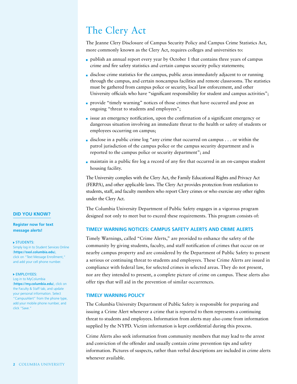# The Clery Act

The Jeanne Clery Disclosure of Campus Security Policy and Campus Crime Statistics Act, more commonly known as the Clery Act, requires colleges and universities to:

- publish an annual report every year by October 1 that contains three years of campus crime and fire safety statistics and certain campus security policy statements;
- disclose crime statistics for the campus, public areas immediately adjacent to or running through the campus, and certain noncampus facilities and remote classrooms. The statistics must be gathered from campus police or security, local law enforcement, and other University officials who have "significant responsibility for student and campus activities";
- provide "timely warning" notices of those crimes that have occurred and pose an ongoing "threat to students and employees";
- $\blacksquare$  issue an emergency notification, upon the confirmation of a significant emergency or dangerous situation involving an immediate threat to the health or safety of students or employees occurring on campus;
- disclose in a public crime log "any crime that occurred on campus . . . or within the patrol jurisdiction of the campus police or the campus security department and is reported to the campus police or security department"; and
- maintain in a public fire log a record of any fire that occurred in an on-campus student housing facility.

The University complies with the Clery Act, the Family Educational Rights and Privacy Act (FERPA), and other applicable laws. The Clery Act provides protection from retaliation to students, staff, and faculty members who report Clery crimes or who exercise any other rights under the Clery Act.

The Columbia University Department of Public Safety engages in a vigorous program designed not only to meet but to exceed these requirements. This program consists of:

# **TIMELY WARNING NOTICES: CAMPUS SAFETY ALERTS AND CRIME ALERTS**

Timely Warnings, called "Crime Alerts," are provided to enhance the safety of the community by giving students, faculty, and staff notification of crimes that occur on or nearby campus property and are considered by the Department of Public Safety to present a serious or continuing threat to students and employees. These Crime Alerts are issued in compliance with federal law, for selected crimes in selected areas. They do not present, nor are they intended to present, a complete picture of crime on campus. These alerts also offer tips that will aid in the prevention of similar occurrences.

## **TIMELY WARNING POLICY**

The Columbia University Department of Public Safety is responsible for preparing and issuing a Crime Alert whenever a crime that is reported to them represents a continuing threat to students and employees. Information from alerts may also come from information supplied by the NYPD. Victim information is kept confidential during this process.

Crime Alerts also seek information from community members that may lead to the arrest and conviction of the offender and usually contain crime prevention tips and safety information. Pictures of suspects, rather than verbal descriptions are included in crime alerts whenever available.

# **DID YOU KNOW?**

**Register now for text message alerts!**

### **STUDENTS:**

Simply log in to Student Services Online (**https://ssol.columbia.edu**), click on "Text Message Enrollment," and add your cell phone number.

#### **EMPLOYEES:**

Log in to MyColumbia (**https://my.columbia.edu**), click on the Faculty & Staff tab, and update your personal information. Select "CampusAlert" from the phone type, add your mobile phone number, and click "Save."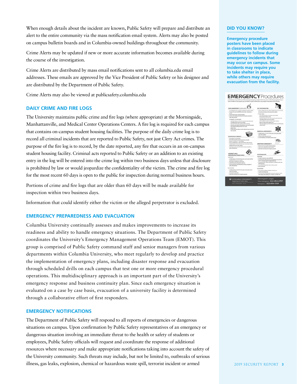When enough details about the incident are known, Public Safety will prepare and distribute an alert to the entire community via the mass notification email system. Alerts may also be posted on campus bulletin boards and in Columbia-owned buildings throughout the community.

Crime Alerts may be updated if new or more accurate information becomes available during the course of the investigation.

Crime Alerts are distributed by mass email notifications sent to all columbia.edu email addresses. These emails are approved by the Vice President of Public Safety or his designee and are distributed by the Department of Public Safety.

Crime Alerts may also be viewed at publicsafety.columbia.edu

# **DAILY CRIME AND FIRE LOGS**

The University maintains public crime and fire logs (where appropriate) at the Morningside, Manhattanville, and Medical Center Operations Centers. A fire log is required for each campus that contains on-campus student housing facilities. The purpose of the daily crime log is to record all criminal incidents that are reported to Public Safety, not just Clery Act crimes. The purpose of the fire log is to record, by the date reported, any fire that occurs in an on-campus student housing facility. Criminal acts reported to Public Safety or an addition to an existing entry in the log will be entered into the crime log within two business days unless that disclosure is prohibited by law or would jeopardize the confidentiality of the victim. The crime and fire log for the most recent 60 days is open to the public for inspection during normal business hours.

Portions of crime and fire logs that are older than 60 days will be made available for inspection within two business days.

Information that could identify either the victim or the alleged perpetrator is excluded.

# **EMERGENCY PREPAREDNESS AND EVACUATION**

Columbia University continually assesses and makes improvements to increase its readiness and ability to handle emergency situations. The Department of Public Safety coordinates the University's Emergency Management Operations Team (EMOT). This group is comprised of Public Safety command staff and senior managers from various departments within Columbia University, who meet regularly to develop and practice the implementation of emergency plans, including disaster response and evacuation through scheduled drills on each campus that test one or more emergency procedural operations. This multidisciplinary approach is an important part of the University's emergency response and business continuity plan. Since each emergency situation is evaluated on a case by case basis, evacuation of a university facility is determined through a collaborative effort of first responders.

# **EMERGENCY NOTIFICATIONS**

The Department of Public Safety will respond to all reports of emergencies or dangerous situations on campus. Upon confirmation by Public Safety representatives of an emergency or dangerous situation involving an immediate threat to the health or safety of students or employees, Public Safety officials will request and coordinate the response of additional resources where necessary and make appropriate notifications taking into account the safety of the University community. Such threats may include, but not be limited to, outbreaks of serious illness, gas leaks, explosion, chemical or hazardous waste spill, terrorist incident or armed

## **DID YOU KNOW?**

**Emergency procedure posters have been placed in classrooms to indicate guidelines to follow during emergency incidents that may occur on campus. Some incidents may require you to take shelter in place, while others may require evacuation from the facility.** 

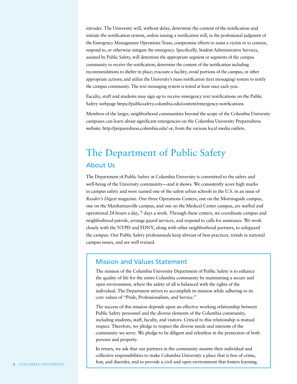intruder. The University will, without delay, determine the content of the notification and initiate the notification system, unless issuing a notification will, in the professional judgment of the Emergency Management Operations Team, compromise efforts to assist a victim or to contain, respond to, or otherwise mitigate the emergency. Specifically, Student Administrative Services, assisted by Public Safety, will determine the appropriate segment or segments of the campus community to receive the notification; determine the content of the notification including recommendations to shelter in place; evacuate a facility, avoid portions of the campus, or other appropriate actions; and utilize the University's mass notification (text messaging) system to notify the campus community. The text messaging system is tested at least once each year.

Faculty, staff and students may sign up to receive emergency text notifications on the Public Safety webpage https://publicsafety.columbia.edu/content/emergency-notifications

Members of the larger, neighborhood communities beyond the scope of the Columbia University campuses can learn about significant emergencies on the Columbia University Preparedness website: http://preparedness.columbia.edu/ or, from the various local media outlets.

# The Department of Public Safety About Us

The Department of Public Safety at Columbia University is committed to the safety and well-being of the University community—and it shows. We consistently score high marks in campus safety and were named one of the safest urban schools in the U.S. in an issue of *Reader's Digest* magazine. Our three Operations Centers, one on the Morningside campus, one on the Manhattanville campus, and one on the Medical Center campus, are staffed and operational 24 hours a day, 7 days a week. Through these centers, we coordinate campus and neighborhood patrols, arrange guard services, and respond to calls for assistance. We work closely with the NYPD and FDNY, along with other neighborhood partners, to safeguard the campus. Our Public Safety professionals keep abreast of best practices, trends in national campus issues, and are well trained.

# Mission and Values Statement

The mission of the Columbia University Department of Public Safety is to enhance the quality of life for the entire Columbia community by maintaining a secure and open environment, where the safety of all is balanced with the rights of the individual. The Department strives to accomplish its mission while adhering to its core values of "Pride, Professionalism, and Service."

The success of this mission depends upon an effective working relationship between Public Safety personnel and the diverse elements of the Columbia community, including students, staff, faculty, and visitors. Critical to this relationship is mutual respect. Therefore, we pledge to respect the diverse needs and interests of the community we serve. We pledge to be diligent and relentless in the protection of both persons and property.

In return, we ask that our partners in the community assume their individual and collective responsibilities to make Columbia University a place that is free of crime, fear, and disorder, and to provide a civil and open environment that fosters learning.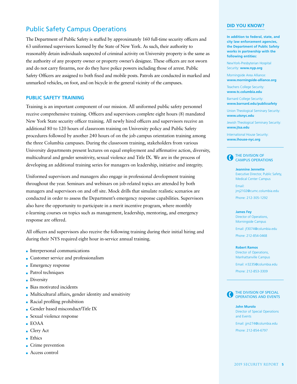# Public Safety Campus Operations

The Department of Public Safety is staffed by approximately 160 full-time security officers and 63 uniformed supervisors licensed by the State of New York. As such, their authority to reasonably detain individuals suspected of criminal activity on University property is the same as the authority of any property owner or property owner's designee. These officers are not sworn and do not carry firearms, nor do they have police powers including those of arrest. Public Safety Officers are assigned to both fixed and mobile posts. Patrols are conducted in marked and unmarked vehicles, on foot, and on bicycle in the general vicinity of the campuses.

## **PUBLIC SAFETY TRAINING**

Training is an important component of our mission. All uniformed public safety personnel receive comprehensive training. Officers and supervisors complete eight hours (8) mandated New York State security officer training. All newly hired officers and supervisors receive an additional 80 to 120 hours of classroom training on University policy and Public Safety procedures followed by another 240 hours of on the job campus orientation training among the three Columbia campuses. During the classroom training, stakeholders from various University departments present lectures on equal employment and affirmative action, diversity, multicultural and gender sensitivity, sexual violence and Title IX. We are in the process of developing an additional training series for managers on leadership, initiative and integrity.

Uniformed supervisors and managers also engage in professional development training throughout the year. Seminars and webinars on job-related topics are attended by both managers and supervisors on and off site. Mock drills that simulate realistic scenarios are conducted in order to assess the Department's emergency response capabilities. Supervisors also have the opportunity to participate in a merit incentive program, where monthly e-learning courses on topics such as management, leadership, mentoring, and emergency response are offered.

All officers and supervisors also receive the following training during their initial hiring and during their NYS required eight hour in-service annual training.

- **Interpersonal communications**
- **Customer service and professionalism**
- **Emergency response**
- **Patrol techniques**
- **Diversity**
- **Bias motivated incidents**
- **Multicultural affairs, gender identity and sensitivity**
- Racial profiling prohibition
- Gender based misconduct/Title IX
- Sexual violence response
- EOAA
- Clery Act
- **Ethics**
- Crime prevention
- Access control

## **DID YOU KNOW?**

**In addition to federal, state, and city law enforcement agencies, the Department of Public Safety works in partnership with the following entities:**

NewYork-Presbyterian Hospital Security: **www.nyp.org**

Morningside Area Alliance: **www.morningside-alliance.org**

Teachers College Security: **www.tc.columbia.edu** 

Barnard College Security: **www.barnard.edu/publicsafety**

Union Theological Seminary Security: **www.utsnyc.edu**

Jewish Theological Seminary Security: **www.jtsa.edu**

International House Security: **www.ihouse-nyc.org** 



**Jeannine Jennette** Executive Director, Public Safety, Medical Center Campus

Email: jmj2102@cumc.columbia.edu

Phone: 212-305-1292

#### **James Fey**

Director of Operations, Morningside Campus

Email: jf3074@columbia.edu

Phone: 212-854-0468

#### **Robert Ramos**

Director of Operations, Manhattanville Campus

Email: rr3235@columbia.edu

Phone: 212-853-3309



```
John Murolo
Director of Special Operations 
and Events
Email: jjm274@columbia.edu
```
Phone: 212-854-6797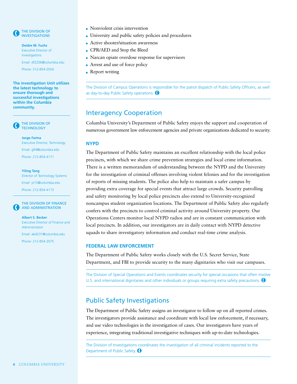

 THE DIVISION OF INVESTIGATIONS

**Deidre M. Fuchs**  Executive Director of Investigations

Email: df2206@columbia.edu

Phone: 212-854-2054

**The investigation Unit utilizes the latest technology to ensure thorough and successful investigations within the Columbia community.** 

 THE DIVISION OF **TECHNOLOGY** 

> **Jorge Farina** Executive Director, Technology Email: glf4@columbia.edu Phone: 212-854-4171

> **Yiling Tang** Director of Technology Systems Email: yt15@columbia.edu Phone: 212-854-4173



AND ADMINISTRATION **Albert S. Becker**

Executive Director of Finance and Administration

Email: ab4231@columbia.edu

Phone: 212-854-2075

- Nonviolent crisis intervention
- University and public safety policies and procedures
- Active shooter/situation awareness
- CPR/AED and Stop the Bleed
- Narcan opiate overdose response for supervisors
- **Arrest and use of force policy**
- **Report writing**

The Division of Campus Operations is responsible for the patrol dispatch of Public Safety Officers, as well as day-to-day Public Safety operations.

# Interagency Cooperation

Columbia University's Department of Public Safety enjoys the support and cooperation of numerous government law enforcement agencies and private organizations dedicated to security.

# **NYPD**

The Department of Public Safety maintains an excellent relationship with the local police precincts, with which we share crime prevention strategies and local crime information. There is a written memorandum of understanding between the NYPD and the University for the investigation of criminal offenses involving violent felonies and for the investigation of reports of missing students. The police also help to maintain a safer campus by providing extra coverage for special events that attract large crowds. Security patrolling and safety monitoring by local police precincts also extend to University-recognized noncampus student organization locations. The Department of Public Safety also regularly confers with the precincts to control criminal activity around University property. Our Operations Centers monitor local NYPD radios and are in constant communication with local precincts. In addition, our investigators are in daily contact with NYPD detective squads to share investigatory information and conduct real-time crime analysis.

## **FEDERAL LAW ENFORCEMENT**

The Department of Public Safety works closely with the U.S. Secret Service, State Department, and FBI to provide security to the many dignitaries who visit our campuses.

The Division of Special Operations and Events coordinates security for special occasions that often involve U.S. and international dignitaries and other individuals or groups requiring extra safety precautions.  $\bigcirc$ 

# Public Safety Investigations

The Department of Public Safety assigns an investigator to follow up on all reported crimes. The investigators provide assistance and coordinate with local law enforcement, if necessary, and use video technologies in the investigation of cases. Our investigators have years of experience, integrating traditional investigative techniques with up-to-date technologies.

The Division of Investigations coordinates the investigation of all criminal incidents reported to the Department of Public Safety. <sup>O</sup>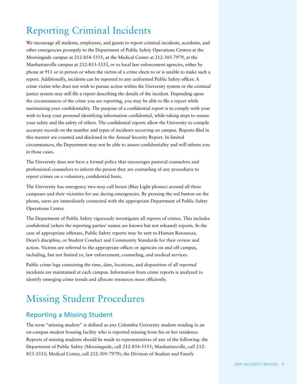# Reporting Criminal Incidents

We encourage all students, employees, and guests to report criminal incidents, accidents, and other emergencies promptly to the Department of Public Safety Operations Centers at the Morningside campus at 212-854-5555, at the Medical Center at 212-305-7979, at the Manhattanville campus at 212-853-3333, or to local law enforcement agencies, either by phone at 911 or in person or when the victim of a crime elects to or is unable to make such a report. Additionally, incidents can be reported to any uniformed Public Safety officer. A crime victim who does not wish to pursue action within the University system or the criminal justice system may still file a report describing the details of the incident. Depending upon the circumstances of the crime you are reporting, you may be able to file a report while maintaining your confidentiality. The purpose of a confidential report is to comply with your wish to keep your personal identifying information confidential, while taking steps to ensure your safety and the safety of others. The confidential reports allow the University to compile accurate records on the number and types of incidents occurring on campus. Reports filed in this manner are counted and disclosed in the Annual Security Report. In limited circumstances, the Department may not be able to assure confidentiality and will inform you in those cases.

The University does not have a formal policy that encourages pastoral counselors and professional counselors to inform the person they are counseling of any procedures to report crimes on a voluntary, confidential basis.

The University has emergency two-way call boxes (Blue Light phones) around all three campuses and their vicinities for use during emergencies. By pressing the red button on the phone, users are immediately connected with the appropriate Department of Public Safety Operations Center.

The Department of Public Safety vigorously investigates all reports of crimes. This includes confidential (where the reporting parties' names are known but not released) reports. In the case of appropriate offenses, Public Safety reports may be sent to Human Resources, Dean's discipline, or Student Conduct and Community Standards for their review and action. Victims are referred to the appropriate offices or agencies on and off campus, including, but not limited to, law enforcement, counseling, and medical services.

Public crime logs containing the time, date, locations, and disposition of all reported incidents are maintained at each campus. Information from crime reports is analyzed to identify emerging crime trends and allocate resources more efficiently.

# Missing Student Procedures

# Reporting a Missing Student

The term "missing student" is defined as any Columbia University student residing in an on-campus student housing facility who is reported missing from his or her residence. Reports of missing students should be made to representatives of any of the following: the Department of Public Safety (Morningside, call 212-854-5555; Manhattanville, call 212- 853-3333; Medical Center, call 212-305-7979); the Division of Student and Family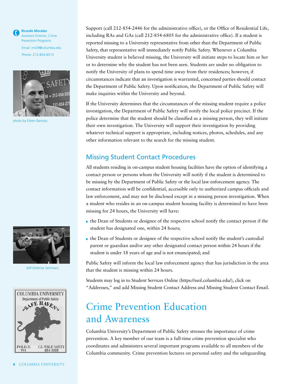**Ricardo Morales**  Assistant Director, Crime Prevention Programs Email: rm29@columbia.edu Phone: 212-854-8513



photo by Eileen Barroso



Self-Defense Seminars



Support (call 212-854-2446 for the administrative office), or the Office of Residential Life, including RAs and GAs (call 212-854-6805 for the administrative office). If a student is reported missing to a University representative from other than the Department of Public Safety, that representative will immediately notify Public Safety. Whenever a Columbia University student is believed missing, the University will initiate steps to locate him or her or to determine why the student has not been seen. Students are under no obligation to notify the University of plans to spend time away from their residences; however, if circumstances indicate that an investigation is warranted, concerned parties should contact the Department of Public Safety. Upon notification, the Department of Public Safety will make inquiries within the University and beyond.

If the University determines that the circumstances of the missing student require a police investigation, the Department of Public Safety will notify the local police precinct. If the police determine that the student should be classified as a missing person, they will initiate their own investigation. The University will support their investigation by providing whatever technical support is appropriate, including notices, photos, schedules, and any other information relevant to the search for the missing student.

# Missing Student Contact Procedures

All students residing in on-campus student housing facilities have the option of identifying a contact person or persons whom the University will notify if the student is determined to be missing by the Department of Public Safety or the local law enforcement agency. The contact information will be confidential, accessible only to authorized campus officials and law enforcement, and may not be disclosed except in a missing person investigation. When a student who resides in an on-campus student housing facility is determined to have been missing for 24 hours, the University will have:

- the Dean of Students or designee of the respective school notify the contact person if the student has designated one, within 24 hours;
- the Dean of Students or designee of the respective school notify the student's custodial parent or guardian and/or any other designated contact person within 24 hours if the student is under 18 years of age and is not emancipated; and

Public Safety will inform the local law enforcement agency that has jurisdiction in the area that the student is missing within 24 hours.

Students may log in to Student Services Online (https://ssol.columbia.edu/), click on "Addresses," and add Missing Student Contact Address and Missing Student Contact Email.

# Crime Prevention Education and Awareness

Columbia University's Department of Public Safety stresses the importance of crime prevention. A key member of our team is a full-time crime prevention specialist who coordinates and administers several important programs available to all members of the Columbia community. Crime prevention lectures on personal safety and the safeguarding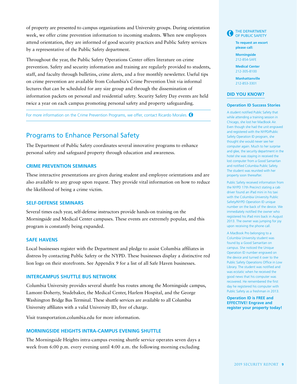of property are presented to campus organizations and University groups. During orientation week, we offer crime prevention information to incoming students. When new employees attend orientation, they are informed of good security practices and Public Safety services by a representative of the Public Safety department.

Throughout the year, the Public Safety Operations Center offers literature on crime prevention. Safety and security information and training are regularly provided to students, staff, and faculty through bulletins, crime alerts, and a free monthly newsletter. Useful tips on crime prevention are available from Columbia's Crime Prevention Unit via informal lectures that can be scheduled for any size group and through the dissemination of information packets on personal and residential safety. Security Safety Day events are held twice a year on each campus promoting personal safety and property safeguarding.

For more information on the Crime Prevention Programs, we offer, contact Ricardo Morales.  $\bigcirc$ 

# Programs to Enhance Personal Safety

The Department of Public Safety coordinates several innovative programs to enhance personal safety and safeguard property through education and awareness.

# **CRIME PREVENTION SEMINARS**

These interactive presentations are given during student and employee orientations and are also available to any group upon request. They provide vital information on how to reduce the likelihood of being a crime victim.

# **SELF-DEFENSE SEMINARS**

Several times each year, self-defense instructors provide hands-on training on the Morningside and Medical Center campuses. These events are extremely popular, and this program is constantly being expanded.

## **SAFE HAVENS**

Local businesses register with the Department and pledge to assist Columbia affiliates in distress by contacting Public Safety or the NYPD. These businesses display a distinctive red lion logo on their storefronts. See Appendix 9 for a list of all Safe Haven businesses.

## **INTERCAMPUS SHUTTLE BUS NETWORK**

Columbia University provides several shuttle bus routes among the Morningside campus, Lamont-Doherty, Studebaker, the Medical Center, Harlem Hospital, and the George Washington Bridge Bus Terminal. These shuttle services are available to all Columbia University affiliates with a valid University ID, free of charge.

Visit transportation.columbia.edu for more information.

# **MORNINGSIDE HEIGHTS INTRA-CAMPUS EVENING SHUTTLE**

The Morningside Heights intra-campus evening shuttle service operates seven days a week from 6:00 p.m. every evening until 4:00 a.m. the following morning excluding



**To request an escort please call:**

**Morningside**  212-854-SAFE

**Medical Center**  212-305-8100

**Manhattanville**  212-853-3301

#### **DID YOU KNOW?**

### **Operation ID Success Stories**

A student notified Public Safety that while attending a training session in Chicago, she lost her MacBook Air. Even though she had the unit engraved and registered with the NYPD/Public Safety Operation ID program, she thought she would never see her computer again. Much to her surprise and glee, the security department in the hotel she was staying in received the lost computer from a Good Samaritan and notified Columbia Public Safety. The student was reunited with her property soon thereafter.

Public Safety received information from the NYPD 17th Precinct stating a cab driver found an iPad mini in his taxi with the Columbia University Public Safety/NYPD Operation ID unique number on the back of the device. We immediately notified the owner who registered his iPad mini back in August 2013. The owner was jumping for joy upon receiving the phone call.

A MacBook Pro belonging to a Columbia University student was found by a Good Samaritan on campus. She noticed the Unique Operation ID number engraved on the device and turned it over to the Public Safety Operations Office in Low Library. The student was notified and was ecstatic when he received the good news that his computer was recovered. He remembered the first day he registered his computer with Public Safety as a freshman in 2013.

**Operation ID is FREE and EFFECTIVE! Engrave and register your property today!**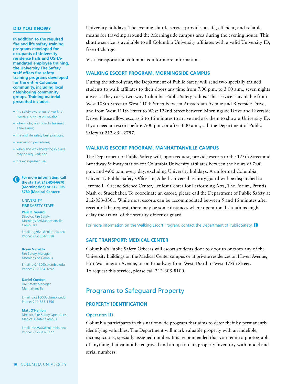### **DID YOU KNOW?**

**In addition to the required fire and life safety training programs developed for occupants of University residence halls and OSHAmandated employee training, the University Fire Safety staff offers fire safety training programs developed for the entire Columbia community, including local neighboring community groups. Training material presented includes:**

- fire safety awareness at work, at home, and while on vacation;
- when, why, and how to transmit a fire alarm;
- fire and life safety best practices;
- evacuation procedures;
- when and why sheltering in place may be required; and
- fire extinguisher use.

 **For more information, call the staff at 212-854-6670 (Morningside) or 212-305- 6780 (Medical Center):**

> UNIVERSITY FIRE SAFETY STAFF

**Paul R. Gerardi**  Director, Fire Safety Morningside/Manhattanville **Campuses** 

Email: pg2621@columbia.edu Phone: 212-854-8518

**Bryan Violetto**  Fire Safety Manager Morningside Campus

Email: bv2150@columbia.edu Phone: 212-854-1892

**Daniel Condon** Fire Safety Manager Manhattanville

Email: djc2160@columbia.edu Phone: 212-853-1356

**Matt O'Hanlon** Director, Fire Safety Operations Medical Center Campus

Email: mo2566@columbia.edu Phone: 212-342-3227

University holidays. The evening shuttle service provides a safe, efficient, and reliable means for traveling around the Morningside campus area during the evening hours. This shuttle service is available to all Columbia University affiliates with a valid University ID, free of charge.

Visit transportation.columbia.edu for more information.

# **WALKING ESCORT PROGRAM, MORNINGSIDE CAMPUS**

During the school year, the Department of Public Safety will send two specially trained students to walk affiliates to their doors any time from 7:00 p.m. to 3:00 a.m., seven nights a week. They carry two-way Columbia Public Safety radios. This service is available from West 108th Street to West 110th Street between Amsterdam Avenue and Riverside Drive, and from West 111th Street to West 122nd Street between Morningside Drive and Riverside Drive. Please allow escorts 5 to 15 minutes to arrive and ask them to show a University ID. If you need an escort before 7:00 p.m. or after 3:00 a.m., call the Department of Public Safety at 212-854-2797.

# **WALKING ESCORT PROGRAM, MANHATTANVILLE CAMPUS**

The Department of Public Safety will, upon request, provide escorts to the 125th Street and Broadway Subway station for Columbia University affiliates between the hours of 7:00 p.m. and 4:00 a.m. every day, excluding University holidays. A uniformed Columbia University Public Safety Officer or, Allied Universal security guard will be dispatched to Jerome L. Greene Science Center, Lenfest Center for Performing Arts, The Forum, Prentis, Nash or Studebaker. To coordinate an escort, please call the Department of Public Safety at 212-853-3301. While most escorts can be accommodated between 5 and 15 minutes after receipt of the request, there may be some instances where operational situations might delay the arrival of the security officer or guard.

For more information on the Walking Escort Program, contact the Department of Public Safety.  $\bigodot$ 

# **SAFE TRANSPORT: MEDICAL CENTER**

Columbia's Public Safety Officers will escort students door to door to or from any of the University buildings on the Medical Center campus or at private residences on Haven Avenue, Fort Washington Avenue, or on Broadway from West 163rd to West 178th Street. To request this service, please call 212-305-8100.

# Programs to Safeguard Property

# **PROPERTY IDENTIFICATION**

## **Operation ID**

Columbia participates in this nationwide program that aims to deter theft by permanently identifying valuables. The Department will mark valuable property with an indelible, inconspicuous, specially assigned number. It is recommended that you retain a photograph of anything that cannot be engraved and an up-to-date property inventory with model and serial numbers.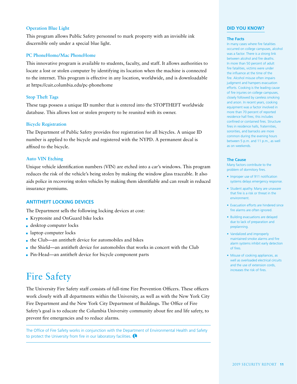# **Operation Blue Light**

This program allows Public Safety personnel to mark property with an invisible ink discernible only under a special blue light.

## **PC PhoneHome/Mac PhoneHome**

This innovative program is available to students, faculty, and staff. It allows authorities to locate a lost or stolen computer by identifying its location when the machine is connected to the internet. This program is effective in any location, worldwide, and is downloadable at https://cuit.columbia.edu/pc-phonehome

## **Stop Theft Tags**

These tags possess a unique ID number that is entered into the STOPTHEFT worldwide database. This allows lost or stolen property to be reunited with its owner.

## **Bicycle Registration**

The Department of Public Safety provides free registration for all bicycles. A unique ID number is applied to the bicycle and registered with the NYPD. A permanent decal is affixed to the bicycle.

## **Auto VIN Etching**

Unique vehicle identification numbers (VIN) are etched into a car's windows. This program reduces the risk of the vehicle's being stolen by making the window glass traceable. It also aids police in recovering stolen vehicles by making them identifiable and can result in reduced insurance premiums.

## **ANTITHEFT LOCKING DEVICES**

The Department sells the following locking devices at cost:

- Kryptonite and OnGuard bike locks
- desktop computer locks
- **a** laptop computer locks
- the Club—an antitheft device for automobiles and bikes
- the Shield—an antitheft device for automobiles that works in concert with the Club
- Pin-Head—an antitheft device for bicycle component parts

# Fire Safety

The University Fire Safety staff consists of full-time Fire Prevention Officers. These officers work closely with all departments within the University, as well as with the New York City Fire Department and the New York City Department of Buildings. The Office of Fire Safety's goal is to educate the Columbia University community about fire and life safety, to prevent fire emergencies and to reduce alarms.

The Office of Fire Safety works in conjunction with the Department of Environmental Health and Safety to protect the University from fire in our laboratory facilities.

## **DID YOU KNOW?**

#### **The Facts**

In many cases where fire fatalities occurred on college campuses, alcohol was a factor. There is a strong link between alcohol and fire deaths. In more than 50 percent of adult fire fatalities, victims were under the influence at the time of the fire. Alcohol misuse often impairs judgment and hampers evacuation efforts. Cooking is the leading cause of fire injuries on college campuses, closely followed by careless smoking and arson. In recent years, cooking equipment was a factor involved in more than 70 percent of reported residence hall fires; this includes confined or contained fires. Structure fires in residence halls, fraternities, sororities, and barracks are more common during the evening hours between 5 p.m. and 11 p.m., as well as on weekends.

#### **The Cause**

Many factors contribute to the problem of dormitory fires.

- Improper use of 911 notification systems delays emergency response.
- Student apathy. Many are unaware that fire is a risk or threat in the environment.
- Evacuation efforts are hindered since fire alarms are often ignored.
- Building evacuations are delayed due to lack of preparation and preplanning.
- Vandalized and improperly maintained smoke alarms and fire alarm systems inhibit early detection of fires.
- Misuse of cooking appliances, as well as overloaded electrical circuits and the use of extension cords, increases the risk of fires.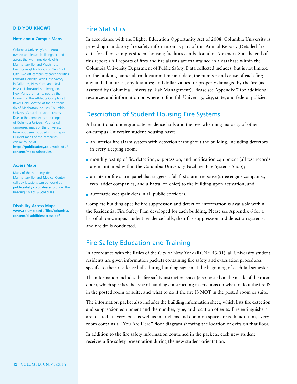### **DID YOU KNOW?**

#### **Note about Campus Maps**

Columbia University's numerous owned and leased buildings extend across the Morningside Heights, Manhattanville, and Washington Heights neighborhoods of New York City. Two off-campus research facilities, Lamont-Doherty Earth Observatory in Palisades, New York, and Nevis Physics Laboratories in Irvington, New York, are maintained by the University. The Athletics Complex at Baker Field, located at the northern tip of Manhattan, houses Columbia University's outdoor sports teams. Due to the complexity and range of Columbia University's physical campuses, maps of the University have not been included in this report. Current maps of the campuses can be found at **https://publicsafety.columbia.edu/ content/maps-schedules**

#### **Access Maps**

Maps of the Morningside, Manhattanville, and Medical Center call box locations can be found at **publicsafety.columbia.edu** under the heading "Maps & Schedules."

**Disability Access Maps www.columbia.edu/files/columbia/ content/disabilitiesaccess.pdf**

# Fire Statistics

In accordance with the Higher Education Opportunity Act of 2008, Columbia University is providing mandatory fire safety information as part of this Annual Report. (Detailed fire data for all on-campus student housing facilities can be found in Appendix 8 at the end of this report.) All reports of fires and fire alarms are maintained in a database within the Columbia University Department of Public Safety. Data collected includes, but is not limited to, the building name; alarm location; time and date; the number and cause of each fire; any and all injuries; any fatalities; and dollar values for property damaged by the fire (as assessed by Columbia University Risk Management). Please see Appendix 7 for additional resources and information on where to find full University, city, state, and federal policies.

# Description of Student Housing Fire Systems

All traditional undergraduate residence halls and the overwhelming majority of other on-campus University student housing have:

- an interior fire alarm system with detection throughout the building, including detectors in every sleeping room;
- monthly testing of fire detection, suppression, and notification equipment (all test records are maintained within the Columbia University Facilities Fire Systems Shop);
- an interior fire alarm panel that triggers a full first alarm response (three engine companies, two ladder companies, and a battalion chief) to the building upon activation; and
- automatic wet sprinklers in all public corridors.

Complete building-specific fire suppression and detection information is available within the Residential Fire Safety Plan developed for each building. Please see Appendix 6 for a list of all on-campus student residence halls, their fire suppression and detection systems, and fire drills conducted.

# Fire Safety Education and Training

In accordance with the Rules of the City of New York (RCNY 43-01), all University student residents are given information packets containing fire safety and evacuation procedures specific to their residence halls during building sign-in at the beginning of each fall semester.

The information includes the fire safety instruction sheet (also posted on the inside of the room door), which specifies the type of building construction; instructions on what to do if the fire IS in the posted room or suite; and what to do if the fire IS NOT in the posted room or suite.

The information packet also includes the building information sheet, which lists fire detection and suppression equipment and the number, type, and location of exits. Fire extinguishers are located at every exit, as well as in kitchens and common space areas. In addition, every room contains a "You Are Here" floor diagram showing the location of exits on that floor.

In addition to the fire safety information contained in the packets, each new student receives a fire safety presentation during the new student orientation.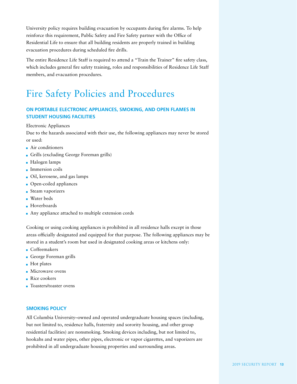University policy requires building evacuation by occupants during fire alarms. To help reinforce this requirement, Public Safety and Fire Safety partner with the Office of Residential Life to ensure that all building residents are properly trained in building evacuation procedures during scheduled fire drills.

The entire Residence Life Staff is required to attend a "Train the Trainer" fire safety class, which includes general fire safety training, roles and responsibilities of Residence Life Staff members, and evacuation procedures.

# Fire Safety Policies and Procedures

# **ON PORTABLE ELECTRONIC APPLIANCES, SMOKING, AND OPEN FLAMES IN STUDENT HOUSING FACILITIES**

## Electronic Appliances

Due to the hazards associated with their use, the following appliances may never be stored or used:

- Air conditioners
- Grills (excluding George Foreman grills)
- Halogen lamps
- **Immersion coils**
- Oil, kerosene, and gas lamps
- Open-coiled appliances
- Steam vaporizers
- Water beds
- **Hoverboards**
- Any appliance attached to multiple extension cords

Cooking or using cooking appliances is prohibited in all residence halls except in those areas officially designated and equipped for that purpose. The following appliances may be stored in a student's room but used in designated cooking areas or kitchens only:

- Coffeemakers
- George Foreman grills
- **Hot plates**
- **Microwave ovens**
- Rice cookers
- Toasters/toaster ovens

# **SMOKING POLICY**

All Columbia University–owned and operated undergraduate housing spaces (including, but not limited to, residence halls, fraternity and sorority housing, and other group residential facilities) are nonsmoking. Smoking devices including, but not limited to, hookahs and water pipes, other pipes, electronic or vapor cigarettes, and vaporizers are prohibited in all undergraduate housing properties and surrounding areas.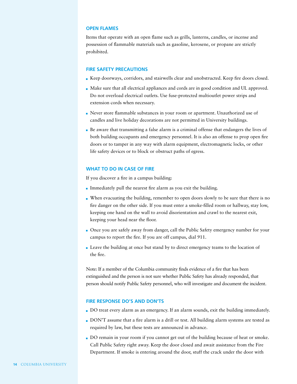## **OPEN FLAMES**

Items that operate with an open flame such as grills, lanterns, candles, or incense and possession of flammable materials such as gasoline, kerosene, or propane are strictly prohibited.

## **FIRE SAFETY PRECAUTIONS**

- Keep doorways, corridors, and stairwells clear and unobstructed. Keep fire doors closed.
- Make sure that all electrical appliances and cords are in good condition and UL approved. Do not overload electrical outlets. Use fuse-protected multioutlet power strips and extension cords when necessary.
- Never store flammable substances in your room or apartment. Unauthorized use of candles and live holiday decorations are not permitted in University buildings.
- Be aware that transmitting a false alarm is a criminal offense that endangers the lives of both building occupants and emergency personnel. It is also an offense to prop open fire doors or to tamper in any way with alarm equipment, electromagnetic locks, or other life safety devices or to block or obstruct paths of egress.

## **WHAT TO DO IN CASE OF FIRE**

If you discover a fire in a campus building:

- Immediately pull the nearest fire alarm as you exit the building.
- When evacuating the building, remember to open doors slowly to be sure that there is no fire danger on the other side. If you must enter a smoke-filled room or hallway, stay low, keeping one hand on the wall to avoid disorientation and crawl to the nearest exit, keeping your head near the floor.
- Once you are safely away from danger, call the Public Safety emergency number for your campus to report the fire. If you are off campus, dial 911.
- Leave the building at once but stand by to direct emergency teams to the location of the fire.

Note: If a member of the Columbia community finds evidence of a fire that has been extinguished and the person is not sure whether Public Safety has already responded, that person should notify Public Safety personnel, who will investigate and document the incident.

# **FIRE RESPONSE DO'S AND DON'TS**

- DO treat every alarm as an emergency. If an alarm sounds, exit the building immediately.
- DON'T assume that a fire alarm is a drill or test. All building alarm systems are tested as required by law, but these tests are announced in advance.
- DO remain in your room if you cannot get out of the building because of heat or smoke. Call Public Safety right away. Keep the door closed and await assistance from the Fire Department. If smoke is entering around the door, stuff the crack under the door with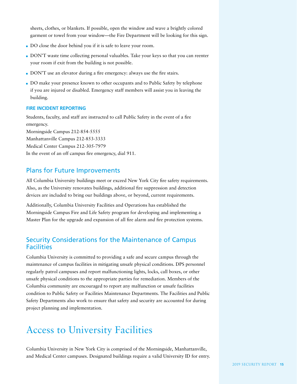sheets, clothes, or blankets. If possible, open the window and wave a brightly colored garment or towel from your window—the Fire Department will be looking for this sign.

- DO close the door behind you if it is safe to leave your room.
- DON'T waste time collecting personal valuables. Take your keys so that you can reenter your room if exit from the building is not possible.
- DON'T use an elevator during a fire emergency: always use the fire stairs.
- DO make your presence known to other occupants and to Public Safety by telephone if you are injured or disabled. Emergency staff members will assist you in leaving the building.

## **FIRE INCIDENT REPORTING**

Students, faculty, and staff are instructed to call Public Safety in the event of a fire emergency. Morningside Campus 212-854-5555 Manhattanville Campus 212-853-3333 Medical Center Campus 212-305-7979 In the event of an off campus fire emergency, dial 911.

# Plans for Future Improvements

All Columbia University buildings meet or exceed New York City fire safety requirements. Also, as the University renovates buildings, additional fire suppression and detection devices are included to bring our buildings above, or beyond, current requirements.

Additionally, Columbia University Facilities and Operations has established the Morningside Campus Fire and Life Safety program for developing and implementing a Master Plan for the upgrade and expansion of all fire alarm and fire protection systems.

# Security Considerations for the Maintenance of Campus **Facilities**

Columbia University is committed to providing a safe and secure campus through the maintenance of campus facilities in mitigating unsafe physical conditions. DPS personnel regularly patrol campuses and report malfunctioning lights, locks, call boxes, or other unsafe physical conditions to the appropriate parties for remediation. Members of the Columbia community are encouraged to report any malfunction or unsafe facilities condition to Public Safety or Facilities Maintenance Departments. The Facilities and Public Safety Departments also work to ensure that safety and security are accounted for during project planning and implementation.

# Access to University Facilities

Columbia University in New York City is comprised of the Morningside, Manhattanville, and Medical Center campuses. Designated buildings require a valid University ID for entry.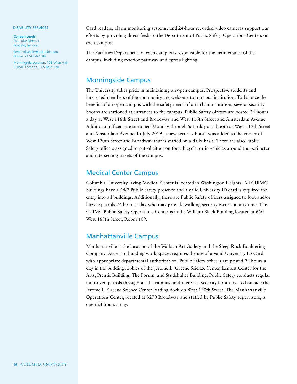#### DISABILITY SERVICES

**Colleen Lewis** Executive Director Disability Services

Email: disability@columbia.edu Phone: 212-854-2388

Morningside Location: 108 Wien Hall CUIMC Location: 105 Bard Hall

Card readers, alarm monitoring systems, and 24-hour recorded video cameras support our efforts by providing direct feeds to the Department of Public Safety Operations Centers on each campus.

The Facilities Department on each campus is responsible for the maintenance of the campus, including exterior pathway and egress lighting.

# Morningside Campus

The University takes pride in maintaining an open campus. Prospective students and interested members of the community are welcome to tour our institution. To balance the benefits of an open campus with the safety needs of an urban institution, several security booths are stationed at entrances to the campus. Public Safety officers are posted 24 hours a day at West 116th Street and Broadway and West 116th Street and Amsterdam Avenue. Additional officers are stationed Monday through Saturday at a booth at West 119th Street and Amsterdam Avenue. In July 2019, a new security booth was added to the corner of West 120th Street and Broadway that is staffed on a daily basis. There are also Public Safety officers assigned to patrol either on foot, bicycle, or in vehicles around the perimeter and intersecting streets of the campus.

# Medical Center Campus

Columbia University Irving Medical Center is located in Washington Heights. All CUIMC buildings have a 24/7 Public Safety presence and a valid University ID card is required for entry into all buildings. Additionally, there are Public Safety officers assigned to foot and/or bicycle patrols 24 hours a day who may provide walking security escorts at any time. The CUIMC Public Safety Operations Center is in the William Black Building located at 650 West 168th Street, Room 109.

# Manhattanville Campus

Manhattanville is the location of the Wallach Art Gallery and the Steep Rock Bouldering Company. Access to building work spaces requires the use of a valid University ID Card with appropriate departmental authorization. Public Safety officers are posted 24 hours a day in the building lobbies of the Jerome L. Greene Science Center, Lenfest Center for the Arts, Prentis Building, The Forum, and Studebaker Building. Public Safety conducts regular motorized patrols throughout the campus, and there is a security booth located outside the Jerome L. Greene Science Center loading dock on West 130th Street. The Manhattanville Operations Center, located at 3270 Broadway and staffed by Public Safety supervisors, is open 24 hours a day.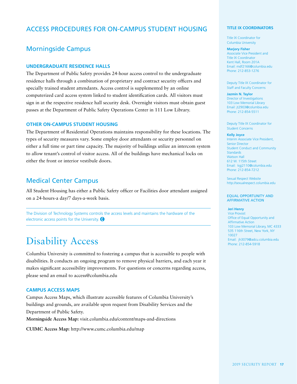# ACCESS PROCEDURES FOR ON-CAMPUS STUDENT HOUSING

# Morningside Campus

# **UNDERGRADUATE RESIDENCE HALLS**

The Department of Public Safety provides 24-hour access control to the undergraduate residence halls through a combination of proprietary and contract security officers and specially trained student attendants. Access control is supplemented by an online computerized card access system linked to student identification cards. All visitors must sign in at the respective residence hall security desk. Overnight visitors must obtain guest passes at the Department of Public Safety Operations Center in 111 Low Library.

## **OTHER ON-CAMPUS STUDENT HOUSING**

The Department of Residential Operations maintains responsibility for these locations. The types of security measures vary. Some employ door attendants or security personnel on either a full time or part time capacity. The majority of buildings utilize an intercom system to allow tenant's control of visitor access. All of the buildings have mechanical locks on either the front or interior vestibule doors.

# Medical Center Campus

All Student Housing has either a Public Safety officer or Facilities door attendant assigned on a 24-hours-a day/7 days-a-week basis.

The Division of Technology Systems controls the access levels and maintains the hardware of the electronic access points for the University.  $\bigcirc$ 

# Disability Access

Columbia University is committed to fostering a campus that is accessible to people with disabilities. It conducts an ongoing program to remove physical barriers, and each year it makes significant accessibility improvements. For questions or concerns regarding access, please send an email to access@columbia.edu

# **CAMPUS ACCESS MAPS**

Campus Access Maps, which illustrate accessible features of Columbia University's buildings and grounds, are available upon request from Disability Services and the Department of Public Safety.

**Morningside Access Map:** visit.columbia.edu/content/maps-and-directions

**CUIMC Access Map:** http://www.cumc.columbia.edu/map

#### **TITLE IX COORDINATORS**

Title IX Coordinator for Columbia University

#### **Marjory Fisher**

Associate Vice President and Title IX Coordinator Kent Hall, Room 201A Email: mdf2166@columbia.edu Phone: 212-853-1276

Deputy Title IX Coordinator for Staff and Faculty Concerns

**Jazmin N. Taylor** Director of Investigations 103 Low Memorial Library Email: jt2903@columbia.edu Phone: 212-854-5511

Deputy Title IX Coordinator for Student Concerns

#### **Kelly Joyce**

Interim Associate Vice President, Senior Director Student Conduct and Community **Standards** Watson Hall 612 W. 115th Street Email: kgj2110@columbia.edu Phone: 212-854-7212

Sexual Respect Website http://sexualrespect.columbia.edu

#### EQUAL OPPORTUNITY AND AFFIRMATIVE ACTION

### **Jeri Henry**

Vice Provost Office of Equal Opportunity and Affirmative Action 103 Low Memorial Library, MC 4333 535 116th Street, New York, NY 10027 Email: jh3079@adcu.columbia.edu Phone: 212-854-5918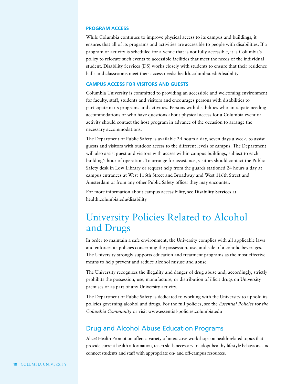## **PROGRAM ACCESS**

While Columbia continues to improve physical access to its campus and buildings, it ensures that all of its programs and activities are accessible to people with disabilities. If a program or activity is scheduled for a venue that is not fully accessible, it is Columbia's policy to relocate such events to accessible facilities that meet the needs of the individual student. Disability Services (DS) works closely with students to ensure that their residence halls and classrooms meet their access needs: health.columbia.edu/disability

## **CAMPUS ACCESS FOR VISITORS AND GUESTS**

Columbia University is committed to providing an accessible and welcoming environment for faculty, staff, students and visitors and encourages persons with disabilities to participate in its programs and activities. Persons with disabilities who anticipate needing accommodations or who have questions about physical access for a Columbia event or activity should contact the host program in advance of the occasion to arrange the necessary accommodations.

The Department of Public Safety is available 24 hours a day, seven days a week, to assist guests and visitors with outdoor access to the different levels of campus. The Department will also assist guest and visitors with access within campus buildings, subject to each building's hour of operation. To arrange for assistance, visitors should contact the Public Safety desk in Low Library or request help from the guards stationed 24 hours a day at campus entrances at West 116th Street and Broadway and West 116th Street and Amsterdam or from any other Public Safety officer they may encounter.

For more information about campus accessibility, see **Disability Services** at health.columbia.edu/disability

# University Policies Related to Alcohol and Drugs

In order to maintain a safe environment, the University complies with all applicable laws and enforces its policies concerning the possession, use, and sale of alcoholic beverages. The University strongly supports education and treatment programs as the most effective means to help prevent and reduce alcohol misuse and abuse.

The University recognizes the illegality and danger of drug abuse and, accordingly, strictly prohibits the possession, use, manufacture, or distribution of illicit drugs on University premises or as part of any University activity.

The Department of Public Safety is dedicated to working with the University to uphold its policies governing alcohol and drugs. For the full policies, see the *Essential Policies for the Columbia Community* or visit www.essential-policies.columbia.edu

# Drug and Alcohol Abuse Education Programs

Alice! Health Promotion offers a variety of interactive workshops on health-related topics that provide current health information, teach skills necessary to adopt healthy lifestyle behaviors, and connect students and staff with appropriate on- and off-campus resources.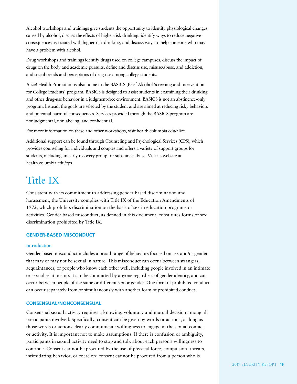Alcohol workshops and trainings give students the opportunity to identify physiological changes caused by alcohol, discuss the effects of higher-risk drinking, identify ways to reduce negative consequences associated with higher-risk drinking, and discuss ways to help someone who may have a problem with alcohol.

Drug workshops and trainings identify drugs used on college campuses, discuss the impact of drugs on the body and academic pursuits, define and discuss use, misuse/abuse, and addiction, and social trends and perceptions of drug use among college students.

Alice! Health Promotion is also home to the BASICS (Brief Alcohol Screening and Intervention for College Students) program. BASICS is designed to assist students in examining their drinking and other drug-use behavior in a judgment-free environment. BASICS is not an abstinence-only program. Instead, the goals are selected by the student and are aimed at reducing risky behaviors and potential harmful consequences. Services provided through the BASICS program are nonjudgmental, nonlabeling, and confidential.

For more information on these and other workshops, visit health.columbia.edu/alice.

Additional support can be found through Counseling and Psychological Services (CPS), which provides counseling for individuals and couples and offers a variety of support groups for students, including an early recovery group for substance abuse. Visit its website at health.columbia.edu/cps

# Title IX

Consistent with its commitment to addressing gender-based discrimination and harassment, the University complies with Title IX of the Education Amendments of 1972, which prohibits discrimination on the basis of sex in education programs or activities. Gender-based misconduct, as defined in this document, constitutes forms of sex discrimination prohibited by Title IX.

# **GENDER-BASED MISCONDUCT**

# **Introduction**

Gender-based misconduct includes a broad range of behaviors focused on sex and/or gender that may or may not be sexual in nature. This misconduct can occur between strangers, acquaintances, or people who know each other well, including people involved in an intimate or sexual relationship. It can be committed by anyone regardless of gender identity, and can occur between people of the same or different sex or gender. One form of prohibited conduct can occur separately from or simultaneously with another form of prohibited conduct.

# **CONSENSUAL/NONCONSENSUAL**

Consensual sexual activity requires a knowing, voluntary and mutual decision among all participants involved. Specifically, consent can be given by words or actions, as long as those words or actions clearly communicate willingness to engage in the sexual contact or activity. It is important not to make assumptions. If there is confusion or ambiguity, participants in sexual activity need to stop and talk about each person's willingness to continue. Consent cannot be procured by the use of physical force, compulsion, threats, intimidating behavior, or coercion; consent cannot be procured from a person who is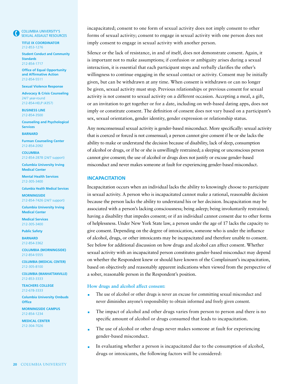COLUMBIA UNIVERSITY'S SEXUAL ASSAULT RESOURCES

**TITLE IX COORDINATOR** 212-853-1276

**Student Conduct and Community Standards** 212-854-1717

**Office of Equal Opportunity and Affirmative Action**  212-854-5511

**Sexual Violence Response** 

**Advocacy & Crisis Counseling** 24/7 year-round 212-854-HELP (4357)

**BUSINESS LINE** 212-854-3500

**Counseling and Psychological Services**

**BARNARD**

**Furman Counseling Center** 212-854-2092

**COLUMBIA** 212-854-2878 (24/7 support)

**Columbia University Irving Medical Center**

**Mental Health Services** 212-305-3400

**Columbia Health Medical Services**

**MORNINGSIDE** 212-854-7426 (24/7 support)

**Columbia University Irving Medical Center**

**Medical Services** 212-305-3400

**Public Safety BARNARD** 212-854-3362

**COLUMBIA (MORNINGSIDE)** 212-854-5555

**COLUMBIA (MEDICAL CENTER)** 212-305-8100

**COLUMBIA (MANHATTANVILLE)** 212-853-3333

**TEACHERS COLLEGE** 212-678-3333

**Columbia University Ombuds Office**

**MORNINGSIDE CAMPUS** 212-854-1234

**MEDICAL CENTER** 212-304-7026

incapacitated; consent to one form of sexual activity does not imply consent to other forms of sexual activity; consent to engage in sexual activity with one person does not imply consent to engage in sexual activity with another person.

Silence or the lack of resistance, in and of itself, does not demonstrate consent. Again, it is important not to make assumptions; if confusion or ambiguity arises during a sexual interaction, it is essential that each participant stops and verbally clarifies the other's willingness to continue engaging in the sexual contact or activity. Consent may be initially given, but can be withdrawn at any time. When consent is withdrawn or can no longer be given, sexual activity must stop. Previous relationships or previous consent for sexual activity is not consent to sexual activity on a different occasion. Accepting a meal, a gift, or an invitation to get together or for a date, including on web-based dating apps, does not imply or constitute consent. The definition of consent does not vary based on a participant's sex, sexual orientation, gender identity, gender expression or relationship status.

Any nonconsensual sexual activity is gender-based misconduct. More specifically: sexual activity that is coerced or forced is not consensual; a person cannot give consent if he or she lacks the ability to make or understand the decision because of disability, lack of sleep, consumption of alcohol or drugs, or if he or she is unwillingly restrained; a sleeping or unconscious person cannot give consent; the use of alcohol or drugs does not justify or excuse gender-based misconduct and never makes someone at fault for experiencing gender-based misconduct.

## **INCAPACITATION**

Incapacitation occurs when an individual lacks the ability to knowingly choose to participate in sexual activity. A person who is incapacitated cannot make a rational, reasonable decision because the person lacks the ability to understand his or her decision. Incapacitation may be associated with a person's lacking consciousness; being asleep; being involuntarily restrained; having a disability that impedes consent; or if an individual cannot consent due to other forms of helplessness. Under New York State law, a person under the age of 17 lacks the capacity to give consent. Depending on the degree of intoxication, someone who is under the influence of alcohol, drugs, or other intoxicants may be incapacitated and therefore unable to consent. See below for additional discussion on how drugs and alcohol can affect consent. Whether sexual activity with an incapacitated person constitutes gender-based misconduct may depend on whether the Respondent knew or should have known of the Complainant's incapacitation, based on objectively and reasonably apparent indications when viewed from the perspective of a sober, reasonable person in the Respondent's position.

## **How drugs and alcohol affect consent:**

- The use of alcohol or other drugs is never an excuse for committing sexual misconduct and never diminishes anyone's responsibility to obtain informed and freely given consent.
- The impact of alcohol and other drugs varies from person to person and there is no specific amount of alcohol or drugs consumed that leads to incapacitation.
- The use of alcohol or other drugs never makes someone at fault for experiencing m. gender-based misconduct.
- In evaluating whether a person is incapacitated due to the consumption of alcohol, drugs or intoxicants, the following factors will be considered: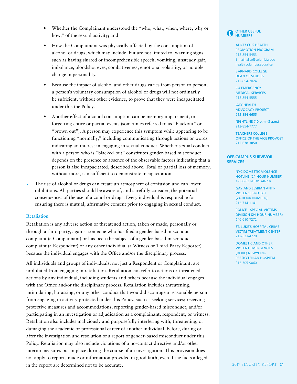- Whether the Complainant understood the "who, what, when, where, why or how," of the sexual activity; and
- How the Complainant was physically affected by the consumption of alcohol or drugs, which may include, but are not limited to, warning signs such as having slurred or incomprehensible speech, vomiting, unsteady gait, imbalance, bloodshot eyes, combativeness, emotional volatility, or notable change in personality.
- Because the impact of alcohol and other drugs varies from person to person, a person's voluntary consumption of alcohol or drugs will not ordinarily be sufficient, without other evidence, to prove that they were incapacitated under this the Policy.
- Another effect of alcohol consumption can be memory impairment, or forgetting entire or partial events (sometimes referred to as "blackout" or "brown out"). A person may experience this symptom while appearing to be functioning "normally," including communicating through actions or words indicating an interest in engaging in sexual conduct. Whether sexual conduct with a person who is "blacked-out" constitutes gender-based misconduct depends on the presence or absence of the observable factors indicating that a person is also incapacitated, described above. Total or partial loss of memory, without more, is insufficient to demonstrate incapacitation.
- The use of alcohol or drugs can create an atmosphere of confusion and can lower inhibitions. All parties should be aware of, and carefully consider, the potential consequences of the use of alcohol or drugs. Every individual is responsible for ensuring there is mutual, affirmative consent prior to engaging in sexual conduct.

# **Retaliation**

Retaliation is any adverse action or threatened action, taken or made, personally or through a third party, against someone who has filed a gender-based misconduct complaint (a Complainant) or has been the subject of a gender-based misconduct complaint (a Respondent) or any other individual (a Witness or Third-Party Reporter) because the individual engages with the Office and/or the disciplinary process.

All individuals and groups of individuals, not just a Respondent or Complainant, are prohibited from engaging in retaliation. Retaliation can refer to actions or threatened actions by any individual, including students and others because the individual engages with the Office and/or the disciplinary process. Retaliation includes threatening, intimidating, harassing, or any other conduct that would discourage a reasonable person from engaging in activity protected under this Policy, such as seeking services; receiving protective measures and accommodations; reporting gender-based misconduct; and/or participating in an investigation or adjudication as a complainant, respondent, or witness. Retaliation also includes maliciously and purposefully interfering with, threatening, or damaging the academic or professional career of another individual, before, during or after the investigation and resolution of a report of gender-based misconduct under this Policy. Retaliation may also include violations of a no-contact directive and/or other interim measures put in place during the course of an investigation. This provision does not apply to reports made or information provided in good faith, even if the facts alleged in the report are determined not to be accurate.



ALICE! CU'S HEALTH PROMOTION PROGRAM 212-854-5453 E-mail: alice@columbia.edu health.columbia.edu/alice

BARNARD COLLEGE DEAN OF STUDIES 212-854-2024

CU EMERGENCY MEDICAL SERVICES 212-854-5555

GAY HEALTH ADVOCACY PROJECT 212-854-6655

NIGHTLINE (10 p.m.–3 a.m.) 212-854-7777

TEACHERS COLLEGE OFFICE OF THE VICE PROVOST 212-678-3050

#### **OFF-CAMPUS SURVIVOR SERVICES**

NYC DOMESTIC VIOLENCE HOTLINE (24-HOUR NUMBER) 1-800-621-HOPE (4673)

GAY AND LESBIAN ANTI-VIOLENCE PROJECT (24-HOUR NUMBER) 212-714-1141

POLICE—SPECIAL VICTIMS DIVISION (24-HOUR NUMBER) 646-610-7272

ST. LUKE'S HOSPITAL CRIME VICTIM TREATMENT CENTER 212-523-4728

DOMESTIC AND OTHER VIOLENT EMERGENCIES (DOVE) NEWYORK-PRESBYTERIAN HOSPITAL 212-305-9060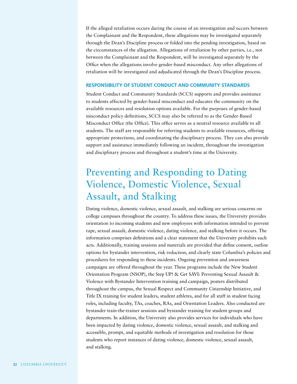If the alleged retaliation occurs during the course of an investigation and occurs between the Complainant and the Respondent, these allegations may be investigated separately through the Dean's Discipline process or folded into the pending investigation, based on the circumstances of the allegation. Allegations of retaliation by other parties, i.e., not between the Complainant and the Respondent, will be investigated separately by the Office when the allegations involve gender-based misconduct. Any other allegations of retaliation will be investigated and adjudicated through the Dean's Discipline process.

# **RESPONSIBILITY OF STUDENT CONDUCT AND COMMUNITY STANDARDS**

Student Conduct and Community Standards (SCCS) supports and provides assistance to students affected by gender-based misconduct and educates the community on the available resources and resolution options available. For the purposes of gender-based misconduct policy definitions, SCCS may also be referred to as the Gender-Based Misconduct Office (the Office). This office serves as a neutral resource available to all students. The staff are responsible for referring students to available resources, offering appropriate protections, and coordinating the disciplinary process. They can also provide support and assistance immediately following an incident, throughout the investigation and disciplinary process and throughout a student's time at the University.

# Preventing and Responding to Dating Violence, Domestic Violence, Sexual Assault, and Stalking

Dating violence, domestic violence, sexual assault, and stalking are serious concerns on college campuses throughout the country. To address these issues, the University provides orientation to incoming students and new employees with information intended to prevent rape, sexual assault, domestic violence, dating violence, and stalking before it occurs. The information comprises definitions and a clear statement that the University prohibits such acts. Additionally, training sessions and materials are provided that define consent, outline options for bystander intervention, risk reduction, and clearly state Columbia's policies and procedures for responding to these incidents. Ongoing prevention and awareness campaigns are offered throughout the year. These programs include the New Student Orientation Program (NSOP), the Step UP! & Get SAVI: Preventing Sexual Assault & Violence with Bystander Intervention training and campaign, posters distributed throughout the campus, the Sexual Respect and Community Citizenship Initiative, and Title IX training for student leaders, student athletes, and for all staff in student facing roles, including faculty, TAs, coaches, RAs, and Orientation Leaders. Also conducted are bystander train-the-trainer sessions and bystander training for student groups and departments. In addition, the University also provides services for individuals who have been impacted by dating violence, domestic violence, sexual assault, and stalking and accessible, prompt, and equitable methods of investigation and resolution for those students who report instances of dating violence, domestic violence, sexual assault, and stalking.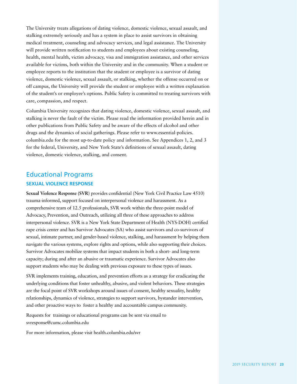The University treats allegations of dating violence, domestic violence, sexual assault, and stalking extremely seriously and has a system in place to assist survivors in obtaining medical treatment, counseling and advocacy services, and legal assistance. The University will provide written notification to students and employees about existing counseling, health, mental health, victim advocacy, visa and immigration assistance, and other services available for victims, both within the University and in the community. When a student or employee reports to the institution that the student or employee is a survivor of dating violence, domestic violence, sexual assault, or stalking, whether the offense occurred on or off campus, the University will provide the student or employee with a written explanation of the student's or employee's options. Public Safety is committed to treating survivors with care, compassion, and respect.

Columbia University recognizes that dating violence, domestic violence, sexual assault, and stalking is never the fault of the victim. Please read the information provided herein and in other publications from Public Safety and be aware of the effects of alcohol and other drugs and the dynamics of social gatherings. Please refer to www.essential-policies. columbia.edu for the most up-to-date policy and information. See Appendices 1, 2, and 3 for the federal, University, and New York State's definitions of sexual assault, dating violence, domestic violence, stalking, and consent.

# Educational Programs **SEXUAL VIOLENCE RESPONSE**

**Sexual Violence Response (SVR)** provides confidential (New York Civil Practice Law 4510) trauma-informed, support focused on interpersonal violence and harassment. As a comprehensive team of 12.5 professionals, SVR work within the three-point model of Advocacy, Prevention, and Outreach, utilizing all three of these approaches to address interpersonal violence. SVR is a New York State Department of Health (NYS-DOH) certified rape crisis center and has Survivor Advocates (SA) who assist survivors and co-survivors of sexual, intimate partner, and gender-based violence, stalking, and harassment by helping them navigate the various systems, explore rights and options, while also supporting their choices. Survivor Advocates mobilize systems that impact students in both a short- and long-term capacity; during and after an abusive or traumatic experience. Survivor Advocates also support students who may be dealing with previous exposure to these types of issues.

SVR implements training, education, and prevention efforts as a strategy for eradicating the underlying conditions that foster unhealthy, abusive, and violent behaviors. These strategies are the focal point of SVR workshops around issues of consent, healthy sexuality, healthy relationships, dynamics of violence, strategies to support survivors, bystander intervention, and other proactive ways to foster a healthy and accountable campus community.

Requests for trainings or educational programs can be sent via email to svresponse@cumc.columbia.edu

For more information, please visit health.columbia.edu/svr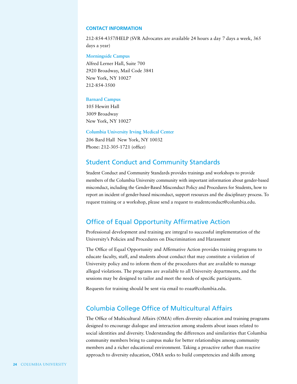### **CONTACT INFORMATION**

212-854-4357/HELP (SVR Advocates are available 24 hours a day 7 days a week, 365 days a year)

**Morningside Campus**

Alfred Lerner Hall, Suite 700 2920 Broadway, Mail Code 3841 New York, NY 10027 212-854-3500

### **Barnard Campus**

105 Hewitt Hall 3009 Broadway New York, NY 10027

**Columbia University Irving Medical Center** 206 Bard Hall New York, NY 10032

Phone: 212-305-1721 (office)

# Student Conduct and Community Standards

Student Conduct and Community Standards provides trainings and workshops to provide members of the Columbia University community with important information about gender-based misconduct, including the Gender-Based Misconduct Policy and Procedures for Students, how to report an incident of gender-based misconduct, support resources and the disciplinary process. To request training or a workshop, please send a request to studentconduct@columbia.edu.

# Office of Equal Opportunity Affirmative Action

Professional development and training are integral to successful implementation of the University's Policies and Procedures on Discrimination and Harassment

The Office of Equal Opportunity and Affirmative Action provides training programs to educate faculty, staff, and students about conduct that may constitute a violation of University policy and to inform them of the procedures that are available to manage alleged violations. The programs are available to all University departments, and the sessions may be designed to tailor and meet the needs of specific participants.

Requests for training should be sent via email to eoaa@columbia.edu.

# Columbia College Office of Multicultural Affairs

The Office of Multicultural Affairs (OMA) offers diversity education and training programs designed to encourage dialogue and interaction among students about issues related to social identities and diversity. Understanding the differences and similarities that Columbia community members bring to campus make for better relationships among community members and a richer educational environment. Taking a proactive rather than reactive approach to diversity education, OMA seeks to build competencies and skills among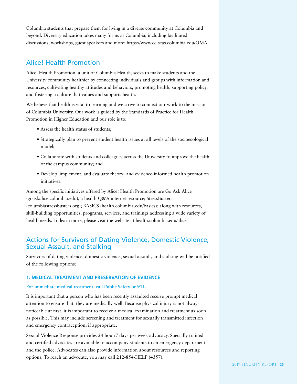Columbia students that prepare them for living in a diverse community at Columbia and beyond. Diversity education takes many forms at Columbia, including facilitated discussions, workshops, guest speakers and more: https://www.cc-seas.columbia.edu/OMA

# Alice! Health Promotion

Alice! Health Promotion, a unit of Columbia Health, seeks to make students and the University community healthier by connecting individuals and groups with information and resources, cultivating healthy attitudes and behaviors, promoting health, supporting policy, and fostering a culture that values and supports health.

We believe that health is vital to learning and we strive to connect our work to the mission of Columbia University. Our work is guided by the Standards of Practice for Health Promotion in Higher Education and our role is to:

- Assess the health status of students;
- Strategically plan to prevent student health issues at all levels of the socioecological model;
- Collaborate with students and colleagues across the University to improve the health of the campus community; and
- Develop, implement, and evaluate theory- and evidence-informed health promotion initiatives.

Among the specific initiatives offered by Alice! Health Promotion are Go Ask Alice (goaskalice.columbia.edu), a health Q&A internet resource; StressBusters (columbiastressbusters.org); BASICS (health.columbia.edu/basics); along with resources, skill-building opportunities, programs, services, and trainings addressing a wide variety of health needs. To learn more, please visit the website at health.columbia.edu/alice

# Actions for Survivors of Dating Violence, Domestic Violence, Sexual Assault, and Stalking

Survivors of dating violence, domestic violence, sexual assault, and stalking will be notified of the following options:

# **1. MEDICAL TREATMENT AND PRESERVATION OF EVIDENCE**

# **For immediate medical treatment, call Public Safety or 911.**

It is important that a person who has been recently assaulted receive prompt medical attention to ensure that they are medically well. Because physical injury is not always noticeable at first, it is important to receive a medical examination and treatment as soon as possible. This may include screening and treatment for sexually transmitted infection and emergency contraception, if appropriate.

Sexual Violence Response provides 24 hour/7 days per week advocacy. Specially trained and certified advocates are available to accompany students to an emergency department and the police. Advocates can also provide information about resources and reporting options. To reach an advocate, you may call 212-854-HELP (4357).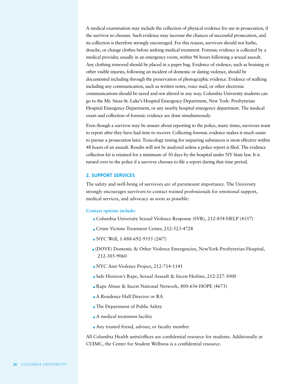A medical examination may include the collection of physical evidence for use in prosecution, if the survivor so chooses. Such evidence may increase the chances of successful prosecution, and its collection is therefore strongly encouraged. For this reason, survivors should not bathe, douche, or change clothes before seeking medical treatment. Forensic evidence is collected by a medical provider, usually in an emergency room, within 96 hours following a sexual assault. Any clothing removed should be placed in a paper bag. Evidence of violence, such as bruising or other visible injuries, following an incident of domestic or dating violence, should be documented including through the preservation of photographic evidence. Evidence of stalking including any communication, such as written notes, voice mail, or other electronic communications should be saved and not altered in any way. Columbia University students can go to the Mt. Sinai–St. Luke's Hospital Emergency Department, New York- Presbyterian Hospital Emergency Department, or any nearby hospital emergency department. The medical exam and collection of forensic evidence are done simultaneously.

Even though a survivor may be unsure about reporting to the police, many times, survivors want to report after they have had time to recover. Collecting forensic evidence makes it much easier to pursue a prosecution later. Toxicology testing for impairing substances is most effective within 48 hours of an assault. Results will not be analyzed unless a police report is filed. The evidence collection kit is retained for a minimum of 30 days by the hospital under NY State law. It is turned over to the police if a survivor chooses to file a report during that time period.

## **2. SUPPORT SERVICES**

The safety and well-being of survivors are of paramount importance. The University strongly encourages survivors to contact trained professionals for emotional support, medical services, and advocacy as soon as possible:

### **Contact options include:**

- Columbia University Sexual Violence Response (SVR), 212-854-HELP (4357)
- Crime Victims Treatment Center, 212-523-4728
- NYC Well, 1-888-692-9355 (24/7)
- (DOVE) Domestic & Other Violence Emergencies, NewYork-Presbyterian Hospital, 212-305-9060
- NYC Anti-Violence Project, 212-714-1141
- Safe Horizon's Rape, Sexual Assault & Incest Hotline, 212-227-3000
- Rape Abuse & Incest National Network, 800-656-HOPE (4673)
- A Residence Hall Director or RA
- The Department of Public Safety
- **A** medical treatment facility
- Any trusted friend, adviser, or faculty member

All Columbia Health units/offices are confidential resource for students. Additionally at CUIMC, the Center for Student Wellness is a confidential resource.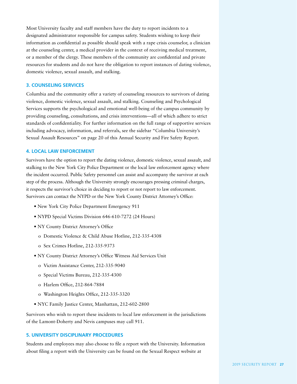Most University faculty and staff members have the duty to report incidents to a designated administrator responsible for campus safety. Students wishing to keep their information as confidential as possible should speak with a rape crisis counselor, a clinician at the counseling center, a medical provider in the context of receiving medical treatment, or a member of the clergy. These members of the community are confidential and private resources for students and do not have the obligation to report instances of dating violence, domestic violence, sexual assault, and stalking.

## **3. COUNSELING SERVICES**

Columbia and the community offer a variety of counseling resources to survivors of dating violence, domestic violence, sexual assault, and stalking. Counseling and Psychological Services supports the psychological and emotional well-being of the campus community by providing counseling, consultations, and crisis interventions—all of which adhere to strict standards of confidentiality. For further information on the full range of supportive services including advocacy, information, and referrals, see the sidebar "Columbia University's Sexual Assault Resources" on page 20 of this Annual Security and Fire Safety Report.

## **4. LOCAL LAW ENFORCEMENT**

Survivors have the option to report the dating violence, domestic violence, sexual assault, and stalking to the New York City Police Department or the local law enforcement agency where the incident occurred. Public Safety personnel can assist and accompany the survivor at each step of the process. Although the University strongly encourages pressing criminal charges, it respects the survivor's choice in deciding to report or not report to law enforcement. Survivors can contact the NYPD or the New York County District Attorney's Office:

- New York City Police Department Emergency 911
- NYPD Special Victims Division 646-610-7272 (24 Hours)
- NY County District Attorney's Office
	- o Domestic Violence & Child Abuse Hotline, 212-335-4308
	- o Sex Crimes Hotline, 212-335-9373
- NY County District Attorney's Office Witness Aid Services Unit
	- o Victim Assistance Center, 212-335-9040
	- o Special Victims Bureau, 212-335-4300
	- o Harlem Office, 212-864-7884
	- o Washington Heights Office, 212-335-3320
- NYC Family Justice Center, Manhattan, 212-602-2800

Survivors who wish to report these incidents to local law enforcement in the jurisdictions of the Lamont-Doherty and Nevis campuses may call 911.

## **5. UNIVERSITY DISCIPLINARY PROCEDURES**

Students and employees may also choose to file a report with the University. Information about filing a report with the University can be found on the Sexual Respect website at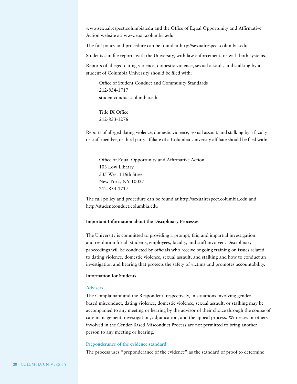www.sexualrespect.columbia.edu and the Office of Equal Opportunity and Affirmative Action website at: www.eoaa.columbia.edu

The full policy and procedure can be found at http://sexualrespect.columbia.edu.

Students can file reports with the University, with law enforcement, or with both systems.

Reports of alleged dating violence, domestic violence, sexual assault, and stalking by a student of Columbia University should be filed with:

Office of Student Conduct and Community Standards 212-854-1717 studentconduct.columbia.edu

Title IX Office 212-853-1276

Reports of alleged dating violence, domestic violence, sexual assault, and stalking by a faculty or staff member, or third party affiliate of a Columbia University affiliate should be filed with:

Office of Equal Opportunity and Affirmative Action 103 Low Library 535 West 116th Street New York, NY 10027 212-854-1717

The full policy and procedure can be found at http://sexualrespect.columbia.edu and http://studentconduct.columbia.edu

## **Important Information about the Disciplinary Processes**

The University is committed to providing a prompt, fair, and impartial investigation and resolution for all students, employees, faculty, and staff involved. Disciplinary proceedings will be conducted by officials who receive ongoing training on issues related to dating violence, domestic violence, sexual assault, and stalking and how to conduct an investigation and hearing that protects the safety of victims and promotes accountability.

## **Information for Students**

### **Advisers**

The Complainant and the Respondent, respectively, in situations involving genderbased misconduct, dating violence, domestic violence, sexual assault, or stalking may be accompanied to any meeting or hearing by the advisor of their choice through the course of case management, investigation, adjudication, and the appeal process. Witnesses or others involved in the Gender-Based Misconduct Process are not permitted to bring another person to any meeting or hearing.

## **Preponderance of the evidence standard**

The process uses "preponderance of the evidence" as the standard of proof to determine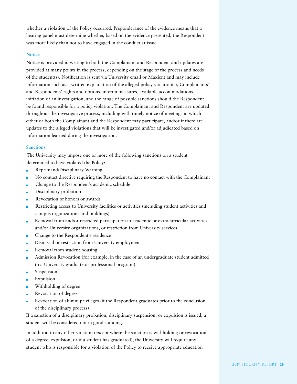whether a violation of the Policy occurred. Preponderance of the evidence means that a hearing panel must determine whether, based on the evidence presented, the Respondent was more likely than not to have engaged in the conduct at issue.

# **Notice**

Notice is provided in writing to both the Complainant and Respondent and updates are provided at many points in the process, depending on the stage of the process and needs of the student(s). Notification is sent via University email or Maxient and may include information such as a written explanation of the alleged policy violation(s), Complainants' and Respondents' rights and options, interim measures, available accommodations, initiation of an investigation, and the range of possible sanctions should the Respondent be found responsible for a policy violation. The Complainant and Respondent are updated throughout the investigative process, including with timely notice of meetings in which either or both the Complainant and the Respondent may participate, and/or if there are updates to the alleged violations that will be investigated and/or adjudicated based on information learned during the investigation.

## **Sanctions**

The University may impose one or more of the following sanctions on a student determined to have violated the Policy:

- Reprimand/Disciplinary Warning
- No contact directive requiring the Respondent to have no contact with the Complainant
- Change to the Respondent's academic schedule
- Disciplinary probation
- Revocation of honors or awards
- Restricting access to University facilities or activities (including student activities and campus organizations and buildings)
- Removal from and/or restricted participation in academic or extracurricular activities and/or University organizations, or restriction from University services
- Change to the Respondent's residence
- Dismissal or restriction from University employment
- Removal from student housing
- Admission Revocation (for example, in the case of an undergraduate student admitted to a University graduate or professional program)
- Suspension
- Expulsion
- Withholding of degree
- Revocation of degree
- Revocation of alumni privileges (if the Respondent graduates prior to the conclusion of the disciplinary process)

If a sanction of a disciplinary probation, disciplinary suspension, or expulsion is issued, a student will be considered not in good standing.

In addition to any other sanction (except where the sanction is withholding or revocation of a degree, expulsion, or if a student has graduated), the University will require any student who is responsible for a violation of the Policy to receive appropriate education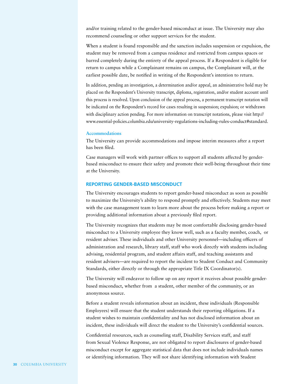and/or training related to the gender-based misconduct at issue. The University may also recommend counseling or other support services for the student.

When a student is found responsible and the sanction includes suspension or expulsion, the student may be removed from a campus residence and restricted from campus spaces or barred completely during the entirety of the appeal process. If a Respondent is eligible for return to campus while a Complainant remains on campus, the Complainant will, at the earliest possible date, be notified in writing of the Respondent's intention to return.

In addition, pending an investigation, a determination and/or appeal, an administrative hold may be placed on the Respondent's University transcript, diploma, registration, and/or student account until this process is resolved. Upon conclusion of the appeal process, a permanent transcript notation will be indicated on the Respondent's record for cases resulting in suspension; expulsion; or withdrawn with disciplinary action pending. For more information on transcript notations, please visit http:// www.essential-policies.columbia.edu/university-regulations-including-rules-conduct#standard.

## **Accommodations**

The University can provide accommodations and impose interim measures after a report has been filed.

Case managers will work with partner offices to support all students affected by genderbased misconduct to ensure their safety and promote their well-being throughout their time at the University.

# **REPORTING GENDER-BASED MISCONDUCT**

The University encourages students to report gender-based misconduct as soon as possible to maximize the University's ability to respond promptly and effectively. Students may meet with the case management team to learn more about the process before making a report or providing additional information about a previously filed report.

The University recognizes that students may be most comfortable disclosing gender-based misconduct to a University employee they know well, such as a faculty member, coach, or resident adviser. These individuals and other University personnel—including officers of administration and research, library staff, staff who work directly with students including advising, residential program, and student affairs staff, and teaching assistants and resident advisers—are required to report the incident to Student Conduct and Community Standards, either directly or through the appropriate Title IX Coordinator(s).

The University will endeavor to follow up on any report it receives about possible genderbased misconduct, whether from a student, other member of the community, or an anonymous source.

Before a student reveals information about an incident, these individuals (Responsible Employees) will ensure that the student understands their reporting obligations. If a student wishes to maintain confidentiality and has not disclosed information about an incident, these individuals will direct the student to the University's confidential sources.

Confidential resources, such as counseling staff, Disability Services staff, and staff from Sexual Violence Response, are not obligated to report disclosures of gender-based misconduct except for aggregate statistical data that does not include individuals names or identifying information. They will not share identifying information with Student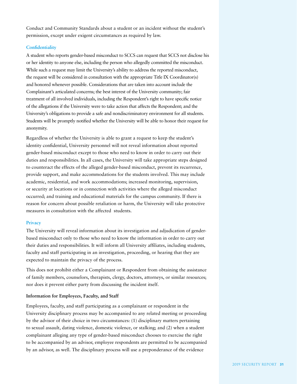Conduct and Community Standards about a student or an incident without the student's permission, except under exigent circumstances as required by law.

## **Confidentiality**

A student who reports gender-based misconduct to SCCS can request that SCCS not disclose his or her identity to anyone else, including the person who allegedly committed the misconduct. While such a request may limit the University's ability to address the reported misconduct, the request will be considered in consultation with the appropriate Title IX Coordinator(s) and honored whenever possible. Considerations that are taken into account include the Complainant's articulated concerns; the best interest of the University community; fair treatment of all involved individuals, including the Respondent's right to have specific notice of the allegations if the University were to take action that affects the Respondent; and the University's obligations to provide a safe and nondiscriminatory environment for all students. Students will be promptly notified whether the University will be able to honor their request for anonymity.

Regardless of whether the University is able to grant a request to keep the student's identity confidential, University personnel will not reveal information about reported gender-based misconduct except to those who need to know in order to carry out their duties and responsibilities. In all cases, the University will take appropriate steps designed to counteract the effects of the alleged gender-based misconduct, prevent its recurrence, provide support, and make accommodations for the students involved. This may include academic, residential, and work accommodations; increased monitoring, supervision, or security at locations or in connection with activities where the alleged misconduct occurred; and training and educational materials for the campus community. If there is reason for concern about possible retaliation or harm, the University will take protective measures in consultation with the affected students.

## **Privacy**

The University will reveal information about its investigation and adjudication of genderbased misconduct only to those who need to know the information in order to carry out their duties and responsibilities. It will inform all University affiliates, including students, faculty and staff participating in an investigation, proceeding, or hearing that they are expected to maintain the privacy of the process.

This does not prohibit either a Complainant or Respondent from obtaining the assistance of family members, counselors, therapists, clergy, doctors, attorneys, or similar resources; nor does it prevent either party from discussing the incident itself.

# **Information for Employees, Faculty, and Staff**

Employees, faculty, and staff participating as a complainant or respondent in the University disciplinary process may be accompanied to any related meeting or proceeding by the advisor of their choice in two circumstances: (1) disciplinary matters pertaining to sexual assault, dating violence, domestic violence, or stalking; and (2) when a student complainant alleging any type of gender-based misconduct chooses to exercise the right to be accompanied by an advisor, employee respondents are permitted to be accompanied by an advisor, as well. The disciplinary process will use a preponderance of the evidence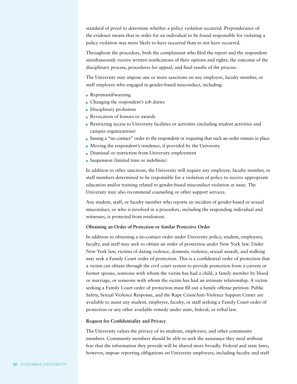standard of proof to determine whether a policy violation occurred. Preponderance of the evidence means that in order for an individual to be found responsible for violating a policy violation was more likely to have occurred than to not have occurred.

Throughout the procedure, both the complainant who filed the report and the respondent simultaneously receive written notifications of their options and rights, the outcome of the disciplinary process, procedures for appeal, and final results of the process.

The University may impose one or more sanctions on any employee, faculty member, or staff employee who engaged in gender-based misconduct, including:

- Reprimand/warning
- Changing the respondent's job duties
- **Disciplinary probation**
- Revocation of honors or awards
- Restricting access to University facilities or activities (including student activities and campus organizations)
- Issuing a "no contact" order to the respondent or requiring that such an order remain in place
- Moving the respondent's residence, if provided by the University
- Dismissal or restriction from University employment
- Suspension (limited time or indefinite)

In addition to other sanctions, the University will require any employee, faculty member, or staff members determined to be responsible for a violation of policy to receive appropriate education and/or training related to gender-based misconduct violation at issue. The University may also recommend counseling or other support services.

Any student, staff, or faculty member who reports an incident of gender-based or sexual misconduct, or who is involved in a procedure, including the responding individual and witnesses, is protected from retaliation.

# **Obtaining an Order of Protection or Similar Protective Order**

In addition to obtaining a no-contact order under University policy, student, employees, faculty, and staff may seek to obtain an order of protection under New York law. Under New York law, victims of dating violence, domestic violence, sexual assault, and stalking may seek a Family Court order of protection. This is a confidential order of protection that a victim can obtain through the civil court system to provide protection from a current or former spouse, someone with whom the victim has had a child, a family member by blood or marriage, or someone with whom the victim has had an intimate relationship. A victim seeking a Family Court order of protection must fill out a family offense petition. Public Safety, Sexual Violence Response, and the Rape Crisis/Anti-Violence Support Center are available to assist any student, employee, faculty, or staff seeking a Family Court order of protection or any other available remedy under state, federal, or tribal law.

## **Request for Confidentiality and Privacy**

The University values the privacy of its students, employees, and other community members. Community members should be able to seek the assistance they need without fear that the information they provide will be shared more broadly. Federal and state laws, however, impose reporting obligations on University employees, including faculty and staff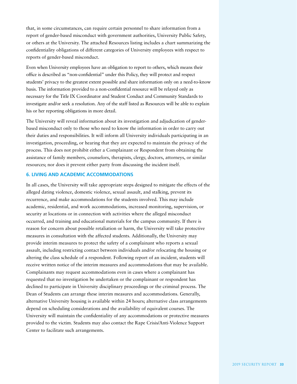that, in some circumstances, can require certain personnel to share information from a report of gender-based misconduct with government authorities, University Public Safety, or others at the University. The attached Resources listing includes a chart summarizing the confidentiality obligations of different categories of University employees with respect to reports of gender-based misconduct.

Even when University employees have an obligation to report to others, which means their office is described as "non-confidential" under this Policy, they will protect and respect students' privacy to the greatest extent possible and share information only on a need-to-know basis. The information provided to a non-confidential resource will be relayed only as necessary for the Title IX Coordinator and Student Conduct and Community Standards to investigate and/or seek a resolution. Any of the staff listed as Resources will be able to explain his or her reporting obligations in more detail.

The University will reveal information about its investigation and adjudication of genderbased misconduct only to those who need to know the information in order to carry out their duties and responsibilities. It will inform all University individuals participating in an investigation, proceeding, or hearing that they are expected to maintain the privacy of the process. This does not prohibit either a Complainant or Respondent from obtaining the assistance of family members, counselors, therapists, clergy, doctors, attorneys, or similar resources; nor does it prevent either party from discussing the incident itself.

## **6. LIVING AND ACADEMIC ACCOMMODATIONS**

In all cases, the University will take appropriate steps designed to mitigate the effects of the alleged dating violence, domestic violence, sexual assault, and stalking, prevent its recurrence, and make accommodations for the students involved. This may include academic, residential, and work accommodations, increased monitoring, supervision, or security at locations or in connection with activities where the alleged misconduct occurred, and training and educational materials for the campus community. If there is reason for concern about possible retaliation or harm, the University will take protective measures in consultation with the affected students. Additionally, the University may provide interim measures to protect the safety of a complainant who reports a sexual assault, including restricting contact between individuals and/or relocating the housing or altering the class schedule of a respondent. Following report of an incident, students will receive written notice of the interim measures and accommodations that may be available. Complainants may request accommodations even in cases where a complainant has requested that no investigation be undertaken or the complainant or respondent has declined to participate in University disciplinary proceedings or the criminal process. The Dean of Students can arrange these interim measures and accommodations. Generally, alternative University housing is available within 24 hours; alternative class arrangements depend on scheduling considerations and the availability of equivalent courses. The University will maintain the confidentiality of any accommodations or protective measures provided to the victim. Students may also contact the Rape Crisis/Anti-Violence Support Center to facilitate such arrangements.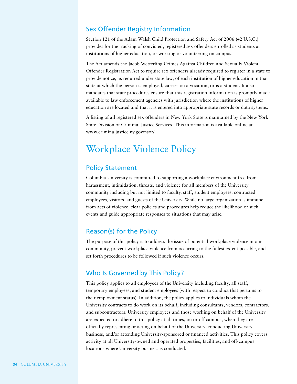# Sex Offender Registry Information

Section 121 of the Adam Walsh Child Protection and Safety Act of 2006 (42 U.S.C.) provides for the tracking of convicted, registered sex offenders enrolled as students at institutions of higher education, or working or volunteering on campus.

The Act amends the Jacob Wetterling Crimes Against Children and Sexually Violent Offender Registration Act to require sex offenders already required to register in a state to provide notice, as required under state law, of each institution of higher education in that state at which the person is employed, carries on a vocation, or is a student. It also mandates that state procedures ensure that this registration information is promptly made available to law enforcement agencies with jurisdiction where the institutions of higher education are located and that it is entered into appropriate state records or data systems.

A listing of all registered sex offenders in New York State is maintained by the New York State Division of Criminal Justice Services. This information is available online at www.criminaljustice.ny.gov/nsor/

# Workplace Violence Policy

# Policy Statement

Columbia University is committed to supporting a workplace environment free from harassment, intimidation, threats, and violence for all members of the University community including but not limited to faculty, staff, student employees, contracted employees, visitors, and guests of the University. While no large organization is immune from acts of violence, clear policies and procedures help reduce the likelihood of such events and guide appropriate responses to situations that may arise.

# Reason(s) for the Policy

The purpose of this policy is to address the issue of potential workplace violence in our community, prevent workplace violence from occurring to the fullest extent possible, and set forth procedures to be followed if such violence occurs.

# Who Is Governed by This Policy?

This policy applies to all employees of the University including faculty, all staff, temporary employees, and student employees (with respect to conduct that pertains to their employment status). In addition, the policy applies to individuals whom the University contracts to do work on its behalf, including consultants, vendors, contractors, and subcontractors. University employees and those working on behalf of the University are expected to adhere to this policy at all times, on or off campus, when they are officially representing or acting on behalf of the University, conducting University business, and/or attending University-sponsored or financed activities. This policy covers activity at all University-owned and operated properties, facilities, and off-campus locations where University business is conducted.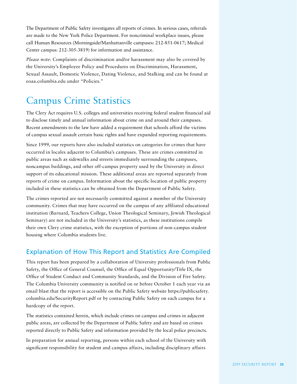The Department of Public Safety investigates all reports of crimes. In serious cases, referrals are made to the New York Police Department. For noncriminal workplace issues, please call Human Resources (Morningside/Manhattanville campuses: 212-851-0617; Medical Center campus: 212-305-3819) for information and assistance.

*Please note:* Complaints of discrimination and/or harassment may also be covered by the University's Employee Policy and Procedures on Discrimination, Harassment, Sexual Assault, Domestic Violence, Dating Violence, and Stalking and can be found at eoaa.columbia.edu under "Policies."

### Campus Crime Statistics

The Clery Act requires U.S. colleges and universities receiving federal student financial aid to disclose timely and annual information about crime on and around their campuses. Recent amendments to the law have added a requirement that schools afford the victims of campus sexual assault certain basic rights and have expanded reporting requirements.

Since 1999, our reports have also included statistics on categories for crimes that have occurred in locales adjacent to Columbia's campuses. These are crimes committed in public areas such as sidewalks and streets immediately surrounding the campuses, noncampus buildings, and other off-campus property used by the University in direct support of its educational mission. These additional areas are reported separately from reports of crime on campus. Information about the specific location of public property included in these statistics can be obtained from the Department of Public Safety.

The crimes reported are not necessarily committed against a member of the University community. Crimes that may have occurred on the campus of any affiliated educational institution (Barnard, Teachers College, Union Theological Seminary, Jewish Theological Seminary) are not included in the University's statistics, as these institutions compile their own Clery crime statistics, with the exception of portions of non-campus student housing where Columbia students live.

### Explanation of How This Report and Statistics Are Compiled

This report has been prepared by a collaboration of University professionals from Public Safety, the Office of General Counsel, the Office of Equal Opportunity/Title IX, the Office of Student Conduct and Community Standards, and the Division of Fire Safety. The Columbia University community is notified on or before October 1 each year via an email blast that the report is accessible on the Public Safety website https://publicsafety. columbia.edu/SecurityReport.pdf or by contacting Public Safety on each campus for a hardcopy of the report.

The statistics contained herein, which include crimes on campus and crimes in adjacent public areas, are collected by the Department of Public Safety and are based on crimes reported directly to Public Safety and information provided by the local police precincts.

In preparation for annual reporting, persons within each school of the University with significant responsibility for student and campus affairs, including disciplinary affairs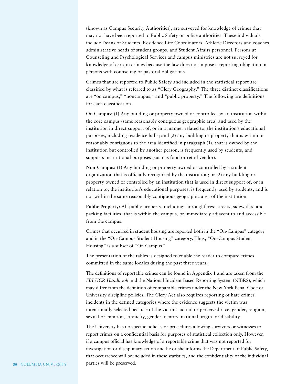(known as Campus Security Authorities), are surveyed for knowledge of crimes that may not have been reported to Public Safety or police authorities. These individuals include Deans of Students, Residence Life Coordinators, Athletic Directors and coaches, administrative heads of student groups, and Student Affairs personnel. Persons at Counseling and Psychological Services and campus ministries are not surveyed for knowledge of certain crimes because the law does not impose a reporting obligation on persons with counseling or pastoral obligations.

Crimes that are reported to Public Safety and included in the statistical report are classified by what is referred to as "Clery Geography." The three distinct classifications are "on campus," "noncampus," and "public property." The following are definitions for each classification.

**On Campus:** (1) Any building or property owned or controlled by an institution within the core campus (same reasonably contiguous geographic area) and used by the institution in direct support of, or in a manner related to, the institution's educational purposes, including residence halls; and (2) any building or property that is within or reasonably contiguous to the area identified in paragraph (1), that is owned by the institution but controlled by another person, is frequently used by students, and supports institutional purposes (such as food or retail vendor).

**Non-Campus:** (1) Any building or property owned or controlled by a student organization that is officially recognized by the institution; or (2) any building or property owned or controlled by an institution that is used in direct support of, or in relation to, the institution's educational purposes, is frequently used by students, and is not within the same reasonably contiguous geographic area of the institution.

**Public Property:** All public property, including thoroughfares, streets, sidewalks, and parking facilities, that is within the campus, or immediately adjacent to and accessible from the campus.

Crimes that occurred in student housing are reported both in the "On-Campus" category and in the "On-Campus Student Housing" category. Thus, "On-Campus Student Housing" is a subset of "On Campus."

The presentation of the tables is designed to enable the reader to compare crimes committed in the same locales during the past three years.

The definitions of reportable crimes can be found in Appendix 1 and are taken from the *FBI UCR Handbook* and the National Incident Based Reporting System (NIBRS), which may differ from the definition of comparable crimes under the New York Penal Code or University discipline policies. The Clery Act also requires reporting of hate crimes incidents in the defined categories where the evidence suggests the victim was intentionally selected because of the victim's actual or perceived race, gender, religion, sexual orientation, ethnicity, gender identity, national origin, or disability.

The University has no specific policies or procedures allowing survivors or witnesses to report crimes on a confidential basis for purposes of statistical collection only. However, if a campus official has knowledge of a reportable crime that was not reported for investigation or disciplinary action and he or she informs the Department of Public Safety, that occurrence will be included in these statistics, and the confidentiality of the individual **36** COLUMBIA UNIVERSITY **parties will be preserved.**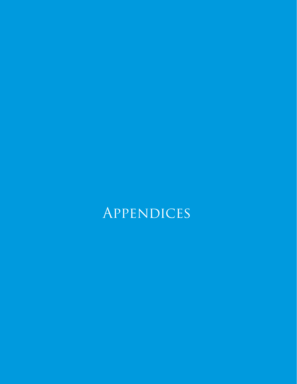# **APPENDICES**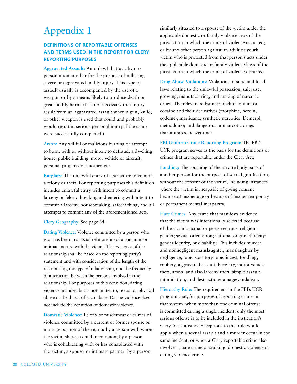### Appendix 1

#### **DEFINITIONS OF REPORTABLE OFFENSES AND TERMS USED IN THE REPORT FOR CLERY REPORTING PURPOSES**

**Aggravated Assault:** An unlawful attack by one person upon another for the purpose of inflicting severe or aggravated bodily injury. This type of assault usually is accompanied by the use of a weapon or by a means likely to produce death or great bodily harm. (It is not necessary that injury result from an aggravated assault when a gun, knife, or other weapon is used that could and probably would result in serious personal injury if the crime were successfully completed.)

**Arson:** Any willful or malicious burning or attempt to burn, with or without intent to defraud, a dwelling house, public building, motor vehicle or aircraft, personal property of another, etc.

**Burglary:** The unlawful entry of a structure to commit a felony or theft. For reporting purposes this definition includes unlawful entry with intent to commit a larceny or felony, breaking and entering with intent to commit a larceny, housebreaking, safecracking, and all attempts to commit any of the aforementioned acts.

**Clery Geography:** See page 34.

**Dating Violence:** Violence committed by a person who is or has been in a social relationship of a romantic or intimate nature with the victim. The existence of the relationship shall be based on the reporting party's statement and with consideration of the length of the relationship, the type of relationship, and the frequency of interaction between the persons involved in the relationship. For purposes of this definition, dating violence includes, but is not limited to, sexual or physical abuse or the threat of such abuse. Dating violence does not include the definition of domestic violence.

**Domestic Violence:** Felony or misdemeanor crimes of violence committed by a current or former spouse or intimate partner of the victim; by a person with whom the victim shares a child in common; by a person who is cohabitating with or has cohabitated with the victim, a spouse, or intimate partner; by a person

similarly situated to a spouse of the victim under the applicable domestic or family violence laws of the jurisdiction in which the crime of violence occurred; or by any other person against an adult or youth victim who is protected from that person's acts under the applicable domestic or family violence laws of the jurisdiction in which the crime of violence occurred.

**Drug Abuse Violations:** Violations of state and local laws relating to the unlawful possession, sale, use, growing, manufacturing, and making of narcotic drugs. The relevant substances include opium or cocaine and their derivatives (morphine, heroin, codeine); marijuana; synthetic narcotics (Demerol, methadone); and dangerous nonnarcotic drugs (barbiturates, benzedrine).

**FBI Uniform Crime Reporting Program:** The FBI's UCR program serves as the basis for the definitions of crimes that are reportable under the Clery Act.

**Fondling:** The touching of the private body parts of another person for the purpose of sexual gratification, without the consent of the victim, including instances where the victim is incapable of giving consent because of his/her age or because of his/her temporary or permanent mental incapacity.

**Hate Crimes:** Any crime that manifests evidence that the victim was intentionally selected because of the victim's actual or perceived race; religion; gender; sexual orientation; national origin; ethnicity; gender identity, or disability. This includes murder and nonnegligent manslaughter, manslaughter by negligence, rape, statutory rape, incest, fondling, robbery, aggravated assault, burglary, motor vehicle theft, arson, and also larceny-theft, simple assault, intimidation, and destruction/damage/vandalism.

**Hierarchy Rule:** The requirement in the FBI's UCR program that, for purposes of reporting crimes in that system, when more than one criminal offense is committed during a single incident, only the most serious offense is to be included in the institution's Clery Act statistics. Exceptions to this rule would apply when a sexual assault and a murder occur in the same incident, or when a Clery reportable crime also involves a hate crime or stalking, domestic violence or dating violence crime.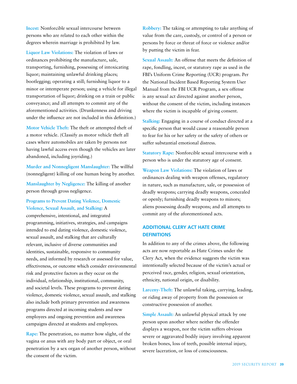**Incest:** Nonforcible sexual intercourse between persons who are related to each other within the degrees wherein marriage is prohibited by law.

**Liquor Law Violations:** The violation of laws or ordinances prohibiting the manufacture, sale, transporting, furnishing, possessing of intoxicating liquor; maintaining unlawful drinking places; bootlegging; operating a still; furnishing liquor to a minor or intemperate person; using a vehicle for illegal transportation of liquor; drinking on a train or public conveyance; and all attempts to commit any of the aforementioned activities. (Drunkenness and driving under the influence are not included in this definition.)

**Motor Vehicle Theft:** The theft or attempted theft of a motor vehicle. (Classify as motor vehicle theft all cases where automobiles are taken by persons not having lawful access even though the vehicles are later abandoned, including joyriding.)

**Murder and Nonnegligent Manslaughter:** The willful (nonnegligent) killing of one human being by another.

**Manslaughter by Negligence:** The killing of another person through gross negligence.

#### **Programs to Prevent Dating Violence, Domestic Violence, Sexual Assault, and Stalking:** A

comprehensive, intentional, and integrated programming, initiatives, strategies, and campaigns intended to end dating violence, domestic violence, sexual assault, and stalking that are culturally relevant, inclusive of diverse communities and identities, sustainable, responsive to community needs, and informed by research or assessed for value, effectiveness, or outcome which consider environmental risk and protective factors as they occur on the individual, relationship, institutional, community, and societal levels. These programs to prevent dating violence, domestic violence, sexual assault, and stalking also include both primary prevention and awareness programs directed at incoming students and new employees and ongoing prevention and awareness campaigns directed at students and employees.

**Rape:** The penetration, no matter how slight, of the vagina or anus with any body part or object, or oral penetration by a sex organ of another person, without the consent of the victim.

**Robbery:** The taking or attempting to take anything of value from the care, custody, or control of a person or persons by force or threat of force or violence and/or by putting the victim in fear.

**Sexual Assault:** An offense that meets the definition of rape, fondling, incest, or statutory rape as used in the FBI's Uniform Crime Reporting (UCR) program. Per the National Incident Based Reporting System User Manual from the FBI UCR Program, a sex offense is any sexual act directed against another person, without the consent of the victim, including instances where the victim is incapable of giving consent.

**Stalking:** Engaging in a course of conduct directed at a specific person that would cause a reasonable person to fear for his or her safety or the safety of others or suffer substantial emotional distress.

**Statutory Rape:** Nonforcible sexual intercourse with a person who is under the statutory age of consent.

**Weapon Law Violations:** The violation of laws or ordinances dealing with weapon offenses, regulatory in nature, such as manufacture, sale, or possession of deadly weapons; carrying deadly weapons, concealed or openly; furnishing deadly weapons to minors; aliens possessing deadly weapons; and all attempts to commit any of the aforementioned acts.

#### **ADDITIONAL CLERY ACT HATE CRIME DEFINITIONS**

In addition to any of the crimes above, the following acts are now reportable as Hate Crimes under the Clery Act, when the evidence suggests the victim was intentionally selected because of the victim's actual or perceived race, gender, religion, sexual orientation, ethnicity, national origin, or disability.

**Larceny-Theft:** The unlawful taking, carrying, leading, or riding away of property from the possession or constructive possession of another.

**Simple Assault:** An unlawful physical attack by one person upon another where neither the offender displays a weapon, nor the victim suffers obvious severe or aggravated bodily injury involving apparent broken bones, loss of teeth, possible internal injury, severe laceration, or loss of consciousness.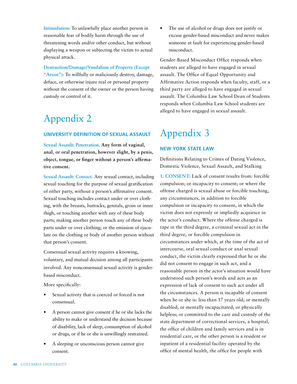**Intimidation:** To unlawfully place another person in reasonable fear of bodily harm through the use of threatening words and/or other conduct, but without displaying a weapon or subjecting the victim to actual physical attack.

**Destruction/Damage/Vandalism of Property (Except**  "Arson"): To willfully or maliciously destroy, damage, deface, or otherwise injure real or personal property without the consent of the owner or the person having custody or control of it.

### Appendix 2

#### **UNIVERSITY DEFINITION OF SEXUAL ASSAULT**

**Sexual Assault: Penetration. Any form of vaginal, anal, or oral penetration, however slight, by a penis, object, tongue, or finger without a person's affirmative consent.**

**Sexual Assault: Contact.** Any sexual contact, including sexual touching for the purpose of sexual gratification of either party, without a person's affirmative consent. Sexual touching includes contact under or over clothing, with the breasts, buttocks, genitals, groin or inner thigh, or touching another with any of these body parts; making another person touch any of these body parts under or over clothing; or the emission of ejaculate on the clothing or body of another person without that person's consent.

Consensual sexual activity requires a knowing, voluntary, and mutual decision among all participants involved. Any nonconsensual sexual activity is genderbased misconduct.

More specifically:

- Sexual activity that is coerced or forced is not consensual.
- A person cannot give consent if he or she lacks the ability to make or understand the decision because of disability, lack of sleep, consumption of alcohol or drugs, or if he or she is unwillingly restrained.
- A sleeping or unconscious person cannot give consent.

The use of alcohol or drugs does not justify or excuse gender-based misconduct and never makes someone at fault for experiencing gender-based misconduct.

Gender-Based Misconduct Office responds when students are alleged to have engaged in sexual assault. The Office of Equal Opportunity and Affirmative Action responds when faculty, staff, or a third party are alleged to have engaged in sexual assault. The Columbia Law School Dean of Students responds when Columbia Law School students are alleged to have engaged in sexual assault.

### Appendix 3

#### **NEW YORK STATE LAW**

Definitions Relating to Crimes of Dating Violence, Domestic Violence, Sexual Assault, and Stalking

**1. CONSENT:** Lack of consent results from: forcible compulsion; or incapacity to consent; or where the offense charged is sexual abuse or forcible touching, any circumstances, in addition to forcible compulsion or incapacity to consent, in which the victim does not expressly or impliedly acquiesce in the actor's conduct. Where the offense charged is rape in the third degree, a criminal sexual act in the third degree, or forcible compulsion in circumstances under which, at the time of the act of intercourse, oral sexual conduct or anal sexual conduct, the victim clearly expressed that he or she did not consent to engage in such act, and a reasonable person in the actor's situation would have understood such person's words and acts as an expression of lack of consent to such act under all the circumstances. A person is incapable of consent when he or she is: less than 17 years old; or mentally disabled; or mentally incapacitated; or physically helpless; or committed to the care and custody of the state department of correctional services, a hospital, the office of children and family services and is in residential care, or the other person is a resident or inpatient of a residential facility operated by the office of mental health, the office for people with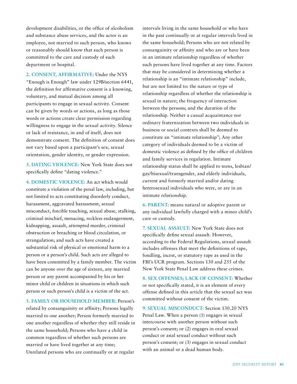development disabilities, or the office of alcoholism and substance abuse services, and the actor is an employee, not married to such person, who knows or reasonably should know that such person is committed to the care and custody of such department or hospital.

**2. CONSENT, AFFIRMATIVE:** Under the NYS "Enough is Enough" law under 129B/section 6441, the definition for affirmative consent is a knowing, voluntary, and mutual decision among all participants to engage in sexual activity. Consent can be given by words or actions, as long as those words or actions create clear permission regarding willingness to engage in the sexual activity. Silence or lack of resistance, in and of itself, does not demonstrate consent. The definition of consent does not vary based upon a participant's sex, sexual orientation, gender identity, or gender expression.

**3. DATING VIOLENCE:** New York State does not specifically define "dating violence."

**4. DOMESTIC VIOLENCE:** An act which would constitute a violation of the penal law, including, but not limited to acts constituting disorderly conduct, harassment, aggravated harassment, sexual misconduct, forcible touching, sexual abuse, stalking, criminal mischief, menacing, reckless endangerment, kidnapping, assault, attempted murder, criminal obstruction or breaching or blood circulation, or strangulation; and such acts have created a substantial risk of physical or emotional harm to a person or a person's child. Such acts are alleged to have been committed by a family member. The victim can be anyone over the age of sixteen, any married person or any parent accompanied by his or her minor child or children in situations in which such person or such person's child is a victim of the act.

**5. FAMILY OR HOUSEHOLD MEMBER:** Person's related by consanguinity or affinity; Persons legally married to one another; Person formerly married to one another regardless of whether they still reside in the same household; Persons who have a child in common regardless of whether such persons are married or have lived together at any time; Unrelated persons who are continually or at regular

intervals living in the same household or who have in the past continually or at regular intervals lived in the same household; Persons who are not related by consanguinity or affinity and who are or have been in an intimate relationship regardless of whether such persons have lived together at any time. Factors that may be considered in determining whether a relationship is an "intimate relationship" include, but are not limited to: the nature or type of relationship regardless of whether the relationship is sexual in nature; the frequency of interaction between the persons; and the duration of the relationship. Neither a casual acquaintance nor ordinary fraternization between two individuals in business or social contexts shall be deemed to constitute an "intimate relationship"; Any other category of individuals deemed to be a victim of domestic violence as defined by the office of children and family services in regulation. Intimate relationship status shall be applied to teens, lesbian/ gay/bisexual/transgender, and elderly individuals, current and formerly married and/or dating heterosexual individuals who were, or are in an intimate relationship.

**6. PARENT:** means natural or adoptive parent or any individual lawfully charged with a minor child's care or custody.

**7. SEXUAL ASSAULT:** New York State does not specifically define sexual assault. However, according to the Federal Regulations, sexual assault includes offenses that meet the definitions of rape, fondling, incest, or statutory rape as used in the FBI's UCR program. Sections 130 and 255 of the New York State Penal Law address these crimes.

**8. SEX OFFENSES; LACK OF CONSENT:** Whether or not specifically stated, it is an element of every offense defined in this article that the sexual act was committed without consent of the victim.

**9. SEXUAL MISCONDUCT:** Section 130.20 NYS Penal Law. When a person (1) engages in sexual intercourse with another person without such person's consent; or (2) engages in oral sexual conduct or anal sexual conduct without such person's consent; or (3) engages in sexual conduct with an animal or a dead human body.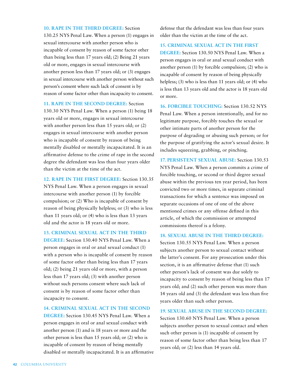#### **10. RAPE IN THE THIRD DEGREE:** Section

130.25 NYS Penal Law. When a person (1) engages in sexual intercourse with another person who is incapable of consent by reason of some factor other than being less than 17 years old; (2) Being 21 years old or more, engages in sexual intercourse with another person less than 17 years old; or (3) engages in sexual intercourse with another person without such person's consent where such lack of consent is by reason of some factor other than incapacity to consent.

**11. RAPE IN THE SECOND DEGREE:** Section 130.30 NYS Penal Law. When a person (1) being 18 years old or more, engages in sexual intercourse with another person less than 15 years old; or (2) engages in sexual intercourse with another person who is incapable of consent by reason of being mentally disabled or mentally incapacitated. It is an affirmative defense to the crime of rape in the second degree the defendant was less than four years older than the victim at the time of the act.

**12. RAPE IN THE FIRST DEGREE:** Section 130.35 NYS Penal Law. When a person engages in sexual intercourse with another person (1) by forcible compulsion; or (2) Who is incapable of consent by reason of being physically helpless; or (3) who is less than 11 years old; or (4) who is less than 13 years old and the actor is 18 years old or more.

**13. CRIMINAL SEXUAL ACT IN THE THIRD** 

**DEGREE:** Section 130.40 NYS Penal Law. When a person engages in oral or anal sexual conduct (1) with a person who is incapable of consent by reason of some factor other than being less than 17 years old; (2) being 21 years old or more, with a person less than 17 years old; (3) with another person without such persons consent where such lack of consent is by reason of some factor other than incapacity to consent.

**14. CRIMINAL SEXUAL ACT IN THE SECOND** 

**DEGREE:** Section 130.45 NYS Penal Law. When a person engages in oral or anal sexual conduct with another person (1) and is 18 years or more and the other person is less than 15 years old; or (2) who is incapable of consent by reason of being mentally disabled or mentally incapacitated. It is an affirmative

defense that the defendant was less than four years older than the victim at the time of the act.

#### **15. CRIMINAL SEXUAL ACT IN THE FIRST**

**DEGREE:** Section 130.50 NYS Penal Law. When a person engages in oral or anal sexual conduct with another person (1) by forcible compulsion; (2) who is incapable of consent by reason of being physically helpless; (3) who is less than 11 years old; or (4) who is less than 13 years old and the actor is 18 years old or more.

**16. FORCIBLE TOUCHING:** Section 130.52 NYS Penal Law. When a person intentionally, and for no legitimate purpose, forcibly touches the sexual or other intimate parts of another person for the purpose of degrading or abusing such person; or for the purpose of gratifying the actor's sexual desire. It includes squeezing, grabbing, or pinching.

**17. PERSISTENT SEXUAL ABUSE:** Section 130.53 NYS Penal Law. When a person commits a crime of forcible touching, or second or third degree sexual abuse within the previous ten year period, has been convicted two or more times, in separate criminal transactions for which a sentence was imposed on separate occasions of one of one of the above mentioned crimes or any offense defined in this article, of which the commission or attempted commissions thereof is a felony.

#### **18. SEXUAL ABUSE IN THE THIRD DEGREE:**

Section 130.55 NYS Penal Law. When a person subjects another person to sexual contact without the latter's consent. For any prosecution under this section, it is an affirmative defense that (1) such other person's lack of consent was due solely to incapacity to consent by reason of being less than 17 years old; and (2) such other person was more than 14 years old and (3) the defendant was less than five years older than such other person.

#### **19. SEXUAL ABUSE IN THE SECOND DEGREE:**

Section 130.60 NYS Penal Law. When a person subjects another person to sexual contact and when such other person is (1) incapable of consent by reason of some factor other than being less than 17 years old; or (2) less than 14 years old.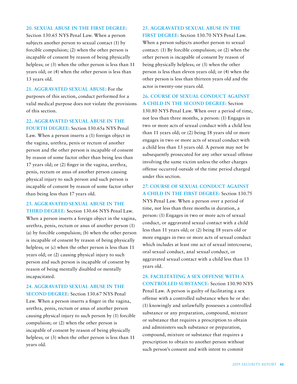#### **20. SEXUAL ABUSE IN THE FIRST DEGREE:**

Section 130.65 NYS Penal Law. When a person subjects another person to sexual contact (1) by forcible compulsion; (2) when the other person is incapable of consent by reason of being physically helpless; or (3) when the other person is less than 11 years old; or (4) when the other person is less than 13 years old.

**21. AGGRAVATED SEXUAL ABUSE:** For the purposes of this section, conduct performed for a valid medical purpose does not violate the provisions of this section.

**22. AGGRAVATED SEXUAL ABUSE IN THE** 

**FOURTH DEGREE:** Section 130.65a NYS Penal Law. When a person inserts a (1) foreign object in the vagina, urethra, penis or rectum of another person and the other person is incapable of consent by reason of some factor other than being less than 17 years old; or (2) finger in the vagina, urethra, penis, rectum or anus of another person causing physical injury to such person and such person is incapable of consent by reason of some factor other than being less than 17 years old.

#### **23. AGGRAVATED SEXUAL ABUSE IN THE**

**THIRD DEGREE:** Section 130.66 NYS Penal Law. When a person inserts a foreign object in the vagina, urethra, penis, rectum or anus of another person (1) (a) by forcible compulsion; (b) when the other person is incapable of consent by reason of being physically helpless; or (c) when the other person is less than 11 years old; or (2) causing physical injury to such person and such person is incapable of consent by reason of being mentally disabled or mentally incapacitated.

**24. AGGRAVATED SEXUAL ABUSE IN THE SECOND DEGREE:** Section 130.67 NYS Penal

Law. When a person inserts a finger in the vagina, urethra, penis, rectum or anus of another person causing physical injury to such person by (1) forcible compulsion; or (2) when the other person is incapable of consent by reason of being physically helpless; or (3) when the other person is less than 11 years old.

#### **25. AGGRAVATED SEXUAL ABUSE IN THE**

**FIRST DEGREE:** Section 130.70 NYS Penal Law. When a person subjects another person to sexual contact: (1) By forcible compulsion; or (2) when the other person is incapable of consent by reason of being physically helpless; or (3) when the other person is less than eleven years old; or (4) when the other person is less than thirteen years old and the actor is twenty-one years old.

#### **26. COURSE OF SEXUAL CONDUCT AGAINST A CHILD IN THE SECOND DEGREE:** Section

130.80 NYS Penal Law. When over a period of time, not less than three months, a person: (1) Engages in two or more acts of sexual conduct with a child less than 11 years old; or (2) being 18 years old or more engages in two or more acts of sexual conduct with a child less than 13 years old. A person may not be subsequently prosecuted for any other sexual offense involving the same victim unless the other charges offense occurred outside of the time period charged under this section.

**27. COURSE OF SEXUAL CONDUCT AGAINST A CHILD IN THE FIRST DEGREE:** Section 130.75

NYS Penal Law. When a person over a period of time, not less than three months in duration, a person: (1) Engages in two or more acts of sexual conduct, or aggravated sexual contact with a child less than 11 years old; or (2) being 18 years old or more engages in two or more acts of sexual conduct which includes at least one act of sexual intercourse, oral sexual conduct, anal sexual conduct, or aggravated sexual contact with a child less than 13 years old.

**28. FACILITATING A SEX OFFENSE WITH A CONTROLLED SUBSTANCE:** Section 130.90 NYS Penal Law. A person is guilty of facilitating a sex offense with a controlled substance when he or she: (1) knowingly and unlawfully possesses a controlled substance or any preparation, compound, mixture or substance that requires a prescription to obtain and administers such substance or preparation, compound, mixture or substance that requires a prescription to obtain to another person without such person's consent and with intent to commit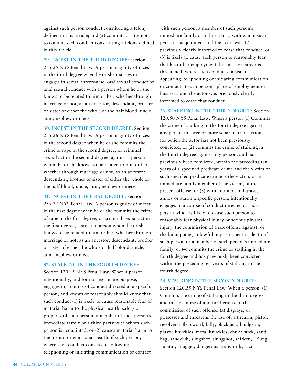against such person conduct constituting a felony defined in this article; and (2) commits or attempts to commit such conduct constituting a felony defined in this article.

**29. INCEST IN THE THIRD DEGREE:** Section 255.25 NYS Penal Law. A person is guilty of incest in the third degree when he or she marries or engages in sexual intercourse, oral sexual conduct or anal sexual conduct with a person whom he or she knows to be related to him or her, whether through marriage or not, as an ancestor, descendant, brother or sister of either the whole or the half blood, uncle, aunt, nephew or niece.

**30. INCEST IN THE SECOND DEGREE:** Section 255.26 NYS Penal Law. A person is guilty of incest in the second degree when he or she commits the crime of rape in the second degree, or criminal sexual act in the second degree, against a person whom he or she knows to be related to him or her, whether through marriage or not, as an ancestor, descendant, brother or sister of either the whole or the half blood, uncle, aunt, nephew or niece.

**31. INCEST IN THE FIRST DEGREE:** Section 255.27 NYS Penal Law. A person is guilty of incest in the first degree when he or she commits the crime of rape in the first degree, or criminal sexual act in the first degree, against a person whom he or she knows to be related to him or her, whether through marriage or not, as an ancestor, descendant, brother or sister of either the whole or half blood, uncle, aunt, nephew or niece.

#### **32. STALKING IN THE FOURTH DEGREE:**

Section 120.45 NYS Penal Law. When a person intentionally, and for not legitimate purpose, engages in a course of conduct directed at a specific person, and knows or reasonably should know that such conduct (1) is likely to cause reasonable fear of material harm to the physical health, safety or property of such person, a member of such person's immediate family or a third party with whom such person is acquainted; or (2) causes material harm to the mental or emotional health of such person, where such conduct consists of following, telephoning or initiating communication or contact

with such person, a member of such person's immediate family or a third party with whom such person is acquainted, and the actor was 12 previously clearly informed to cease that conduct; or (3) is likely to cause such person to reasonably fear that his or her employment, business or career is threatened, where such conduct consists of appearing, telephoning or initiating communication or contact at such person's place of employment or business, and the actor was previously clearly informed to cease that conduct.

**33. STALKING IN THE THIRD DEGREE:** Section 120.50 NYS Penal Law. When a person (1) Commits the crime of stalking in the fourth degree against any person in three or more separate transactions, for which the actor has not been previously convicted; or (2) commits the crime of stalking in the fourth degree against any person, and has previously been convicted, within the preceding ten years of a specified predicate crime and the victim of such specified predicate crime is the victim, or an immediate family member of the victim, of the present offense; or (3) with an intent to harass, annoy or alarm a specific person, intentionally engages in a course of conduct directed at such person which is likely to cause such person to reasonably fear physical injury or serious physical injury, the commission of a sex offense against, or the kidnapping, unlawful imprisonment or death of such person or a member of such person's immediate family; or (4) commits the crime or stalking in the fourth degree and has previously been convicted within the preceding ten years of stalking in the fourth degree.

#### **34. STALKING IN THE SECOND DEGREE:**

Section 120.55 NYS Penal Law. When a person: (1) Commits the crime of stalking in the third degree and in the course of and furtherance of the commission of such offense: (a) displays, or possesses and threatens the use of, a firearm, pistol, revolver, rifle, sword, billy, blackjack, bludgeon, plastic knuckles, metal knuckles, chuka stick, sand bag, sandclub, slingshot, slungshot, shirken, "Kung Fu Star," dagger, dangerous knife, dirk, razor,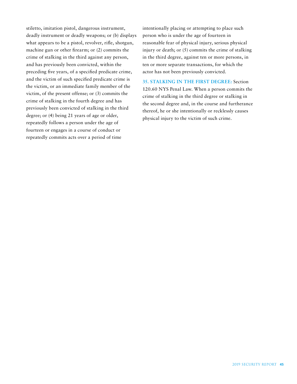stiletto, imitation pistol, dangerous instrument, deadly instrument or deadly weapons; or (b) displays what appears to be a pistol, revolver, rifle, shotgun, machine gun or other firearm; or (2) commits the crime of stalking in the third against any person, and has previously been convicted, within the preceding five years, of a specified predicate crime, and the victim of such specified predicate crime is the victim, or an immediate family member of the victim, of the present offense; or (3) commits the crime of stalking in the fourth degree and has previously been convicted of stalking in the third degree; or (4) being 21 years of age or older, repeatedly follows a person under the age of fourteen or engages in a course of conduct or repeatedly commits acts over a period of time

intentionally placing or attempting to place such person who is under the age of fourteen in reasonable fear of physical injury, serious physical injury or death; or (5) commits the crime of stalking in the third degree, against ten or more persons, in ten or more separate transactions, for which the actor has not been previously convicted.

**35. STALKING IN THE FIRST DEGREE:** Section 120.60 NYS Penal Law. When a person commits the crime of stalking in the third degree or stalking in the second degree and, in the course and furtherance thereof, he or she intentionally or recklessly causes physical injury to the victim of such crime.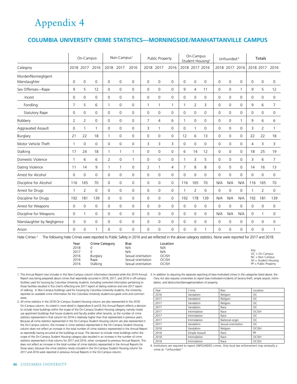## Appendix 4

#### **COLUMBIA UNIVERSITY CRIME STATISTICS—MORNINGSIDE/MANHATTANVILLE CAMPUS**

| On-Campus                           |                     | Non-Campus <sup>1</sup> |                     |                     | Public Property |                     |                | On-Campus<br>Student Housing <sup>2</sup> |              |                | Unfounded <sup>4</sup> |              |             | Totals              |                |                |                |                |
|-------------------------------------|---------------------|-------------------------|---------------------|---------------------|-----------------|---------------------|----------------|-------------------------------------------|--------------|----------------|------------------------|--------------|-------------|---------------------|----------------|----------------|----------------|----------------|
| Category                            |                     | 2018 2017               | 2016                | 2018                | 2017            | 2016                | 2018           | 2017                                      | 2016         |                | 2018 2017 2016         |              |             | 2018 2017 2016      |                |                | 2018 2017      | 2016           |
| Murder/Nonnegligent<br>Manslaughter | $\mathbf 0$         | 0                       | 0                   | $\mathbf 0$         | 0               | $\mathbf 0$         | 0              | 0                                         | 0            | $\mathbf 0$    | $\mathbf 0$            | $\mathbf 0$  | 0           | $\mathbf 0$         | 0              | 0              | 0              | 0              |
| Sex Offenses-Rape                   | 9                   | 5                       | 12                  | 0                   | $\mathbf 0$     | $\Omega$            | $\mathbf 0$    | 0                                         | 0            | 9              | 4                      | 11           | 0           | $\mathbf 0$         | 1              | 9              | 5              | 12             |
| Incest                              | $\mathbf 0$         | $\Omega$                | $\mathbf 0$         | $\mathbf 0$         | $\Omega$        | $\Omega$            | $\Omega$       | $\mathbf 0$                               | 0            | $\mathbf 0$    | $\mathbf 0$            | $\mathbf 0$  | $\mathbf 0$ | $\mathbf 0$         | $\Omega$       | $\mathbf 0$    | $\Omega$       | $\Omega$       |
| Fondling                            | 7                   | 5                       | 6                   | $\mathbf{1}$        | $\mathbf 0$     | 0                   | 1              | $\mathbf{1}$                              | $\mathbf{1}$ | 1              | 2                      | 3            | 0           | $\mathbf 0$         | 0              | 9              | 6              | $\overline{7}$ |
| <b>Statutory Rape</b>               | 0                   | 0                       | $\mathbf 0$         | $\mathbf 0$         | $\mathbf 0$     | 0                   | 0              | $\mathbf 0$                               | 0            | 0              | $\mathbf 0$            | $\mathbf 0$  | 0           | $\mathbf 0$         | 0              | $\mathbf 0$    | 0              | 0              |
| Robbery                             | $\overline{2}$      | $\overline{2}$          | $\mathsf{O}\xspace$ | $\mathsf{O}\xspace$ | $\mathbf 0$     | 0                   | $\overline{7}$ | 4                                         | 6            | 1              | $\mathbf 0$            | $\mathbf 0$  | 0           | $\mathsf{O}\xspace$ | 1              | 9              | 6              | 6              |
| Aggravated Assault                  | $\mathbf 0$         | $\mathbf{1}$            | $\mathbf{1}$        | $\mathbf 0$         | $\Omega$        | $\Omega$            | 3              | $\mathbf{1}$                              | 0            | $\mathbf 0$    | $\mathbf{1}$           | $\Omega$     | 0           | $\mathbf 0$         | $\overline{0}$ | 3              | $\overline{2}$ | $\mathbf{1}$   |
| Burglary                            | 21                  | 22                      | 18                  | $\mathbf{1}$        | $\Omega$        | 0                   | $\mathbf 0$    | 0                                         | 0            | 12             | 6                      | 13           | 0           | $\mathbf 0$         | 0              | 22             | 22             | 18             |
| Motor Vehicle Theft                 | $\mathbf{1}$        | $\mathbf 0$             | $\mathbf 0$         | 0                   | $\Omega$        | 0                   | 3              | 3                                         | 3            | $\mathbf 0$    | $\mathbf 0$            | $\mathbf 0$  | 0           | 0                   | $\Omega$       | $\overline{4}$ | 3              | 3              |
| Stalking                            | 17                  | 24                      | 18                  | $\mathbf{1}$        | 1               | $\mathbf{1}$        | 0              | $\mathbf 0$                               | 0            | 6              | 14                     | 12           | 0           | $\mathbf 0$         | 0              | 18             | 25             | 19             |
| Domestic Violence                   | $\mathbf{1}$        | 6                       | 6                   | $\overline{2}$      | $\mathbf 0$     | 1                   | $\mathbf 0$    | $\mathsf{O}\xspace$                       | 0            | 1              | 3                      | 5            | 0           | $\mathsf{O}\xspace$ | $\mathbf 0$    | 3              | 6              | $\overline{7}$ |
| Dating Violence                     | 11                  | 14                      | 9                   | $\mathbf{1}$        | $\mathbf{1}$    | 0                   | $\overline{2}$ | $\mathbf{1}$                              | 4            | $\overline{7}$ | 8                      | 8            | 0           | $\mathsf{O}\xspace$ | $\overline{0}$ | 14             | 16             | 13             |
| Arrest for Alcohol                  | $\mathbf 0$         | $\overline{0}$          | 0                   | $\mathbf 0$         | $\mathbf 0$     | 0                   | $\mathbf 0$    | $\mathsf{O}\xspace$                       | 0            | 0              | 0                      | $\mathbf 0$  | 0           | $\mathbf{0}$        | $\Omega$       | $\mathbf 0$    | 0              | $\mathbf 0$    |
| Discipline for Alcohol              | 116                 | 165                     | 70                  | $\mathbf 0$         | $\mathbf 0$     | 0                   | $\mathbf 0$    | 0                                         | 0            | 116            | 165                    | 70           | N/A         | N/A                 | N/A            | 116            | 165            | 70             |
| Arrest for Drugs                    | -1                  | 2                       | $\mathbf 0$         | 0                   | $\mathbf 0$     | 0                   | $\mathbf 0$    | 0                                         | 0            | 1              | 2                      | $\mathbf 0$  | 0           | $\mathbf 0$         | 0              | 1              | 2              | $\mathbf 0$    |
| Discipline for Drugs                | 192                 | 181                     | 139                 | $\mathsf 0$         | $\mathbf 0$     | 0                   | $\mathbf 0$    | $\mathsf{O}\xspace$                       | 0            | 192            | 178                    | 139          | N/A         | N/A                 | N/A            | 192            | 181            | 139            |
| Arrest for Weapons                  | $\mathsf{O}\xspace$ | 0                       | $\mathsf{O}\xspace$ | $\mathsf{O}\xspace$ | $\mathbf 0$     | $\mathsf{O}\xspace$ | 0              | $\mathsf{O}\xspace$                       | 0            | $\mathbf 0$    | $\mathsf{O}\xspace$    | $\mathsf 0$  | 0           | $\mathsf{O}\xspace$ | $\mathbf 0$    | $\mathbf 0$    | 0              | 0              |
| Discipline for Weapons              | $\mathbf 0$         | 1                       | $\mathbf 0$         | $\mathbf 0$         | $\mathbf 0$     | $\mathbf 0$         | $\mathbf 0$    | 0                                         | 0            | $\overline{0}$ | $\mathbf 0$            | $\mathbf 0$  | N/A         | N/A                 | N/A            | $\mathbf 0$    | $\mathbf{1}$   | $\mathbf 0$    |
| Manslaughter by Negligence          | 0                   | 0                       | 0                   | $\mathbf 0$         | $\Omega$        | 0                   | 0              | 0                                         | 0            | 0              | 0                      | $\mathbf 0$  | 0           | 0                   | 0              | 0              | $\mathbf 0$    | $\mathbf 0$    |
| Arson                               | $\mathbf 0$         | 0                       | $\mathbf{1}$        | $\mathbf 0$         | $\mathbf 0$     | 0                   | $\mathbf 0$    | $\mathbf 0$                               | 0            | 0              | 0                      | $\mathbf{1}$ | 0           | $\mathbf 0$         | $\mathbf 0$    | 0              | $\mathbf 0$    | 1              |

Hate Crimes 3 The following Hate Crimes were reported to Public Safety in 2016 and are reflected in the above category statistics. None were reported for 2017 and 2018.

| Year<br>2018<br>2017<br>2016<br>2016<br>2016 | Crime Category<br>Burglary<br>Rape<br>Stalking | Bias<br>N/A<br>N/A<br>Sexual orientation<br>Sexual orientation<br>Sexual orientation | Location<br>N/A<br>N/A<br>OC/SH<br>OC/SH<br>OC/SH | Kev<br>$OC = On Campus$<br>$NC = Non Campus$<br>SH = Student Housing<br>$PP = Public Property$ |
|----------------------------------------------|------------------------------------------------|--------------------------------------------------------------------------------------|---------------------------------------------------|------------------------------------------------------------------------------------------------|
|----------------------------------------------|------------------------------------------------|--------------------------------------------------------------------------------------|---------------------------------------------------|------------------------------------------------------------------------------------------------|

1. This Annual Report now includes in this Non-Campus column information (received while this 2019 Annual 3. In addition to requiring the separate reporting of bias-motivated crimes in the categories listed above, the Report was being prepared) about crimes that reportedly occurred in 2018, 2017, and 2016 in off-campus facilities used for housing by Columbia University students. Including corrected information pertaining to those facilities resulted in this chart's reflecting one 2017 report of dating violence and one 2017 report of stalking. In Non-Campus buildings used for housing by Columbia University students, the University reported on available crime information for the Columbia University student-occupied units and common areas.

2. All crime statistics in the 2018 On-Campus Student Housing column are also represented in the 2018 On-Campus column. As noted in more detail in Appendices 6 and 8, this Annual Report reflects a decision to include more buildings within the scope of the On-Campus Student Housing category, namely mixed use apartment buildings that house students and faculty and/or other tenants, so the number of crime statistics represented in that column for 2018 is relatively higher than that represented in previous years. Because all crime statistics represented in the On-Campus Student Housing column are also represented in the On-Campus column, this increase in crime statistics represented in the On-Campus Student Housing column does not reflect an increase in the total number of crime statistics represented in the Annual Report as reportedly having occurred at the buildings at issue. The decision to include more buildings within the scope of the On-Campus Student Housing category also resulted in an increase in the number of crime statistics represented in that column for 2017 and 2016, when compared to previous Annual Reports. This does not reflect an increase in the total number of crime statistics represented in the Annual Reports for those years, because the crime statistics newly included in the On-Campus Student Housing column for 2017 and 2016 were reported in previous Annual Reports in the On-Campus column.

Clery Act also requires universities to report bias-motivated incidents of larceny-theft, simple assault, intimidation, and destruction/damage/vandalism of property.

| Year | Crime          | <b>Bias</b>        | Location  |
|------|----------------|--------------------|-----------|
| 2016 | Vandalism      | Religion           | OC        |
| 2017 | Vandalism      | Religion           | OC        |
| 2017 | Vandalism      | Religion           | OC        |
| 2017 | Vandalism      | Race               | OC        |
| 2017 | Intimidation   | Race               | OC/SH     |
| 2017 | Intimidation   | Race               | OC        |
| 2017 | Intimidation   | National origin    | OC        |
| 2017 | Vandalism      | Sexual orientation | <b>OC</b> |
| 2018 | Vandalism      | Religion           | OC/SH     |
| 2018 | Simple Assault | Race               | PP        |
| 2018 | Intimidation   | Race               | OC/SH     |
| 2018 | Intimidation   | Race               | OC/SH     |

4. Institutions are required to report UNFOUNDED crimes. Only local law enforcement may reclassify a crime as "Unfounded.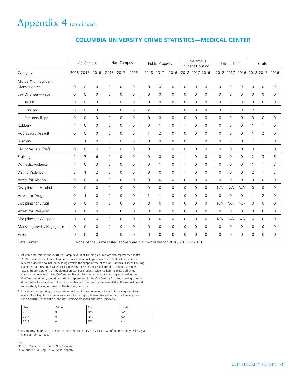| <b>COLUMBIA UNIVERSITY CRIME STATISTICS-MEDICAL CENTER</b> |  |  |  |  |
|------------------------------------------------------------|--|--|--|--|
|------------------------------------------------------------|--|--|--|--|

|                                     |                                                                                          | On-Campus      |                     |                | Non-Campus   |             | On-Campus<br>Public Property<br>Student Housing <sup>1</sup> |                     |      | Unfounded <sup>3</sup> |                | Totals         |             |                     |             |                |                |             |
|-------------------------------------|------------------------------------------------------------------------------------------|----------------|---------------------|----------------|--------------|-------------|--------------------------------------------------------------|---------------------|------|------------------------|----------------|----------------|-------------|---------------------|-------------|----------------|----------------|-------------|
| Category                            |                                                                                          | 2018 2017      | 2016                | 2018           | 2017         | 2016        |                                                              | 2018 2017           | 2016 |                        |                | 2018 2017 2016 |             | 2018 2017           | 2016        |                | 2018 2017      | 2016        |
| Murder/Nonnegligent<br>Manslaughter | 0                                                                                        | $\mathbf 0$    | $\overline{0}$      | 0              | $\Omega$     | $\Omega$    | $\mathbf{0}$                                                 | $\mathbf 0$         | 0    | $\mathbf 0$            | $\mathbf 0$    | $\mathbf 0$    | 0           | $\mathbf 0$         | $\mathbf 0$ | $\mathbf 0$    | $\mathbf 0$    | 0           |
| Sex Offenses-Rape                   | $\mathbf 0$                                                                              | $\mathbf 0$    | $\overline{0}$      | 0              | $\Omega$     | $\mathbf 0$ | $\mathbf 0$                                                  | $\mathbf 0$         | 0    | $\mathbf 0$            | $\overline{0}$ | $\Omega$       | $\mathbf 0$ | $\mathbf 0$         | $\Omega$    | $\mathbf 0$    | $\mathbf 0$    | 0           |
| Incest                              | $\mathbf 0$                                                                              | $\overline{0}$ | 0                   | 0              | $\mathbf 0$  | $\mathbf 0$ | $\mathbf 0$                                                  | $\mathbf 0$         | 0    | 0                      | $\mathbf 0$    | 0              | 0           | $\mathbf 0$         | $\mathbf 0$ | $\mathbf 0$    | $\mathbf 0$    | 0           |
| Fondling                            | $\mathbf 0$                                                                              | $\mathbf 0$    | $\mathbf 0$         | 0              | $\mathbf 0$  | 0           | $\overline{2}$                                               | $\mathbf{1}$        | 1    | 0                      | $\mathbf 0$    | 0              | 0           | $\mathsf{O}\xspace$ | $\mathbf 0$ | $\overline{2}$ | 1              | 1           |
| <b>Statutory Rape</b>               | $\mathsf{O}\xspace$                                                                      | $\mathbf 0$    | $\mathbf 0$         | 0              | $\mathbf 0$  | $\mathbf 0$ | $\mathsf{O}\xspace$                                          | $\mathsf 0$         | 0    | $\mathbf 0$            | $\mathbf 0$    | 0              | 0           | $\mathsf{O}\xspace$ | $\mathbf 0$ | $\mathbf 0$    | $\mathbf 0$    | 0           |
| Robbery                             | $\mathbf{1}$                                                                             | $\mathbf 0$    | $\mathbf 0$         | 0              | $\mathbf 0$  | $\mathbf 0$ | $\mathbf 0$                                                  | $\mathbf{1}$        | 0    | $\mathbf{1}$           | $\mathbf 0$    | 0              | 0           | 0                   | $\mathbf 0$ | $\mathbf{1}$   | 1              | 0           |
| Aggravated Assault                  | $\mathbf 0$                                                                              | $\mathbf 0$    | $\mathbf 0$         | 0              | $\mathbf 0$  | $\mathbf 0$ | $\mathbf{1}$                                                 | 2                   | 0    | $\mathbf 0$            | $\mathbf 0$    | $\mathbf 0$    | $\mathbf 0$ | $\mathbf 0$         | $\mathbf 0$ | $\mathbf{1}$   | $\overline{2}$ | 0           |
| Burglary                            | $\mathbf{1}$                                                                             | 1              | 0                   | 0              | $\Omega$     | $\Omega$    | $\mathbf 0$                                                  | $\mathbf 0$         | 0    | $\mathbf 0$            | $\mathbf{1}$   | $\Omega$       | 0           | $\mathbf 0$         | $\mathbf 0$ | $\mathbf{1}$   | 1              | 0           |
| Motor Vehicle Theft                 | $\mathbf 0$                                                                              | $\mathbf 0$    | 0                   | 0              | $\mathbf 0$  | $\mathbf 0$ | $\mathbf 0$                                                  | $\mathbf{1}$        | 0    | $\mathbf 0$            | $\mathbf 0$    | $\mathbf 0$    | $\mathbf 0$ | $\mathbf 0$         | $\mathbf 0$ | $\mathbf 0$    | $\mathbf{1}$   | 0           |
| Stalking                            | $\overline{2}$                                                                           | 3              | 6                   | 0              | $\mathbf{0}$ | $\mathbf 0$ | $\mathbf{0}$                                                 | $\mathsf 0$         | 0    | $\mathbf{1}$           | $\mathbf 0$    | $\mathbf 0$    | 0           | $\mathbf 0$         | $\mathbf 0$ | $\overline{2}$ | 3              | 6           |
| Domestic Violence                   | $\mathbf{1}$                                                                             | $\Omega$       | 3                   | 0              | $\Omega$     | $\mathbf 0$ | $\mathbf{0}$                                                 | $\mathbf{1}$        | 0    | $\mathbf{1}$           | $\mathbf 0$    | $\Omega$       | $\mathbf 0$ | $\mathbf{0}$        | $\Omega$    | $\mathbf{1}$   | $\mathbf{1}$   | 3           |
| Dating Violence                     | $\overline{2}$                                                                           | 1              | $\overline{2}$      | $\mathsf 0$    | $\Omega$     | 0           | $\mathbf 0$                                                  | $\mathbf 0$         | 0    | 1                      | $\mathbf 0$    | $\Omega$       | $\mathbf 0$ | $\mathbf 0$         | $\Omega$    | $\overline{2}$ | 1              | 2           |
| Arrest for Alcohol                  | 0                                                                                        | $\mathbf 0$    | $\mathsf{O}\xspace$ | $\mathsf 0$    | $\Omega$     | 0           | $\mathbf 0$                                                  | $\mathbf 0$         | 0    | $\mathbf 0$            | $\mathbf 0$    | $\Omega$       | 0           | $\mathbf{0}$        | $\Omega$    | $\mathbf 0$    | 0              | 0           |
| Discipline for Alcohol              | $\mathbf 0$                                                                              | $\mathbf 0$    | 0                   | $\overline{0}$ | $\mathbf 0$  | 0           | $\mathbf 0$                                                  | $\mathbf 0$         | 0    | $\mathbf 0$            | $\mathbf 0$    | $\mathbf 0$    | N/A         | N/A                 | N/A         | $\mathbf 0$    | 0              | $\mathbf 0$ |
| Arrest for Drugs                    | $\mathbf 0$                                                                              | 1              | 0                   | $\mathsf 0$    | $\mathbf 0$  | 0           | $\mathbf{1}$                                                 | $\mathbf{1}$        | 0    | $\mathbf 0$            | $\mathbf 0$    | $\mathbf 0$    | $\mathbf 0$ | $\mathsf{O}\xspace$ | 0           | $\mathbf{1}$   | $\overline{2}$ | 0           |
| Discipline for Drugs                | $\mathbf 0$                                                                              | $\mathbf{0}$   | 0                   | $\mathsf 0$    | $\mathbf 0$  | 0           | $\mathbf 0$                                                  | $\mathsf{O}\xspace$ | 0    | $\mathbf 0$            | $\mathbf 0$    | $\mathbf{0}$   | N/A         | N/A                 | N/A         | $\mathbf 0$    | $\overline{0}$ | 0           |
| Arrest for Weapons                  | 0                                                                                        | $\mathbf 0$    | 0                   | 0              | $\mathbf 0$  | 0           | $\mathbf 0$                                                  | 0                   | 0    | $\mathbf 0$            | $\mathbf 0$    | $\mathbf 0$    | $\mathbf 0$ | $\mathbf 0$         | 0           | $\mathbf 0$    | 0              | $\mathbf 0$ |
| Discipline for Weapons              | $\mathbf 0$                                                                              | $\mathbf 0$    | 0                   | $\mathsf 0$    | $\mathbf 0$  | 0           | $\mathbf 0$                                                  | $\mathsf{O}\xspace$ | 0    | $\mathbf 0$            | $\mathbf 0$    | $\mathbf 0$    | N/A         | N/A                 | N/A         | $\mathbf 0$    | 0              | 0           |
| Manslaughter by Negligence          | $\mathbf 0$                                                                              | $\mathbf 0$    | 0                   | $\mathsf 0$    | $\Omega$     | 0           | $\mathbf 0$                                                  | $\mathbf 0$         | 0    | $\mathbf 0$            | $\mathbf 0$    | $\Omega$       | $\mathbf 0$ | $\mathbf{0}$        | 0           | $\mathbf 0$    | 0              | $\mathbf 0$ |
| Arson                               | $\mathbf 0$                                                                              | $\mathbf 0$    | 0                   | $\mathbf 0$    | $\mathbf 0$  | 0           | $\mathbf 0$                                                  | $\mathbf 0$         | 0    | 0                      | $\mathbf 0$    | $\mathbf 0$    | $\mathbf 0$ | $\mathbf{0}$        | 0           | $\mathbf 0$    | $\mathbf 0$    | $\mathbf 0$ |
| <b>Hate Crimes</b>                  | <sup>2</sup> None of the Crimes listed above were bias motivated for 2016, 2017 or 2018. |                |                     |                |              |             |                                                              |                     |      |                        |                |                |             |                     |             |                |                |             |

1. All crime statistics in the 2018 On-Campus Student Housing column are also represented in the 2018 On-Campus column. As noted in more detail in Appendices 6 and 8, this Annual Report reflects a decision to include buildings within the scope of the of the On-Campus Student Housing category that previously were just included in the On-Campus column (i.e., mixed-use student/ faculty housing other than traditional on-campus student residence halls). Because all crime statistics represented in the On-Campus Student Housing column are also represented in the On-Campus column, the crime statistics represented in the On-Campus Student Housing column do not reflect an increase in the total number of crime statistics represented in the Annual Report as reportedly having occurred at the buildings at issue.

2. In addition to requiring the separate reporting of bias-motivated crimes in the categories listed above, the Clery Act also requires universities to report bias-motivated incidents of larceny-theft, simple assault, intimidation, and destruction/damage/vandalism of property.

| Year | Crime | Bias | Location |
|------|-------|------|----------|
| 2016 | м     | N/A  | N/A      |
| 2017 | м     | N/A  | N/A      |
| 2018 | м     | N/A  | N/A      |

3. Institutions are required to report UNFOUNDED crimes. Only local law enforcement may reclassify a crime as "Unfounded."

Key<br>OC = On Campus NC = Non Campus SH = Student Housing PP = Public Property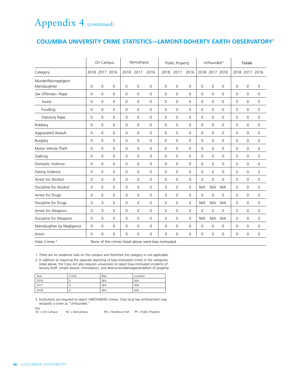#### **COLUMBIA UNIVERSITY CRIME STATISTICS—LAMONT-DOHERTY EARTH OBSERVATORY1**

|                                     |                     | On Campus           |                |                     | Noncampus           |                                                      |                     | Public Property |             |             | Unfounded <sup>3</sup> |                | <b>Totals</b>       |                     |                     |
|-------------------------------------|---------------------|---------------------|----------------|---------------------|---------------------|------------------------------------------------------|---------------------|-----------------|-------------|-------------|------------------------|----------------|---------------------|---------------------|---------------------|
| Category                            |                     |                     | 2018 2017 2016 | 2018                | 2017                | 2016                                                 | 2018                | 2017            | 2016        |             |                        | 2018 2017 2016 |                     | 2018 2017 2016      |                     |
| Murder/Nonnegligent<br>Manslaughter | $\mathsf{O}\xspace$ | $\overline{0}$      | $\mathbf 0$    | $\mathsf{O}\xspace$ | $\mathsf{O}\xspace$ | $\mathbf 0$                                          | $\mathsf{O}\xspace$ | $\mathbf 0$     | 0           | $\mathbf 0$ | 0                      | 0              | $\mathsf{O}\xspace$ | $\mathbf 0$         | 0                   |
| Sex Offenses-Rape                   | $\mathbf 0$         | $\mathbf 0$         | $\Omega$       | 0                   | 0                   | $\Omega$                                             | $\mathbf 0$         | $\mathbf 0$     | 0           | $\mathbf 0$ | 0                      | $\mathbf 0$    | $\mathbf 0$         | $\mathbf 0$         | 0                   |
| Incest                              | 0                   | $\mathbf 0$         | $\Omega$       | 0                   | $\mathbf 0$         | 0                                                    | 0                   | $\mathbf 0$     | $\mathbf 0$ | $\mathbf 0$ | 0                      | $\mathbf 0$    | $\mathbf 0$         | $\mathbf 0$         | 0                   |
| Fondling                            | 0                   | $\mathbf 0$         | $\Omega$       | 0                   | 0                   | $\Omega$                                             | 0                   | $\mathbf 0$     | 0           | $\mathbf 0$ | 0                      | $\mathbf 0$    | $\mathbf 0$         | $\mathbf 0$         | 0                   |
| <b>Statutory Rape</b>               | 0                   | $\overline{0}$      | $\mathbf 0$    | 0                   | 0                   | 0                                                    | $\mathsf{O}\xspace$ | 0               | 0           | 0           | 0                      | 0              | $\mathbf 0$         | 0                   | 0                   |
| Robbery                             | $\mathbf 0$         | $\mathbf 0$         | $\mathbf 0$    | 0                   | $\mathbf 0$         | 0                                                    | $\mathbf 0$         | 0               | 0           | 0           | 0                      | $\mathbf 0$    | $\mathbf 0$         | $\mathsf{O}\xspace$ | $\mathsf{O}\xspace$ |
| Aggravated Assault                  | 0                   | $\mathbf 0$         | $\mathbf 0$    | $\mathbf 0$         | $\mathbf 0$         | 0                                                    | $\mathbf 0$         | 0               | 0           | $\mathbf 0$ | $\mathbf 0$            | $\mathbf 0$    | $\mathbf 0$         | $\mathbf 0$         | $\mathbf 0$         |
| Burglary                            | $\mathbf 0$         | $\mathbf 0$         | $\Omega$       | $\mathbf 0$         | $\mathbf 0$         | 0                                                    | $\mathbf 0$         | 0               | 0           | $\mathbf 0$ | 0                      | $\mathbf 0$    | $\mathbf 0$         | $\mathbf 0$         | $\mathbf 0$         |
| Motor Vehicle Theft                 | 0                   | $\mathbf 0$         | $\mathbf 0$    | $\mathbf 0$         | $\mathbf 0$         | 0                                                    | $\mathbf 0$         | 0               | 0           | $\mathbf 0$ | 0                      | $\mathbf 0$    | $\mathbf 0$         | $\mathbf 0$         | 0                   |
| Stalking                            | 0                   | $\mathbf 0$         | $\mathbf 0$    | $\mathbf 0$         | $\mathbf 0$         | $\overline{0}$                                       | $\mathbf 0$         | 0               | 0           | $\mathbf 0$ | 0                      | $\mathbf 0$    | $\mathbf 0$         | $\mathsf{O}\xspace$ | 0                   |
| Domestic Violence                   | 0                   | $\mathbf 0$         | $\mathbf 0$    | 0                   | $\mathbf 0$         | 0                                                    | $\mathsf 0$         | 0               | 0           | $\mathbf 0$ | 0                      | $\mathbf 0$    | $\mathbf 0$         | $\mathsf{O}\xspace$ | $\mathsf 0$         |
| Dating Violence                     | 0                   | $\mathsf{O}\xspace$ | $\mathbf 0$    | 0                   | $\mathbf 0$         | $\mathbf 0$                                          | $\mathbf 0$         | 0               | 0           | 0           | 0                      | $\mathbf 0$    | $\mathbf 0$         | $\mathsf{O}\xspace$ | $\mathsf{O}\xspace$ |
| Arrest for Alcohol                  | 0                   | $\mathbf 0$         | 0              | 0                   | 0                   | $\mathbf 0$                                          | $\mathbf 0$         | 0               | 0           | 0           | 0                      | $\mathbf 0$    | $\mathbf 0$         | 0                   | $\mathsf{O}\xspace$ |
| Discipline for Alcohol              | 0                   | $\mathsf{O}\xspace$ | 0              | 0                   | 0                   | 0                                                    | $\mathsf{O}\xspace$ | 0               | 0           | N/A         | N/A                    | N/A            | $\mathbf 0$         | $\mathbf 0$         | 0                   |
| Arrest for Drugs                    | 0                   | $\mathsf{O}\xspace$ | $\mathbf 0$    | 0                   | $\mathbf 0$         | 0                                                    | $\mathsf 0$         | 0               | 0           | 0           | 0                      | $\mathbf 0$    | $\mathsf 0$         | $\mathsf{O}\xspace$ | $\mathsf 0$         |
| Discipline for Drugs                | 0                   | $\mathsf{O}\xspace$ | $\mathbf{0}$   | $\mathbf 0$         | $\mathbf 0$         | 0                                                    | $\mathsf 0$         | 0               | 0           | N/A         | N/A                    | N/A            | $\mathbf 0$         | $\mathsf{O}\xspace$ | $\mathsf{O}\xspace$ |
| Arrest for Weapons                  | 0                   | $\mathbf 0$         | $\Omega$       | $\mathbf 0$         | $\mathbf 0$         | $\Omega$                                             | $\mathbf 0$         | 0               | 0           | $\mathbf 0$ | 0                      | $\mathbf 0$    | $\mathbf 0$         | $\mathbf 0$         | 0                   |
| Discipline for Weapons              | 0                   | $\mathsf{O}\xspace$ | $\mathbf{0}$   | $\mathbf 0$         | 0                   | 0                                                    | $\mathbf 0$         | 0               | 0           | N/A         | N/A                    | N/A            | $\mathbf 0$         | $\mathsf{O}\xspace$ | 0                   |
| Manslaughter by Negligence          | 0                   | $\mathbf 0$         | $\mathbf 0$    | 0                   | $\mathbf 0$         | $\mathbf 0$                                          | $\mathbf 0$         | 0               | 0           | 0           | 0                      | 0              | 0                   | 0                   | 0                   |
| Arson                               | $\Omega$            | 0                   | 0              | 0                   | 0                   | $\Omega$                                             | $\mathbf 0$         | 0               | 0           | 0           | 0                      | $\mathbf 0$    | $\mathbf 0$         | 0                   | 0                   |
| Hate Crimes <sup>2</sup>            |                     |                     |                |                     |                     | None of the crimes listed above were bias motivated. |                     |                 |             |             |                        |                |                     |                     |                     |

1. There are no residence halls on this campus and therefore the category in not applicable. 2. In addition to requiring the separate reporting of bias-motivated crimes in the categories listed above, the Clery Act also requires universities to report bias-motivated incidents of larceny-theft, simple assault, intimidation, and destruction/damage/vandalism of property.

| Year | Crime | Bias | Location |
|------|-------|------|----------|
| 2016 | u     | N/A  | N/A      |
| 2017 | u     | N/A  | N/A      |
| 2018 | U     | N/A  | N/A      |

3. Institutions are required to report UNFOUNDED crimes. Only local law enforcement may reclassify a crime as "Unfounded."

Key<br>OC = On Campus MC = Noncampus  $RH =$  Residence Hall  $PP =$  Public Property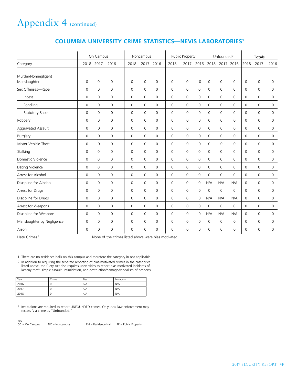| On Campus                  |                     |                     |                                                     | Noncampus           |             |                     | Public Property     |                     |                     | Unfounded <sup>3</sup> |                     |                     | <b>Totals</b>       |                     |                     |
|----------------------------|---------------------|---------------------|-----------------------------------------------------|---------------------|-------------|---------------------|---------------------|---------------------|---------------------|------------------------|---------------------|---------------------|---------------------|---------------------|---------------------|
| Category                   | 2018                | 2017                | 2016                                                | 2018                |             | 2017 2016           | 2018                | 2017                | 2016                | 2018                   |                     | 2017 2016           | 2018                | 2017                | 2016                |
| Murder/Nonnegligent        |                     |                     |                                                     |                     |             |                     |                     |                     |                     |                        |                     |                     |                     |                     |                     |
| Manslaughter               | $\mathbf 0$         | 0                   | 0                                                   | 0                   | 0           | $\mathbf 0$         | $\mathbf 0$         | $\mathbf 0$         | $\mathbf 0$         | $\mathbf 0$            | 0                   | 0                   | $\mathbf 0$         | $\mathbf 0$         | $\mathbf 0$         |
| Sex Offenses-Rape          | 0                   | 0                   | 0                                                   | $\mathsf{O}\xspace$ | 0           | $\mathbf 0$         | 0                   | $\mathbf 0$         | 0                   | 0                      | $\mathsf 0$         | $\mathsf 0$         | 0                   | $\mathbf 0$         | 0                   |
| Incest                     | 0                   | 0                   | 0                                                   | $\mathbf 0$         | 0           | $\mathbf 0$         | $\mathsf{O}\xspace$ | $\mathbf 0$         | $\mathsf{O}\xspace$ | $\mathbf 0$            | $\mathsf 0$         | $\mathsf 0$         | $\mathbf 0$         | $\mathbf 0$         | $\mathsf{O}\xspace$ |
| Fondling                   | $\mathbf 0$         | 0                   | 0                                                   | $\mathbf 0$         | 0           | $\mathbf 0$         | $\mathbf 0$         | 0                   | $\mathbf 0$         | $\mathbf 0$            | $\mathbf 0$         | $\mathbf 0$         | $\mathbf 0$         | $\mathbf 0$         | $\mathbf 0$         |
| <b>Statutory Rape</b>      | $\mathbf 0$         | 0                   | $\mathbf 0$                                         | $\mathbf 0$         | $\mathbf 0$ | $\mathbf 0$         | $\mathbf 0$         | $\mathbf 0$         | $\mathbf 0$         | $\mathbf 0$            | $\mathbf 0$         | $\mathbf 0$         | $\mathbf 0$         | $\mathbf 0$         | $\mathbf 0$         |
| Robbery                    | $\mathsf{O}\xspace$ | 0                   | 0                                                   | 0                   | 0           | $\mathsf{O}\xspace$ | $\overline{0}$      | 0                   | $\mathbf 0$         | $\mathbf{0}$           | $\mathbf 0$         | $\mathbf 0$         | $\mathbf 0$         | $\mathbf 0$         | $\mathbf 0$         |
| Aggravated Assault         | $\mathbf 0$         | 0                   | 0                                                   | $\mathbf 0$         | 0           | $\mathbf 0$         | $\mathbf 0$         | $\mathbf 0$         | $\mathbf 0$         | $\mathbf 0$            | $\mathbf 0$         | $\mathbf 0$         | $\mathbf 0$         | $\Omega$            | $\mathbf 0$         |
| Burglary                   | $\mathsf{O}\xspace$ | $\mathsf{O}\xspace$ | 0                                                   | $\mathsf{O}\xspace$ | 0           | $\mathbf 0$         | $\mathsf 0$         | 0                   | $\mathbf 0$         | $\mathbf 0$            | $\mathsf{O}\xspace$ | $\mathbf 0$         | $\mathsf{O}\xspace$ | $\mathbf 0$         | $\mathbf 0$         |
| Motor Vehicle Theft        | $\mathbf 0$         | 0                   | 0                                                   | 0                   | 0           | $\mathsf{O}\xspace$ | $\mathbf 0$         | 0                   | $\mathbf 0$         | $\mathbf 0$            | $\mathbf 0$         | $\mathbf 0$         | $\mathsf{O}\xspace$ | $\mathbf 0$         | $\mathbf 0$         |
| Stalking                   | $\mathsf 0$         | 0                   | 0                                                   | $\mathsf{O}\xspace$ | 0           | $\mathbf 0$         | $\mathsf{O}\xspace$ | $\mathsf 0$         | $\mathsf{O}\xspace$ | $\mathbf 0$            | $\mathbf 0$         | $\mathsf 0$         | $\mathbf 0$         | $\mathbf 0$         | $\mathsf{O}\xspace$ |
| Domestic Violence          | $\mathbf 0$         | 0                   | 0                                                   | $\mathbf 0$         | 0           | $\mathbf 0$         | $\mathbf 0$         | $\mathbf 0$         | $\mathbf 0$         | $\Omega$               | $\mathbf 0$         | $\mathbf 0$         | $\mathbf 0$         | $\Omega$            | $\mathbf 0$         |
| Dating Violence            | $\mathbf 0$         | 0                   | 0                                                   | $\mathsf{O}\xspace$ | 0           | $\mathbf 0$         | $\mathsf{O}\xspace$ | $\mathsf{O}\xspace$ | $\mathsf{O}\xspace$ | $\mathbf 0$            | $\mathsf{O}\xspace$ | $\mathsf{O}\xspace$ | $\mathbf 0$         | $\mathsf{O}\xspace$ | $\mathsf{O}\xspace$ |
| Arrest for Alcohol         | 0                   | 0                   | 0                                                   | $\mathbf 0$         | 0           | $\mathbf 0$         | $\mathbf 0$         | $\mathbf 0$         | $\mathbf 0$         | 0                      | 0                   | $\mathbf 0$         | $\mathbf 0$         | $\mathbf 0$         | $\mathbf 0$         |
| Discipline for Alcohol     | $\mathsf 0$         | 0                   | 0                                                   | $\mathsf{O}\xspace$ | 0           | $\mathbf 0$         | $\mathsf{O}\xspace$ | $\mathsf{O}\xspace$ | $\mathsf 0$         | N/A                    | N/A                 | N/A                 | $\mathbf 0$         | $\mathbf 0$         | $\mathsf{O}\xspace$ |
| Arrest for Drugs           | 0                   | 0                   | 0                                                   | 0                   | 0           | $\mathbf 0$         | 0                   | $\mathbf 0$         | 0                   | $\mathbf 0$            | 0                   | $\mathbf 0$         | 0                   | $\mathbf 0$         | 0                   |
| Discipline for Drugs       | $\mathsf 0$         | 0                   | 0                                                   | $\mathsf 0$         | 0           | $\mathsf{O}\xspace$ | $\mathsf{O}\xspace$ | $\mathsf 0$         | $\mathsf 0$         | N/A                    | N/A                 | N/A                 | $\mathsf{O}\xspace$ | $\mathbf 0$         | $\mathsf{O}\xspace$ |
| Arrest for Weapons         | $\mathbf 0$         | $\mathbf 0$         | $\mathbf 0$                                         | $\mathbf 0$         | $\mathbf 0$ | $\mathbf 0$         | $\mathbf 0$         | 0                   | $\mathbf 0$         | $\mathbf 0$            | $\mathbf 0$         | $\mathbf 0$         | $\mathbf 0$         | $\mathbf 0$         | 0                   |
| Discipline for Weapons     | $\mathbf 0$         | 0                   | 0                                                   | 0                   | 0           | $\mathsf{O}\xspace$ | $\mathsf 0$         | 0                   | $\mathbf 0$         | N/A                    | N/A                 | N/A                 | $\mathsf{O}\xspace$ | $\overline{0}$      | $\mathbf 0$         |
| Manslaughter by Negligence | $\mathsf{O}\xspace$ | $\Omega$            | 0                                                   | $\mathbf 0$         | 0           | $\mathbf 0$         | $\mathbf 0$         | 0                   | $\mathbf 0$         | $\mathbf 0$            | $\mathbf 0$         | $\mathbf 0$         | $\mathbf 0$         | $\Omega$            | 0                   |
| Arson                      | $\mathbf 0$         | $\mathbf 0$         | $\Omega$                                            | $\mathbf 0$         | $\mathbf 0$ | 0                   | $\Omega$            | $\Omega$            | $\mathbf 0$         | $\mathbf 0$            | $\mathbf 0$         | $\mathbf 0$         | $\mathbf 0$         | $\Omega$            | $\mathbf 0$         |
| Hate Crimes <sup>2</sup>   |                     |                     | None of the crimes listed above were bias motivated |                     |             |                     |                     |                     |                     |                        |                     |                     |                     |                     |                     |

### **COLUMBIA UNIVERSITY CRIME STATISTICS—NEVIS LABORATORIES1**

1. There are no residence halls on this campus and therefore the category in not applicable.

2. In addition to requiring the separate reporting of bias-motivated crimes in the categories

listed above, the Clery Act also requires universities to report bias-motivated incidents of larceny-theft, simple assault, intimidation, and destruction/damage/vandalism of property.

| Year | Crime | Bias | Location |
|------|-------|------|----------|
| 2016 |       | N/A  | N/A      |
| 2017 | v     | N/A  | N/A      |
| 2018 | U     | N/A  | N/A      |

3. Institutions are required to report UNFOUNDED crimes. Only local law enforcement may reclassify a crime as "Unfounded."

Key OC = On Campus NC = Noncampus RH = Residence Hall PP = Public Property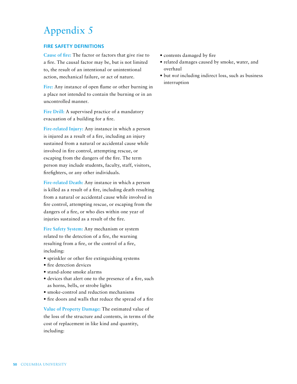## Appendix 5

#### **FIRE SAFETY DEFINITIONS**

**Cause of fire:** The factor or factors that give rise to a fire. The causal factor may be, but is not limited to, the result of an intentional or unintentional action, mechanical failure, or act of nature.

**Fire:** Any instance of open flame or other burning in a place not intended to contain the burning or in an uncontrolled manner.

**Fire Drill:** A supervised practice of a mandatory evacuation of a building for a fire.

**Fire-related Injury:** Any instance in which a person is injured as a result of a fire, including an injury sustained from a natural or accidental cause while involved in fire control, attempting rescue, or escaping from the dangers of the fire. The term person may include students, faculty, staff, visitors, firefighters, or any other individuals.

**Fire-related Death:** Any instance in which a person is killed as a result of a fire, including death resulting from a natural or accidental cause while involved in fire control, attempting rescue, or escaping from the dangers of a fire, or who dies within one year of injuries sustained as a result of the fire.

**Fire Safety System:** Any mechanism or system related to the detection of a fire, the warning resulting from a fire, or the control of a fire, including:

- sprinkler or other fire extinguishing systems
- fire detection devices
- stand-alone smoke alarms
- devices that alert one to the presence of a fire, such as horns, bells, or strobe lights
- smoke-control and reduction mechanisms
- fire doors and walls that reduce the spread of a fire

**Value of Property Damage:** The estimated value of the loss of the structure and contents, in terms of the cost of replacement in like kind and quantity, including:

- contents damaged by fire
- related damages caused by smoke, water, and overhaul
- but *not* including indirect loss, such as business interruption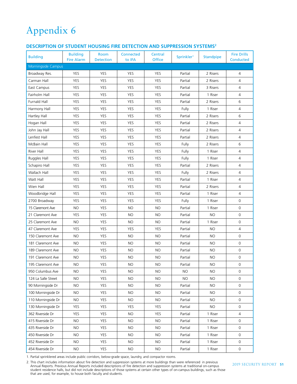## Appendix 6

#### **DESCRIPTION OF STUDENT HOUSING FIRE DETECTION AND SUPPRESSION SYSTEMS2**

| <b>Building</b>     | <b>Building</b><br><b>Fire Alarm</b> | <b>Room</b><br><b>Detection</b> | Connected<br>to IFA | Central<br><b>Office</b> | Sprinkler <sup>1</sup> | <b>Standpipe</b> | <b>Fire Drills</b><br><b>Conducted</b> |
|---------------------|--------------------------------------|---------------------------------|---------------------|--------------------------|------------------------|------------------|----------------------------------------|
| Morningside Campus  |                                      |                                 |                     |                          |                        |                  |                                        |
| Broadway Res.       | YES                                  | YES                             | YES                 | YES                      | Partial                | 2 Risers         | 4                                      |
| Carman Hall         | <b>YES</b>                           | <b>YES</b>                      | <b>YES</b>          | <b>YES</b>               | Partial                | 2 Risers         | $\overline{4}$                         |
| East Campus         | <b>YES</b>                           | <b>YES</b>                      | <b>YES</b>          | <b>YES</b>               | Partial                | 3 Risers         | $\overline{4}$                         |
| Fairholm Hall       | YES                                  | <b>YES</b>                      | <b>YES</b>          | <b>YES</b>               | Partial                | 1 Riser          | $\overline{4}$                         |
| <b>Furnald Hall</b> | YES                                  | YES                             | YES                 | <b>YES</b>               | Partial                | 2 Risers         | 6                                      |
| Harmony Hall        | YES                                  | <b>YES</b>                      | <b>YES</b>          | <b>YES</b>               | Fully                  | 1 Riser          | 4                                      |
| Hartley Hall        | <b>YES</b>                           | <b>YES</b>                      | <b>YES</b>          | <b>YES</b>               | Partial                | 2 Risers         | 6                                      |
| Hogan Hall          | <b>YES</b>                           | <b>YES</b>                      | <b>YES</b>          | <b>YES</b>               | Partial                | 2 Risers         | $\overline{4}$                         |
| John Jay Hall       | <b>YES</b>                           | <b>YES</b>                      | <b>YES</b>          | <b>YES</b>               | Partial                | 2 Risers         | $\overline{4}$                         |
| Lenfest Hall        | <b>YES</b>                           | <b>YES</b>                      | <b>YES</b>          | <b>YES</b>               | Partial                | 2 Risers         | 4                                      |
| McBain Hall         | <b>YES</b>                           | YES                             | <b>YES</b>          | <b>YES</b>               | Fully                  | 2 Risers         | 6                                      |
| River Hall          | YES                                  | <b>YES</b>                      | YES                 | YES                      | Fully                  | 1 Riser          | $\overline{4}$                         |
| Ruggles Hall        | <b>YES</b>                           | <b>YES</b>                      | <b>YES</b>          | <b>YES</b>               | Fully                  | 1 Riser          | 4                                      |
| Schapiro Hall       | <b>YES</b>                           | <b>YES</b>                      | <b>YES</b>          | <b>YES</b>               | Partial                | 2 Risers         | $\overline{4}$                         |
| Wallach Hall        | <b>YES</b>                           | <b>YES</b>                      | <b>YES</b>          | <b>YES</b>               | Fully                  | 2 Risers         | $\overline{4}$                         |
| Watt Hall           | <b>YES</b>                           | <b>YES</b>                      | <b>YES</b>          | <b>YES</b>               | Partial                | 1 Riser          | $\overline{4}$                         |
| Wien Hall           | YES                                  | <b>YES</b>                      | <b>YES</b>          | YES                      | Partial                | 2 Risers         | 4                                      |
| Woodbridge Hall     | YES                                  | YES                             | YES                 | <b>YES</b>               | Partial                | 1 Riser          | 4                                      |
| 2700 Broadway       | YES                                  | <b>YES</b>                      | YES                 | <b>YES</b>               | Fully                  | 1 Riser          | $\mathsf{O}\xspace$                    |
| 15 Claremont Ave    | <b>NO</b>                            | YES                             | <b>NO</b>           | <b>NO</b>                | Partial                | 1 Riser          | $\mathsf{O}\xspace$                    |
| 21 Claremont Ave    | YES                                  | YES                             | <b>NO</b>           | <b>NO</b>                | Partial                | <b>NO</b>        | $\mathsf{O}\xspace$                    |
| 25 Claremont Ave    | <b>NO</b>                            | <b>YES</b>                      | <b>NO</b>           | <b>NO</b>                | Partial                | 1 Riser          | $\mathsf O$                            |
| 47 Claremont Ave    | <b>YES</b>                           | <b>YES</b>                      | YES                 | <b>YES</b>               | Partial                | <b>NO</b>        | $\overline{4}$                         |
| 150 Claremont Ave   | <b>NO</b>                            | <b>YES</b>                      | <b>NO</b>           | <b>NO</b>                | Partial                | <b>NO</b>        | $\mathsf O$                            |
| 181 Claremont Ave   | <b>NO</b>                            | <b>YES</b>                      | <b>NO</b>           | <b>NO</b>                | Partial                | <b>NO</b>        | $\mathbf 0$                            |
| 189 Claremont Ave   | <b>NO</b>                            | <b>YES</b>                      | <b>NO</b>           | <b>NO</b>                | Partial                | <b>NO</b>        | $\mathsf{O}\xspace$                    |
| 191 Claremont Ave   | <b>NO</b>                            | YES                             | <b>NO</b>           | <b>NO</b>                | Partial                | <b>NO</b>        | 0                                      |
| 195 Claremont Ave   | <b>NO</b>                            | YES                             | <b>NO</b>           | <b>NO</b>                | Partial                | <b>NO</b>        | $\mathbf 0$                            |
| 950 Columbus Ave    | NO.                                  | YES                             | NO.                 | <b>NO</b>                | <b>NO</b>              | <b>NO</b>        | 0                                      |
| 124 La Salle Street | <b>NO</b>                            | YES                             | <b>NO</b>           | <b>NO</b>                | <b>NO</b>              | <b>NO</b>        | $\mathbf 0$                            |
| 90 Morningside Dr   | <b>NO</b>                            | YES                             | <b>NO</b>           | <b>NO</b>                | Partial                | <b>NO</b>        | $\mathsf{O}\xspace$                    |
| 100 Morningside Dr  | <b>NO</b>                            | <b>YES</b>                      | <b>NO</b>           | <b>NO</b>                | Partial                | <b>NO</b>        | 0                                      |
| 110 Morningside Dr  | NO.                                  | YES                             | NO.                 | <b>NO</b>                | Partial                | <b>NO</b>        | 0                                      |
| 130 Morningside Dr  | YES                                  | YES                             | YES                 | YES                      | Partial                | <b>NO</b>        | 0                                      |
| 362 Riverside Dr    | YES                                  | YES                             | <b>NO</b>           | YES                      | Partial                | 1 Riser          | $\overline{4}$                         |
| 415 Riverside Dr    | <b>NO</b>                            | <b>YES</b>                      | <b>NO</b>           | <b>NO</b>                | Partial                | 1 Riser          | 0                                      |
| 435 Riverside Dr    | <b>NO</b>                            | YES                             | <b>NO</b>           | <b>NO</b>                | Partial                | 1 Riser          | $\mathsf{O}\xspace$                    |
| 450 Riverside Dr    | NO.                                  | YES                             | <b>NO</b>           | <b>NO</b>                | Partial                | 1 Riser          | 0                                      |
| 452 Riverside Dr    | NO.                                  | YES                             | <b>NO</b>           | NO.                      | Partial                | 1 Riser          | 0                                      |
| 454 Riverside Dr    | NO.                                  | YES                             | <b>NO</b>           | <b>NO</b>                | Partial                | 1 Riser          | $\mathsf{O}\xspace$                    |

1. Partial sprinklered areas include public corridors, below-grade space, laundry, and compactor rooms.

2. This chart includes information about fire detection and suppression systems at more buildings than were referenced in previous Annual Reports. Previous Annual Reports included descriptions of fire detection and suppression systems at traditional on-campus student residence halls, but did not include descriptions of those systems at certain other types of on-campus buildings, such as those that are used, for example, to house both faculty and students.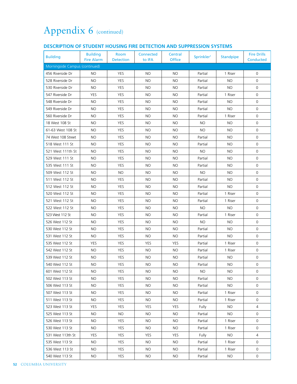### **DESCRIPTION OF STUDENT HOUSING FIRE DETECTION AND SUPPRESSION SYSTEMS**

| <b>Building</b>                | <b>Building</b><br><b>Fire Alarm</b> | Room<br><b>Detection</b> | Connected<br>to IFA | Central<br><b>Office</b> | Sprinkler <sup>1</sup> | <b>Standpipe</b> | <b>Fire Drills</b><br><b>Conducted</b> |
|--------------------------------|--------------------------------------|--------------------------|---------------------|--------------------------|------------------------|------------------|----------------------------------------|
| Morningside Campus (continued) |                                      |                          |                     |                          |                        |                  |                                        |
| 456 Riverside Dr               | <b>NO</b>                            | <b>YES</b>               | <b>NO</b>           | <b>NO</b>                | Partial                | 1 Riser          | 0                                      |
| 528 Riverside Dr               | <b>NO</b>                            | <b>YES</b>               | <b>NO</b>           | <b>NO</b>                | Partial                | <b>NO</b>        | 0                                      |
| 530 Riverside Dr               | <b>NO</b>                            | <b>YES</b>               | <b>NO</b>           | <b>NO</b>                | Partial                | <b>NO</b>        | $\mathsf{O}$                           |
| 547 Riverside Dr               | YES                                  | <b>YES</b>               | <b>NO</b>           | <b>NO</b>                | Partial                | 1 Riser          | 0                                      |
| 548 Riverside Dr               | <b>NO</b>                            | YES                      | <b>NO</b>           | <b>NO</b>                | Partial                | <b>NO</b>        | 0                                      |
| 549 Riverside Dr               | <b>NO</b>                            | <b>YES</b>               | <b>NO</b>           | <b>NO</b>                | Partial                | <b>NO</b>        | 0                                      |
| 560 Riverside Dr               | NO.                                  | YES                      | NO.                 | <b>NO</b>                | Partial                | 1 Riser          | 0                                      |
| 18 West 108 St                 | <b>NO</b>                            | <b>YES</b>               | <b>NO</b>           | <b>NO</b>                | <b>NO</b>              | <b>NO</b>        | $\mathbf 0$                            |
| 61-63 West 108 St              | <b>NO</b>                            | <b>YES</b>               | <b>NO</b>           | <b>NO</b>                | <b>NO</b>              | <b>NO</b>        | 0                                      |
| 74 West 108 Street             | <b>NO</b>                            | <b>YES</b>               | <b>NO</b>           | <b>NO</b>                | Partial                | NO.              | $\mathsf{O}$                           |
| 518 West 111 St                | <b>NO</b>                            | <b>YES</b>               | <b>NO</b>           | <b>NO</b>                | Partial                | <b>NO</b>        | 0                                      |
| 521 West 111th St              | <b>NO</b>                            | YES                      | <b>NO</b>           | <b>NO</b>                | <b>NO</b>              | <b>NO</b>        | 0                                      |
| 529 West 111 St                | NO.                                  | <b>YES</b>               | NO.                 | <b>NO</b>                | Partial                | NO.              | 0                                      |
| 535 West 111 St                | NO.                                  | <b>YES</b>               | NO.                 | <b>NO</b>                | Partial                | NO.              | 0                                      |
| 509 West 112 St                | <b>NO</b>                            | <b>NO</b>                | <b>NO</b>           | <b>NO</b>                | <b>NO</b>              | <b>NO</b>        | 0                                      |
| 511 West 112 St                | <b>NO</b>                            | YES                      | <b>NO</b>           | <b>NO</b>                | Partial                | <b>NO</b>        | $\mathsf{O}$                           |
| 512 West 112 St                | NO.                                  | <b>YES</b>               | NO.                 | <b>NO</b>                | Partial                | NO.              | 0                                      |
| 520 West 112 St                | <b>NO</b>                            | <b>YES</b>               | <b>NO</b>           | <b>NO</b>                | Partial                | 1 Riser          | $\mathsf{O}\xspace$                    |
| 521 West 112 St                | <b>NO</b>                            | <b>YES</b>               | <b>NO</b>           | <b>NO</b>                | Partial                | 1 Riser          | $\mathsf{O}$                           |
| 522 West 112 St                | <b>NO</b>                            | <b>YES</b>               | <b>NO</b>           | <b>NO</b>                | <b>NO</b>              | <b>NO</b>        | $\mathsf{O}$                           |
| 523 West 112 St                | NO.                                  | YES                      | NO.                 | <b>NO</b>                | Partial                | 1 Riser          | 0                                      |
| 526 West 112 St                | <b>NO</b>                            | <b>YES</b>               | NO.                 | <b>NO</b>                | <b>NO</b>              | <b>NO</b>        | 0                                      |
| 530 West 112 St                | <b>NO</b>                            | <b>YES</b>               | <b>NO</b>           | <b>NO</b>                | Partial                | <b>NO</b>        | $\mathsf{O}$                           |
| 531 West 112 St                | NO.                                  | <b>YES</b>               | <b>NO</b>           | <b>NO</b>                | Partial                | NO.              | $\mathsf{O}\xspace$                    |
| 535 West 112 St                | YES                                  | <b>YES</b>               | YES                 | <b>YES</b>               | Partial                | 1 Riser          | 0                                      |
| 542 West 112 St                | <b>NO</b>                            | <b>YES</b>               | <b>NO</b>           | <b>NO</b>                | Partial                | 1 Riser          | 0                                      |
| 539 West 112 St                | <b>NO</b>                            | <b>YES</b>               | <b>NO</b>           | <b>NO</b>                | Partial                | <b>NO</b>        | 0                                      |
| 540 West 112 St                | NO                                   | YES                      | <b>NO</b>           | <b>NO</b>                | Partial                | NO               | $\mathsf{O}$                           |
| 601 West 112 St                | NO.                                  | <b>YES</b>               | NO.                 | <b>NO</b>                | NO.                    | NO.              | 0                                      |
| 502 West 113 St                | NO.                                  | <b>YES</b>               | NO.                 | <b>NO</b>                | Partial                | NO.              | 0                                      |
| 506 West 113 St                | NO.                                  | <b>YES</b>               | NO.                 | <b>NO</b>                | Partial                | NO.              | 0                                      |
| 507 West 113 St                | NO.                                  | <b>YES</b>               | <b>NO</b>           | <b>NO</b>                | Partial                | 1 Riser          | 0                                      |
| 511 West 113 St                | NO.                                  | YES                      | <b>NO</b>           | <b>NO</b>                | Partial                | 1 Riser          | 0                                      |
| 523 West 113 St                | <b>YES</b>                           | <b>YES</b>               | <b>YES</b>          | <b>YES</b>               | Fully                  | NO.              | 4                                      |
| 525 West 113 St                | NO.                                  | NO.                      | NO.                 | NO.                      | Partial                | NO.              | 0                                      |
| 526 West 113 St                | NO.                                  | <b>YES</b>               | <b>NO</b>           | <b>NO</b>                | Partial                | 1 Riser          | 0                                      |
| 530 West 113 St                | NO.                                  | <b>YES</b>               | NO.                 | <b>NO</b>                | Partial                | 1 Riser          | 0                                      |
| 531 West 113th St              | YES                                  | <b>YES</b>               | <b>YES</b>          | <b>YES</b>               | Fully                  | NO.              | 4                                      |
| 535 West 113 St                | NO.                                  | YES                      | <b>NO</b>           | <b>NO</b>                | Partial                | 1 Riser          | $\mathsf{O}$                           |
| 536 West 113 St                | NO.                                  | <b>YES</b>               | NO.                 | <b>NO</b>                | Partial                | 1 Riser          | 0                                      |
| 540 West 113 St                | NO.                                  | <b>YES</b>               | NO.                 | <b>NO</b>                | Partial                | NO.              | 0                                      |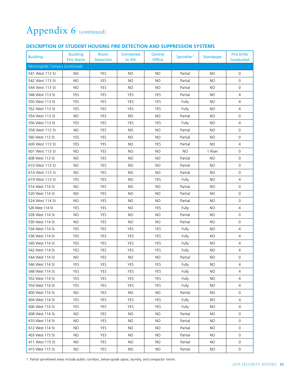#### **DESCRIPTION OF STUDENT HOUSING FIRE DETECTION AND SUPPRESSION SYSTEMS**

| <b>Building</b>                | <b>Building</b><br><b>Fire Alarm</b> | Room<br><b>Detection</b> | Connected<br>to IFA | Central<br><b>Office</b> | Sprinkler <sup>1</sup> | <b>Standpipe</b> | <b>Fire Drills</b><br>Conducted |
|--------------------------------|--------------------------------------|--------------------------|---------------------|--------------------------|------------------------|------------------|---------------------------------|
| Morningside Campus (continued) |                                      |                          |                     |                          |                        |                  |                                 |
| 541 West 113 St                | NO.                                  | <b>YES</b>               | NO.                 | <b>NO</b>                | Partial                | <b>NO</b>        | 0                               |
| 542 West 113 St                | <b>NO</b>                            | <b>YES</b>               | <b>NO</b>           | <b>NO</b>                | Partial                | <b>NO</b>        | 0                               |
| 544 West 113 St                | <b>NO</b>                            | YES                      | <b>NO</b>           | <b>NO</b>                | Partial                | <b>NO</b>        | $\mathsf{O}$                    |
| 548 West 113 St                | YES                                  | YES                      | YES                 | YES                      | Partial                | <b>NO</b>        | $\overline{4}$                  |
| 550 West 113 St                | <b>YES</b>                           | YES                      | YES                 | YES                      | Fully                  | <b>NO</b>        | $\overline{4}$                  |
| 552 West 113 St                | YES                                  | <b>YES</b>               | <b>YES</b>          | <b>YES</b>               | Fully                  | <b>NO</b>        | 4                               |
| 554 West 113 St                | <b>NO</b>                            | <b>YES</b>               | <b>NO</b>           | <b>NO</b>                | Partial                | <b>NO</b>        | 0                               |
| 556 West 113 St                | YES                                  | <b>YES</b>               | YES                 | YES                      | Fully                  | <b>NO</b>        | $\overline{4}$                  |
| 558 West 113 St                | <b>NO</b>                            | <b>YES</b>               | <b>NO</b>           | <b>NO</b>                | Partial                | <b>NO</b>        | $\mathsf{O}$                    |
| 560 West 113 St                | YES                                  | YES                      | NO.                 | <b>NO</b>                | Partial                | <b>NO</b>        | $\mathsf{O}$                    |
| 600 West 113 St                | <b>YES</b>                           | <b>YES</b>               | <b>NO</b>           | <b>YES</b>               | Partial                | <b>NO</b>        | $\overline{4}$                  |
| 601 West 113 St                | <b>NO</b>                            | YES                      | NO.                 | NO.                      | <b>NO</b>              | 1 Riser          | $\mathsf{O}$                    |
| 608 West 113 St                | <b>NO</b>                            | <b>YES</b>               | NO.                 | <b>NO</b>                | Partial                | <b>NO</b>        | 0                               |
| 610 West 113 St                | <b>NO</b>                            | <b>YES</b>               | NO.                 | <b>NO</b>                | Partial                | <b>NO</b>        | $\mathsf{O}$                    |
| 614 West 113 St                | <b>NO</b>                            | <b>YES</b>               | NO.                 | <b>NO</b>                | Partial                | <b>NO</b>        | $\mathsf{O}$                    |
| 619 West 113 St                | YES                                  | <b>YES</b>               | <b>NO</b>           | <b>YES</b>               | Fully                  | <b>NO</b>        | $\overline{4}$                  |
| 514 West 114 St                | NO.                                  | YES                      | NO.                 | NO.                      | Partial                | NO.              | 0                               |
| 520 West 114 St                | <b>NO</b>                            | <b>YES</b>               | <b>NO</b>           | <b>NO</b>                | Partial                | NO.              | 0                               |
| 524 West 114 St                | <b>NO</b>                            | <b>YES</b>               | NO.                 | <b>NO</b>                | Partial                | NO.              | $\mathsf{O}$                    |
| 526 West 114 St                | YES                                  | <b>YES</b>               | NO.                 | <b>YES</b>               | Fully                  | <b>NO</b>        | 4                               |
| 528 West 114 St                | <b>NO</b>                            | <b>YES</b>               | <b>NO</b>           | <b>NO</b>                | Partial                | <b>NO</b>        | $\mathsf{O}$                    |
| 530 West 114 St                | NO.                                  | <b>YES</b>               | NO.                 | <b>NO</b>                | Partial                | NO.              | 0                               |
| 534 West 114 St                | YES                                  | <b>YES</b>               | <b>YES</b>          | <b>YES</b>               | Fully                  | NO.              | $\overline{4}$                  |
| 536 West 114 St                | YES                                  | YES                      | YES                 | YES                      | Fully                  | NO.              | 4                               |
| 540 West 114 St                | YES                                  | YES                      | YES                 | <b>YES</b>               | Fully                  | NO.              | 4                               |
| 542 West 114 St                | YES                                  | YES                      | <b>YES</b>          | YES                      | Fully                  | NO.              | 4                               |
| 544 West 114 St                | <b>NO</b>                            | <b>YES</b>               | <b>NO</b>           | <b>NO</b>                | Partial                | <b>NO</b>        | 0                               |
| 546 West 114 St                | YES                                  | <b>YES</b>               | YES                 | YES                      | Fully                  | NO.              | $\overline{4}$                  |
| 548 West 114 St                | <b>YES</b>                           | <b>YES</b>               | <b>YES</b>          | YES                      | Fully                  | NO.              | 4                               |
| 552 West 114 St                | YES                                  | YES                      | YES                 | YES                      | Fully                  | NO.              | 4                               |
| 554 West 114 St                | <b>YES</b>                           | YES                      | YES                 | YES                      | Fully                  | NO.              | 4                               |
| 600 West 114 St                | NO.                                  | <b>YES</b>               | NO.                 | <b>NO</b>                | Partial                | NO.              | 0                               |
| 604 West 114 St                | <b>YES</b>                           | YES                      | YES                 | YES                      | Fully                  | NO.              | $\overline{4}$                  |
| 606 West 114 St                | YES                                  | YES                      | YES                 | <b>YES</b>               | Fully                  | NO.              | 4                               |
| 608 West 114 St                | NO.                                  | YES                      | NO.                 | <b>NO</b>                | Partial                | NO.              | 0                               |
| 610 West 114 St                | NO.                                  | <b>YES</b>               | NO.                 | <b>NO</b>                | Partial                | NO.              | 0                               |
| 612 West 114 St                | NO.                                  | YES                      | NO.                 | <b>NO</b>                | Partial                | NO.              | $\mathsf{O}$                    |
| 403 West 115 St                | NO.                                  | YES                      | NO.                 | <b>NO</b>                | Partial                | <b>NO</b>        | 0                               |
| 411 West 115 St                | NO.                                  | <b>YES</b>               | NO.                 | <b>NO</b>                | Partial                | NO.              | 0                               |
| 415 West 115 St                | NO.                                  | YES                      | NO.                 | <b>NO</b>                | Partial                | NO.              | 0                               |

1. Partial sprinklered areas include public corridors, below-grade space, laundry, and compactor rooms.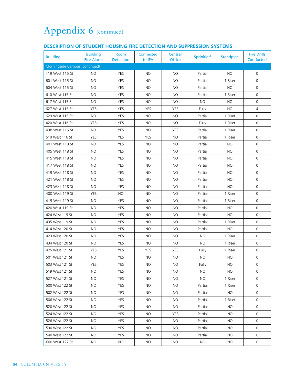#### **DESCRIPTION OF STUDENT HOUSING FIRE DETECTION AND SUPPRESSION SYSTEMS**

| <b>Building</b>                | <b>Building</b><br><b>Fire Alarm</b> | Room<br><b>Detection</b> | Connected<br>to IFA | Central<br><b>Office</b> | Sprinkler <sup>1</sup> | <b>Standpipe</b> | <b>Fire Drills</b><br>Conducted |
|--------------------------------|--------------------------------------|--------------------------|---------------------|--------------------------|------------------------|------------------|---------------------------------|
| Morningside Campus (continued) |                                      |                          |                     |                          |                        |                  |                                 |
| 419 West 115 St                | <b>NO</b>                            | <b>YES</b>               | <b>NO</b>           | <b>NO</b>                | Partial                | <b>NO</b>        | $\mathbf 0$                     |
| 601 West 115 St                | NO.                                  | <b>YES</b>               | <b>NO</b>           | <b>NO</b>                | Partial                | 1 Riser          | 0                               |
| 604 West 115 St                | <b>NO</b>                            | <b>YES</b>               | <b>NO</b>           | <b>NO</b>                | Partial                | <b>NO</b>        | 0                               |
| 610 West 115 St                | <b>NO</b>                            | <b>YES</b>               | <b>NO</b>           | <b>NO</b>                | Partial                | 1 Riser          | 0                               |
| 617 West 115 St                | <b>NO</b>                            | <b>YES</b>               | <b>NO</b>           | <b>NO</b>                | <b>NO</b>              | <b>NO</b>        | 0                               |
| 627 West 115 St                | YES                                  | <b>YES</b>               | <b>YES</b>          | <b>YES</b>               | Fully                  | <b>NO</b>        | $\overline{4}$                  |
| 629 West 115 St                | <b>NO</b>                            | YES                      | <b>NO</b>           | <b>NO</b>                | Partial                | 1 Riser          | 0                               |
| 420 West 116 St                | YES                                  | <b>YES</b>               | <b>NO</b>           | <b>NO</b>                | Fully                  | 1 Riser          | $\mathbf 0$                     |
| 438 West 116 St                | <b>NO</b>                            | YES                      | NO.                 | YES                      | Partial                | 1 Riser          | 0                               |
| 610 West 116 St                | <b>YES</b>                           | <b>YES</b>               | <b>YES</b>          | <b>NO</b>                | Partial                | 1 Riser          | 0                               |
| 401 West 118 St                | <b>NO</b>                            | <b>YES</b>               | <b>NO</b>           | <b>NO</b>                | Partial                | <b>NO</b>        | 0                               |
| 405 West 118 St                | <b>NO</b>                            | <b>YES</b>               | <b>NO</b>           | <b>NO</b>                | Partial                | <b>NO</b>        | $\mathsf{O}$                    |
| 415 West 118 St                | <b>NO</b>                            | YES                      | <b>NO</b>           | <b>NO</b>                | Partial                | <b>NO</b>        | 0                               |
| 417 West 118 St                | <b>NO</b>                            | <b>YES</b>               | <b>NO</b>           | <b>NO</b>                | Partial                | <b>NO</b>        | 0                               |
| 419 West 118 St                | <b>NO</b>                            | <b>YES</b>               | <b>NO</b>           | <b>NO</b>                | Partial                | <b>NO</b>        | 0                               |
| 421 West 118 St                | <b>NO</b>                            | YES                      | NO.                 | <b>NO</b>                | Partial                | <b>NO</b>        | 0                               |
| 423 West 118 St                | <b>NO</b>                            | <b>YES</b>               | <b>NO</b>           | <b>NO</b>                | Partial                | <b>NO</b>        | 0                               |
| 400 West 119 St                | YES                                  | <b>NO</b>                | <b>NO</b>           | <b>NO</b>                | Partial                | 1 Riser          | 0                               |
| 419 West 119 St                | <b>NO</b>                            | <b>YES</b>               | <b>NO</b>           | <b>NO</b>                | Partial                | 1 Riser          | $\mathsf{O}$                    |
| 420 West 119 St                | <b>NO</b>                            | <b>YES</b>               | <b>NO</b>           | <b>NO</b>                | Partial                | <b>NO</b>        | 0                               |
| 424 West 119 St                | <b>NO</b>                            | <b>YES</b>               | <b>NO</b>           | <b>NO</b>                | Partial                | NO.              | 0                               |
| 435 West 119 St                | NO.                                  | <b>YES</b>               | NO.                 | <b>NO</b>                | Partial                | 1 Riser          | 0                               |
| 414 West 120 St                | <b>NO</b>                            | <b>YES</b>               | NO.                 | <b>NO</b>                | Partial                | NO.              | $\mathsf{O}\xspace$             |
| 423 West 120 St                | <b>NO</b>                            | <b>YES</b>               | <b>NO</b>           | <b>NO</b>                | <b>NO</b>              | 1 Riser          | $\mathsf{O}$                    |
| 434 West 120 St                | <b>NO</b>                            | <b>YES</b>               | <b>NO</b>           | <b>NO</b>                | <b>NO</b>              | 1 Riser          | $\mathsf{O}$                    |
| 425 West 121 St                | <b>YES</b>                           | <b>YES</b>               | <b>YES</b>          | YES                      | Fully                  | 1 Riser          | 0                               |
| 501 West 121 St                | <b>NO</b>                            | <b>YES</b>               | <b>NO</b>           | <b>NO</b>                | <b>NO</b>              | <b>NO</b>        | 0                               |
| 503 West 121 St                | YES                                  | YES                      | <b>NO</b>           | <b>NO</b>                | Fully                  | <b>NO</b>        | $\mathsf{O}\xspace$             |
| 519 West 121 St                | NO.                                  | <b>YES</b>               | NO.                 | NO.                      | NO.                    | NO.              | 0                               |
| 527 West 121 St                | NO.                                  | YES                      | NO.                 | NO.                      | NO.                    | 1 Riser          | 0                               |
| 500 West 122 St                | NO.                                  | <b>YES</b>               | NO.                 | <b>NO</b>                | Partial                | 1 Riser          | 0                               |
| 502 West 122 St                | NO.                                  | <b>YES</b>               | NO.                 | <b>NO</b>                | Partial                | <b>NO</b>        | 0                               |
| 506 West 122 St                | NO.                                  | YES                      | NO.                 | NO.                      | Partial                | 1 Riser          | 0                               |
| 520 West 122 St                | NO.                                  | YES                      | NO.                 | <b>NO</b>                | Partial                | NO.              | 0                               |
| 524 West 122 St                | NO.                                  | <b>YES</b>               | NO.                 | YES                      | Partial                | NO.              | 0                               |
| 526 West 122 St                | NO.                                  | <b>YES</b>               | <b>NO</b>           | <b>NO</b>                | Partial                | NO.              | 0                               |
| 530 West 122 St                | NO.                                  | YES                      | NO.                 | NO.                      | Partial                | NO.              | 0                               |
| 540 West 122 St                | NO.                                  | <b>YES</b>               | NO.                 | NO.                      | Partial                | NO.              | 0                               |
| 600 West 122 St                | NO.                                  | <b>NO</b>                | NO.                 | <b>NO</b>                | NO.                    | <b>NO</b>        | $\mathsf{O}$                    |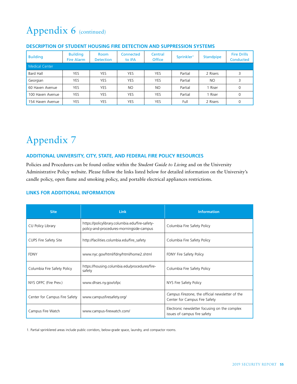| <b>Building</b>       | <b>Building</b><br><b>Fire Alarm</b> | Room<br><b>Detection</b> | Connected<br>to IFA | Central<br><b>Office</b> | Sprinkler <sup>1</sup> | <b>Standpipe</b> | <b>Fire Drills</b><br><b>Conducted</b> |
|-----------------------|--------------------------------------|--------------------------|---------------------|--------------------------|------------------------|------------------|----------------------------------------|
| <b>Medical Center</b> |                                      |                          |                     |                          |                        |                  |                                        |
| Bard Hall             | YES                                  | YES                      | YES                 | <b>YES</b>               | Partial                | 2 Risers         | 3                                      |
| Georgian              | <b>YES</b>                           | <b>YES</b>               | <b>YES</b>          | <b>YES</b>               | Partial                | NO.              | 3                                      |
| 60 Haven Avenue       | YES                                  | <b>YES</b>               | <b>NO</b>           | <b>NO</b>                | Partial                | 1 Riser          | 0                                      |
| 100 Haven Avenue      | YES                                  | <b>YES</b>               | <b>YES</b>          | <b>YES</b>               | Partial                | 1 Riser          | 0                                      |
| 154 Haven Avenue      | YES                                  | <b>YES</b>               | YES                 | <b>YES</b>               | Full                   | 2 Risers         | 0                                      |

#### **DESCRIPTION OF STUDENT HOUSING FIRE DETECTION AND SUPPRESSION SYSTEMS**

## Appendix 7

#### **ADDITIONAL UNIVERSITY, CITY, STATE, AND FEDERAL FIRE POLICY RESOURCES**

Policies and Procedures can be found online within the *Student Guide to Living* and on the University Administrative Policy website. Please follow the links listed below for detailed information on the University's candle policy, open flame and smoking policy, and portable electrical appliances restrictions.

#### **LINKS FOR ADDITIONAL INFORMATION**

| <b>Site</b>                   | <b>Link</b>                                                                                 | <b>Information</b>                                                               |
|-------------------------------|---------------------------------------------------------------------------------------------|----------------------------------------------------------------------------------|
| CU Policy Library             | https://policylibrary.columbia.edu/fire-safety-<br>policy-and-procedures-morningside-campus | Columbia Fire Safety Policy                                                      |
| CUPS Fire Safety Site         | http://facilities.columbia.edu/fire_safety                                                  | Columbia Fire Safety Policy                                                      |
| <b>FDNY</b>                   | www.nyc.gov/html/fdny/html/home2.shtml                                                      | FDNY Fire Safety Policy                                                          |
| Columbia Fire Safety Policy   | https://housing.columbia.edu/procedures/fire-<br>safety                                     | Columbia Fire Safety Policy                                                      |
| NYS OFPC (Fire Prev.)         | www.dhses.ny.gov/ofpc                                                                       | NYS Fire Safety Policy                                                           |
| Center for Campus Fire Safety | www.campusfiresafety.org/                                                                   | Campus Firezone, the official newsletter of the<br>Center for Campus Fire Safety |
| Campus Fire Watch             | www.campus-firewatch.com/                                                                   | Electronic newsletter focusing on the complex<br>issues of campus fire safety    |

1. Partial sprinklered areas include public corridors, below-grade space, laundry, and compactor rooms.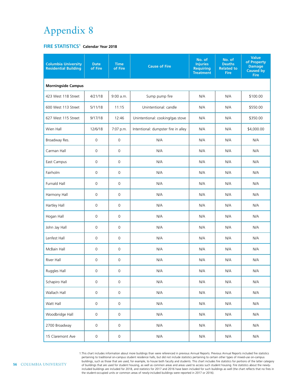## Appendix 8

#### **FIRE STATISTICS<sup>1</sup> Calendar Year 2018**

| <b>Columbia University</b><br><b>Residential Building</b> | <b>Date</b><br>of Fire | <b>Time</b><br>of Fire | <b>Cause of Fire</b>                | No. of<br><b>Injuries</b><br><b>Requiring</b><br><b>Treatment</b> | No. of<br><b>Deaths</b><br><b>Related to</b><br><b>Fire</b> | <b>Value</b><br>of Property<br><b>Damage</b><br><b>Caused by</b><br>Fire |
|-----------------------------------------------------------|------------------------|------------------------|-------------------------------------|-------------------------------------------------------------------|-------------------------------------------------------------|--------------------------------------------------------------------------|
| <b>Morningside Campus</b>                                 |                        |                        |                                     |                                                                   |                                                             |                                                                          |
| 423 West 118 Street                                       | 4/21/18                | 9:00 a.m.              | Sump pump fire                      | N/A                                                               | N/A                                                         | \$100.00                                                                 |
| 600 West 113 Street                                       | 5/11/18                | 11:15                  | Unintentional: candle               | N/A                                                               | N/A                                                         | \$550.00                                                                 |
| 627 West 115 Street                                       | 9/17/18                | 12:46                  | Unintentional: cooking/gas stove    | N/A                                                               | N/A                                                         | \$350.00                                                                 |
| Wien Hall                                                 | 12/6/18                | 7:07 p.m.              | Intentional: dumpster fire in alley | N/A                                                               | N/A                                                         | \$4,000.00                                                               |
| Broadway Res.                                             | $\mathsf{O}\xspace$    | $\mathsf{O}\xspace$    | N/A                                 | N/A                                                               | N/A                                                         | N/A                                                                      |
| Carman Hall                                               | $\mathbf 0$            | $\mathsf 0$            | N/A                                 | N/A                                                               | N/A                                                         | N/A                                                                      |
| East Campus                                               | $\mathsf{O}\xspace$    | $\mathsf{O}\xspace$    | N/A                                 | N/A                                                               | N/A                                                         | N/A                                                                      |
| Fairholm                                                  | 0                      | 0                      | N/A                                 | N/A                                                               | N/A                                                         | N/A                                                                      |
| <b>Furnald Hall</b>                                       | $\mathsf{O}\xspace$    | $\mathsf{O}\xspace$    | N/A                                 | N/A                                                               | N/A                                                         | N/A                                                                      |
| Harmony Hall                                              | $\mathsf 0$            | $\mathbf 0$            | N/A                                 | N/A                                                               | N/A                                                         | N/A                                                                      |
| Hartley Hall                                              | $\mathsf{O}\xspace$    | $\mathsf{O}\xspace$    | N/A                                 | N/A                                                               | N/A                                                         | N/A                                                                      |
| Hogan Hall                                                | $\mathsf{O}\xspace$    | 0                      | N/A                                 | N/A                                                               | N/A                                                         | N/A                                                                      |
| John Jay Hall                                             | $\mathsf{O}\xspace$    | $\mathsf{O}\xspace$    | N/A                                 | N/A                                                               | N/A                                                         | N/A                                                                      |
| Lenfest Hall                                              | $\mathsf{O}\xspace$    | $\mathsf 0$            | N/A                                 | N/A                                                               | N/A                                                         | N/A                                                                      |
| McBain Hall                                               | $\mathsf{O}\xspace$    | $\mathsf{O}\xspace$    | N/A                                 | N/A                                                               | N/A                                                         | N/A                                                                      |
| River Hall                                                | 0                      | 0                      | N/A                                 | N/A                                                               | N/A                                                         | N/A                                                                      |
| Ruggles Hall                                              | $\mathsf{O}\xspace$    | $\mathsf{O}$           | N/A                                 | N/A                                                               | N/A                                                         | $N/A$                                                                    |
| Schapiro Hall                                             | $\mathsf{O}\xspace$    | $\mathsf{O}\xspace$    | N/A                                 | N/A                                                               | N/A                                                         | N/A                                                                      |
| Wallach Hall                                              | $\mathsf{O}\xspace$    | $\mathsf{O}\xspace$    | N/A                                 | N/A                                                               | N/A                                                         | N/A                                                                      |
| Watt Hall                                                 | $\mathsf{O}\xspace$    | 0                      | N/A                                 | N/A                                                               | N/A                                                         | N/A                                                                      |
| Woodbridge Hall                                           | $\mathsf{O}\xspace$    | $\mathsf{O}\xspace$    | N/A                                 | N/A                                                               | N/A                                                         | N/A                                                                      |
| 2700 Broadway                                             | $\mathsf{O}\xspace$    | $\mathsf{O}\xspace$    | N/A                                 | N/A                                                               | N/A                                                         | N/A                                                                      |
| 15 Claremont Ave                                          | $\mathsf{O}\xspace$    | $\mathsf{O}\xspace$    | $\mathsf{N}/\mathsf{A}$             | $\mathsf{N}/\mathsf{A}$                                           | $\mathsf{N}/\mathsf{A}$                                     | N/A                                                                      |

1.This chart includes information about more buildings than were referenced in previous Annual Reports. Previous Annual Reports included fire statistics pertaining to traditional on-campus student residence halls, but did not include statistics pertaining to certain other types of mixed-use on-campus<br>buildings, such as those that are used, for example, to house both facult of buildings that are used for student housing, as well as common areas and areas used to access such student housing. Fire statistics about the newlyincluded buildings are included for 2018, and statistics for 2017 and 2016 have been included for such buildings as well (the chart reflects that no fires in<br>the student-occupied units or common areas of newly-included bui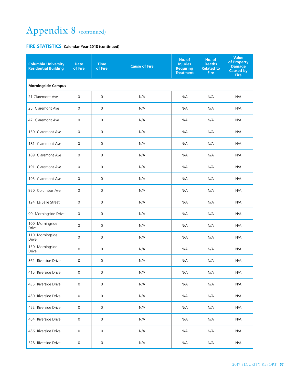| <b>Columbia University</b><br><b>Residential Building</b> | <b>Date</b><br>of Fire | <b>Time</b><br>of Fire | <b>Cause of Fire</b> | No. of<br><b>Injuries</b><br><b>Requiring</b><br><b>Treatment</b> | No. of<br><b>Deaths</b><br><b>Related to</b><br><b>Fire</b> | <b>Value</b><br>of Property<br><b>Damage</b><br><b>Caused by</b><br><b>Fire</b> |
|-----------------------------------------------------------|------------------------|------------------------|----------------------|-------------------------------------------------------------------|-------------------------------------------------------------|---------------------------------------------------------------------------------|
| <b>Morningside Campus</b>                                 |                        |                        |                      |                                                                   |                                                             |                                                                                 |
| 21 Claremont Ave                                          | $\mathsf 0$            | $\mathsf{O}\xspace$    | N/A                  | N/A                                                               | N/A                                                         | N/A                                                                             |
| 25 Claremont Ave                                          | $\mathbf 0$            | $\mathsf{O}\xspace$    | N/A                  | N/A                                                               | N/A                                                         | N/A                                                                             |
| 47 Claremont Ave                                          | $\mathsf 0$            | 0                      | N/A                  | N/A                                                               | N/A                                                         | N/A                                                                             |
| 150 Claremont Ave                                         | $\mathbf 0$            | 0                      | N/A                  | N/A                                                               | N/A                                                         | N/A                                                                             |
| 181 Claremont Ave                                         | $\mathbf 0$            | $\mathbf 0$            | N/A                  | N/A                                                               | N/A                                                         | N/A                                                                             |
| 189 Claremont Ave                                         | $\mathbf 0$            | 0                      | N/A                  | N/A                                                               | N/A                                                         | N/A                                                                             |
| 191 Claremont Ave                                         | 0                      | $\mathsf{O}\xspace$    | N/A                  | N/A                                                               | N/A                                                         | N/A                                                                             |
| 195 Claremont Ave                                         | 0                      | 0                      | N/A                  | N/A                                                               | N/A                                                         | N/A                                                                             |
| 950 Columbus Ave                                          | 0                      | $\mathsf{O}\xspace$    | N/A                  | N/A                                                               | N/A                                                         | N/A                                                                             |
| 124 La Salle Street                                       | 0                      | $\mathsf{O}\xspace$    | N/A                  | N/A                                                               | N/A                                                         | N/A                                                                             |
| 90 Morningside Drive                                      | 0                      | 0                      | N/A                  | N/A                                                               | N/A                                                         | N/A                                                                             |
| 100 Morningside<br><b>Drive</b>                           | 0                      | 0                      | N/A                  | N/A                                                               | N/A                                                         | N/A                                                                             |
| 110 Morningside<br><b>Drive</b>                           | 0                      | 0                      | N/A                  | N/A                                                               | N/A                                                         | N/A                                                                             |
| 130 Morningside<br><b>Drive</b>                           | 0                      | 0                      | N/A                  | N/A                                                               | N/A                                                         | N/A                                                                             |
| 362 Riverside Drive                                       | 0                      | $\mathsf{O}\xspace$    | N/A                  | N/A                                                               | N/A                                                         | N/A                                                                             |
| 415 Riverside Drive                                       | 0                      | 0                      | N/A                  | N/A                                                               | N/A                                                         | N/A                                                                             |
| 435 Riverside Drive                                       | 0                      | $\mathsf{O}\xspace$    | N/A                  | N/A                                                               | N/A                                                         | N/A                                                                             |
| 450 Riverside Drive                                       | 0                      | 0                      | N/A                  | N/A                                                               | N/A                                                         | N/A                                                                             |
| 452 Riverside Drive                                       | 0                      | 0                      | N/A                  | N/A                                                               | N/A                                                         | N/A                                                                             |
| 454 Riverside Drive                                       | 0                      | 0                      | N/A                  | N/A                                                               | N/A                                                         | N/A                                                                             |
| 456 Riverside Drive                                       | 0                      | 0                      | N/A                  | N/A                                                               | N/A                                                         | N/A                                                                             |
| 528 Riverside Drive                                       | 0                      | 0                      | N/A                  | N/A                                                               | N/A                                                         | N/A                                                                             |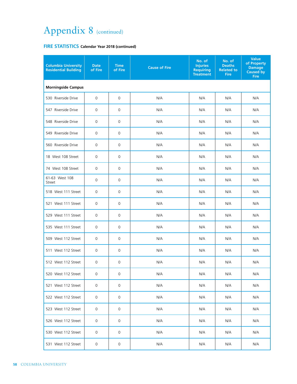| <b>Columbia University</b><br><b>Residential Building</b> | <b>Date</b><br>of Fire | <b>Time</b><br>of Fire | <b>Cause of Fire</b> | No. of<br><b>Injuries</b><br><b>Requiring</b><br><b>Treatment</b> | No. of<br><b>Deaths</b><br><b>Related to</b><br><b>Fire</b> | <b>Value</b><br>of Property<br><b>Damage</b><br><b>Caused by</b><br><b>Fire</b> |  |  |  |  |
|-----------------------------------------------------------|------------------------|------------------------|----------------------|-------------------------------------------------------------------|-------------------------------------------------------------|---------------------------------------------------------------------------------|--|--|--|--|
| <b>Morningside Campus</b>                                 |                        |                        |                      |                                                                   |                                                             |                                                                                 |  |  |  |  |
| 530 Riverside Drive                                       | 0                      | $\mathbf 0$            | N/A                  | N/A                                                               | N/A                                                         | N/A                                                                             |  |  |  |  |
| 547 Riverside Drive                                       | 0                      | $\mathbf 0$            | N/A                  | N/A                                                               | N/A                                                         | N/A                                                                             |  |  |  |  |
| 548 Riverside Drive                                       | 0                      | $\mathbf 0$            | N/A                  | N/A                                                               | N/A                                                         | N/A                                                                             |  |  |  |  |
| 549 Riverside Drive                                       | 0                      | $\mathbf 0$            | N/A                  | N/A                                                               | N/A                                                         | N/A                                                                             |  |  |  |  |
| 560 Riverside Drive                                       | 0                      | $\mathbf 0$            | N/A                  | N/A                                                               | N/A                                                         | N/A                                                                             |  |  |  |  |
| 18 West 108 Street                                        | 0                      | 0                      | N/A                  | N/A                                                               | N/A                                                         | N/A                                                                             |  |  |  |  |
| 74 West 108 Street                                        | 0                      | $\mathbf 0$            | N/A                  | N/A                                                               | N/A                                                         | N/A                                                                             |  |  |  |  |
| 61-63 West 108<br>Street                                  | 0                      | $\mathbf 0$            | N/A                  | N/A                                                               | N/A                                                         | N/A                                                                             |  |  |  |  |
| 518 West 111 Street                                       | $\mathbf 0$            | $\mathbf 0$            | N/A                  | N/A                                                               | N/A                                                         | N/A                                                                             |  |  |  |  |
| 521 West 111 Street                                       | $\mathbf 0$            | $\mathbf 0$            | N/A                  | N/A                                                               | N/A                                                         | N/A                                                                             |  |  |  |  |
| 529 West 111 Street                                       | $\mathbf 0$            | $\mathbf 0$            | N/A                  | N/A                                                               | N/A                                                         | N/A                                                                             |  |  |  |  |
| 535 West 111 Street                                       | $\mathbf 0$            | $\mathbf 0$            | N/A                  | N/A                                                               | N/A                                                         | N/A                                                                             |  |  |  |  |
| 509 West 112 Street                                       | $\mathbf 0$            | $\mathbf 0$            | N/A                  | N/A                                                               | N/A                                                         | N/A                                                                             |  |  |  |  |
| 511 West 112 Street                                       | $\mathbf 0$            | 0                      | N/A                  | N/A                                                               | N/A                                                         | N/A                                                                             |  |  |  |  |
| 512 West 112 Street                                       | 0                      | 0                      | N/A                  | N/A                                                               | N/A                                                         | N/A                                                                             |  |  |  |  |
| 520 West 112 Street                                       | 0                      | 0                      | N/A                  | N/A                                                               | N/A                                                         | N/A                                                                             |  |  |  |  |
| 521 West 112 Street                                       | $\mathsf{O}\xspace$    | $\mathsf{O}\xspace$    | N/A                  | N/A                                                               | N/A                                                         | N/A                                                                             |  |  |  |  |
| 522 West 112 Street                                       | 0                      | 0                      | N/A                  | N/A                                                               | N/A                                                         | N/A                                                                             |  |  |  |  |
| 523 West 112 Street                                       | 0                      | 0                      | N/A                  | N/A                                                               | N/A                                                         | N/A                                                                             |  |  |  |  |
| 526 West 112 Street                                       | 0                      | 0                      | N/A                  | N/A                                                               | N/A                                                         | N/A                                                                             |  |  |  |  |
| 530 West 112 Street                                       | $\mathbf 0$            | 0                      | N/A                  | N/A                                                               | N/A                                                         | N/A                                                                             |  |  |  |  |
| 531 West 112 Street                                       | $\mathsf{O}$           | $\mathsf{O}\xspace$    | N/A                  | N/A                                                               | N/A                                                         | N/A                                                                             |  |  |  |  |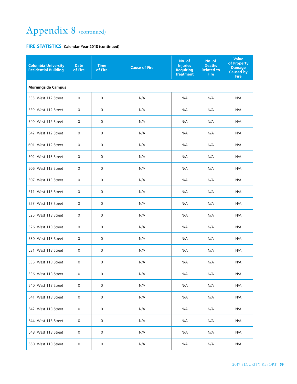| <b>Columbia University</b><br><b>Residential Building</b> | <b>Date</b><br>of Fire | <b>Time</b><br>of Fire | <b>Cause of Fire</b> | No. of<br><b>Injuries</b><br><b>Requiring</b><br><b>Treatment</b> | No. of<br><b>Deaths</b><br><b>Related to</b><br><b>Fire</b> | <b>Value</b><br>of Property<br><b>Damage</b><br>Caused by<br><b>Fire</b> |  |  |  |  |
|-----------------------------------------------------------|------------------------|------------------------|----------------------|-------------------------------------------------------------------|-------------------------------------------------------------|--------------------------------------------------------------------------|--|--|--|--|
| <b>Morningside Campus</b>                                 |                        |                        |                      |                                                                   |                                                             |                                                                          |  |  |  |  |
| 535 West 112 Street                                       | $\mathbf 0$            | 0                      | N/A                  | N/A                                                               | N/A                                                         | N/A                                                                      |  |  |  |  |
| 539 West 112 Street                                       | 0                      | 0                      | N/A                  | N/A                                                               | N/A                                                         | N/A                                                                      |  |  |  |  |
| 540 West 112 Street                                       | 0                      | 0                      | N/A                  | N/A                                                               | N/A                                                         | N/A                                                                      |  |  |  |  |
| 542 West 112 Street                                       | 0                      | 0                      | N/A                  | N/A                                                               | N/A                                                         | N/A                                                                      |  |  |  |  |
| 601 West 112 Street                                       | $\mathbf 0$            | 0                      | N/A                  | N/A                                                               | N/A                                                         | N/A                                                                      |  |  |  |  |
| 502 West 113 Street                                       | 0                      | 0                      | N/A                  | N/A                                                               | N/A                                                         | N/A                                                                      |  |  |  |  |
| 506 West 113 Street                                       | 0                      | 0                      | N/A                  | N/A                                                               | N/A                                                         | N/A                                                                      |  |  |  |  |
| 507 West 113 Street                                       | 0                      | 0                      | N/A                  | N/A                                                               | N/A                                                         | N/A                                                                      |  |  |  |  |
| 511 West 113 Street                                       | $\mathbf 0$            | 0                      | N/A                  | N/A                                                               | N/A                                                         | N/A                                                                      |  |  |  |  |
| 523 West 113 Street                                       | $\mathbf 0$            | 0                      | N/A                  | N/A                                                               | N/A                                                         | N/A                                                                      |  |  |  |  |
| 525 West 113 Street                                       | $\mathbf 0$            | 0                      | N/A                  | N/A                                                               | N/A                                                         | N/A                                                                      |  |  |  |  |
| 526 West 113 Street                                       | 0                      | 0                      | N/A                  | N/A                                                               | N/A                                                         | N/A                                                                      |  |  |  |  |
| 530 West 113 Street                                       | 0                      | 0                      | N/A                  | N/A                                                               | N/A                                                         | N/A                                                                      |  |  |  |  |
| 531 West 113 Street                                       | 0                      | 0                      | N/A                  | N/A                                                               | N/A                                                         | N/A                                                                      |  |  |  |  |
| 535 West 113 Street                                       | 0                      | 0                      | N/A                  | N/A                                                               | N/A                                                         | N/A                                                                      |  |  |  |  |
| 536 West 113 Street                                       | 0                      | 0                      | N/A                  | N/A                                                               | N/A                                                         | N/A                                                                      |  |  |  |  |
| 540 West 113 Street                                       | $\mathsf 0$            | 0                      | N/A                  | N/A                                                               | N/A                                                         | N/A                                                                      |  |  |  |  |
| 541 West 113 Street                                       | 0                      | 0                      | N/A                  | N/A                                                               | N/A                                                         | N/A                                                                      |  |  |  |  |
| 542 West 113 Street                                       | 0                      | 0                      | N/A                  | N/A                                                               | N/A                                                         | N/A                                                                      |  |  |  |  |
| 544 West 113 Street                                       | 0                      | 0                      | N/A                  | N/A                                                               | N/A                                                         | N/A                                                                      |  |  |  |  |
| 548 West 113 Street                                       | 0                      | 0                      | N/A                  | N/A                                                               | N/A                                                         | N/A                                                                      |  |  |  |  |
| 550 West 113 Street                                       | $\mathsf{O}\xspace$    | 0                      | N/A                  | N/A                                                               | N/A                                                         | N/A                                                                      |  |  |  |  |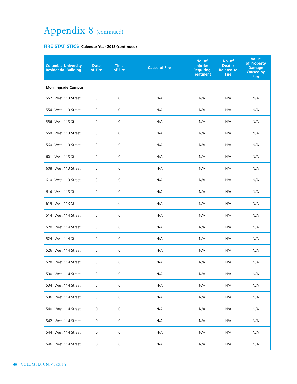| <b>Columbia University</b><br><b>Residential Building</b> | <b>Date</b><br>of Fire | <b>Time</b><br>of Fire | <b>Cause of Fire</b> | No. of<br><b>Injuries</b><br><b>Requiring</b><br><b>Treatment</b> | No. of<br><b>Deaths</b><br><b>Related to</b><br><b>Fire</b> | <b>Value</b><br>of Property<br><b>Damage</b><br><b>Caused by</b><br><b>Fire</b> |  |  |  |  |
|-----------------------------------------------------------|------------------------|------------------------|----------------------|-------------------------------------------------------------------|-------------------------------------------------------------|---------------------------------------------------------------------------------|--|--|--|--|
| <b>Morningside Campus</b>                                 |                        |                        |                      |                                                                   |                                                             |                                                                                 |  |  |  |  |
| 552 West 113 Street                                       | $\mathbf 0$            | 0                      | N/A                  | N/A                                                               | N/A                                                         | N/A                                                                             |  |  |  |  |
| 554 West 113 Street                                       | $\mathbf 0$            | 0                      | N/A                  | N/A                                                               | N/A                                                         | N/A                                                                             |  |  |  |  |
| 556 West 113 Street                                       | $\mathbf 0$            | 0                      | N/A                  | N/A                                                               | N/A                                                         | N/A                                                                             |  |  |  |  |
| 558 West 113 Street                                       | $\mathbf 0$            | 0                      | N/A                  | N/A                                                               | N/A                                                         | N/A                                                                             |  |  |  |  |
| 560 West 113 Street                                       | $\mathbf 0$            | 0                      | N/A                  | N/A                                                               | N/A                                                         | N/A                                                                             |  |  |  |  |
| 601 West 113 Street                                       | $\mathbf 0$            | 0                      | N/A                  | N/A                                                               | N/A                                                         | N/A                                                                             |  |  |  |  |
| 608 West 113 Street                                       | 0                      | 0                      | N/A                  | N/A                                                               | N/A                                                         | N/A                                                                             |  |  |  |  |
| 610 West 113 Street                                       | 0                      | 0                      | N/A                  | N/A                                                               | N/A                                                         | N/A                                                                             |  |  |  |  |
| 614 West 113 Street                                       | 0                      | 0                      | N/A                  | N/A                                                               | N/A                                                         | N/A                                                                             |  |  |  |  |
| 619 West 113 Street                                       | 0                      | 0                      | N/A                  | N/A                                                               | N/A                                                         | N/A                                                                             |  |  |  |  |
| 514 West 114 Street                                       | $\mathbf 0$            | 0                      | N/A                  | N/A                                                               | N/A                                                         | N/A                                                                             |  |  |  |  |
| 520 West 114 Street                                       | 0                      | 0                      | N/A                  | N/A                                                               | N/A                                                         | N/A                                                                             |  |  |  |  |
| 524 West 114 Street                                       | $\mathbf 0$            | 0                      | N/A                  | N/A                                                               | N/A                                                         | N/A                                                                             |  |  |  |  |
| 526 West 114 Street                                       | 0                      | 0                      | N/A                  | N/A                                                               | N/A                                                         | N/A                                                                             |  |  |  |  |
| 528 West 114 Street                                       | 0                      | $\mathbf 0$            | N/A                  | N/A                                                               | N/A                                                         | N/A                                                                             |  |  |  |  |
| 530 West 114 Street                                       | 0                      | 0                      | N/A                  | N/A                                                               | N/A                                                         | N/A                                                                             |  |  |  |  |
| 534 West 114 Street                                       | $\mathsf{O}\xspace$    | $\mathbf 0$            | N/A                  | N/A                                                               | N/A                                                         | N/A                                                                             |  |  |  |  |
| 536 West 114 Street                                       | 0                      | $\mathbf 0$            | N/A                  | N/A                                                               | N/A                                                         | N/A                                                                             |  |  |  |  |
| 540 West 114 Street                                       | 0                      | 0                      | N/A                  | N/A                                                               | N/A                                                         | N/A                                                                             |  |  |  |  |
| 542 West 114 Street                                       | 0                      | $\mathbf 0$            | N/A                  | N/A                                                               | N/A                                                         | N/A                                                                             |  |  |  |  |
| 544 West 114 Street                                       | 0                      | $\mathbf 0$            | N/A                  | N/A                                                               | N/A                                                         | N/A                                                                             |  |  |  |  |
| 546 West 114 Street                                       | 0                      | 0                      | N/A                  | N/A                                                               | N/A                                                         | N/A                                                                             |  |  |  |  |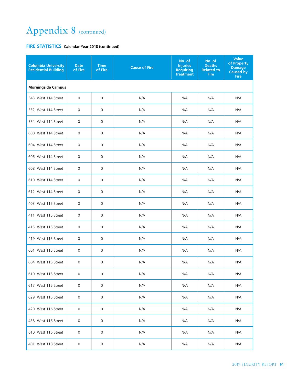| <b>Columbia University</b><br><b>Residential Building</b> | <b>Date</b><br>of Fire    | <b>Time</b><br>of Fire | <b>Cause of Fire</b> | No. of<br><b>Injuries</b><br><b>Requiring</b><br><b>Treatment</b> | No. of<br><b>Deaths</b><br><b>Related to</b><br><b>Fire</b> | <b>Value</b><br>of Property<br><b>Damage</b><br>Caused by<br><b>Fire</b> |  |  |  |  |  |
|-----------------------------------------------------------|---------------------------|------------------------|----------------------|-------------------------------------------------------------------|-------------------------------------------------------------|--------------------------------------------------------------------------|--|--|--|--|--|
|                                                           | <b>Morningside Campus</b> |                        |                      |                                                                   |                                                             |                                                                          |  |  |  |  |  |
| 548 West 114 Street                                       | $\mathsf 0$               | $\mathsf{O}\xspace$    | N/A                  | N/A                                                               | N/A                                                         | N/A                                                                      |  |  |  |  |  |
| 552 West 114 Street                                       | $\mathbf 0$               | $\mathbf 0$            | N/A                  | N/A                                                               | N/A                                                         | N/A                                                                      |  |  |  |  |  |
| 554 West 114 Street                                       | 0                         | 0                      | N/A                  | N/A                                                               | N/A                                                         | N/A                                                                      |  |  |  |  |  |
| 600 West 114 Street                                       | $\mathbf 0$               | 0                      | N/A                  | N/A                                                               | N/A                                                         | N/A                                                                      |  |  |  |  |  |
| 604 West 114 Street                                       | 0                         | $\mathbf 0$            | N/A                  | N/A                                                               | N/A                                                         | N/A                                                                      |  |  |  |  |  |
| 606 West 114 Street                                       | $\mathbf 0$               | 0                      | N/A                  | N/A                                                               | N/A                                                         | N/A                                                                      |  |  |  |  |  |
| 608 West 114 Street                                       | $\mathbf 0$               | 0                      | N/A                  | N/A                                                               | N/A                                                         | N/A                                                                      |  |  |  |  |  |
| 610 West 114 Street                                       | $\mathbf 0$               | 0                      | N/A                  | N/A                                                               | N/A                                                         | N/A                                                                      |  |  |  |  |  |
| 612 West 114 Street                                       | $\mathbf 0$               | 0                      | N/A                  | N/A                                                               | N/A                                                         | N/A                                                                      |  |  |  |  |  |
| 403 West 115 Street                                       | $\mathbf 0$               | 0                      | N/A                  | N/A                                                               | N/A                                                         | N/A                                                                      |  |  |  |  |  |
| 411 West 115 Street                                       | 0                         | 0                      | N/A                  | N/A                                                               | N/A                                                         | N/A                                                                      |  |  |  |  |  |
| 415 West 115 Street                                       | 0                         | 0                      | N/A                  | N/A                                                               | N/A                                                         | N/A                                                                      |  |  |  |  |  |
| 419 West 115 Street                                       | $\mathbf 0$               | 0                      | N/A                  | N/A                                                               | N/A                                                         | N/A                                                                      |  |  |  |  |  |
| 601 West 115 Street                                       | $\mathbf 0$               | 0                      | N/A                  | N/A                                                               | N/A                                                         | N/A                                                                      |  |  |  |  |  |
| 604 West 115 Street                                       | $\mathbf 0$               | 0                      | N/A                  | N/A                                                               | N/A                                                         | N/A                                                                      |  |  |  |  |  |
| 610 West 115 Street                                       | 0                         | 0                      | N/A                  | N/A                                                               | N/A                                                         | N/A                                                                      |  |  |  |  |  |
| 617 West 115 Street                                       | $\mathbf 0$               | $\mathbf{0}$           | N/A                  | N/A                                                               | N/A                                                         | N/A                                                                      |  |  |  |  |  |
| 629 West 115 Street                                       | 0                         | 0                      | N/A                  | N/A                                                               | N/A                                                         | N/A                                                                      |  |  |  |  |  |
| 420 West 116 Street                                       | 0                         | 0                      | N/A                  | N/A                                                               | N/A                                                         | N/A                                                                      |  |  |  |  |  |
| 438 West 116 Street                                       | 0                         | 0                      | N/A                  | N/A                                                               | N/A                                                         | N/A                                                                      |  |  |  |  |  |
| 610 West 116 Street                                       | 0                         | 0                      | N/A                  | N/A                                                               | N/A                                                         | N/A                                                                      |  |  |  |  |  |
| 401 West 118 Street                                       | 0                         | 0                      | N/A                  | N/A                                                               | N/A                                                         | N/A                                                                      |  |  |  |  |  |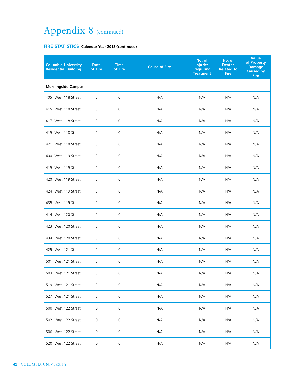| <b>Columbia University</b><br><b>Residential Building</b> | <b>Date</b><br>of Fire | <b>Time</b><br>of Fire | <b>Cause of Fire</b> | No. of<br><b>Injuries</b><br><b>Requiring</b><br><b>Treatment</b> | No. of<br><b>Deaths</b><br><b>Related to</b><br><b>Fire</b> | <b>Value</b><br>of Property<br><b>Damage</b><br><b>Caused by</b><br><b>Fire</b> |  |  |  |  |
|-----------------------------------------------------------|------------------------|------------------------|----------------------|-------------------------------------------------------------------|-------------------------------------------------------------|---------------------------------------------------------------------------------|--|--|--|--|
| <b>Morningside Campus</b>                                 |                        |                        |                      |                                                                   |                                                             |                                                                                 |  |  |  |  |
| 405 West 118 Street                                       | $\mathbf 0$            | 0                      | N/A                  | N/A                                                               | N/A                                                         | N/A                                                                             |  |  |  |  |
| 415 West 118 Street                                       | 0                      | 0                      | N/A                  | N/A                                                               | N/A                                                         | N/A                                                                             |  |  |  |  |
| 417 West 118 Street                                       | 0                      | 0                      | N/A                  | N/A                                                               | N/A                                                         | N/A                                                                             |  |  |  |  |
| 419 West 118 Street                                       | $\mathbf 0$            | 0                      | N/A                  | N/A                                                               | N/A                                                         | N/A                                                                             |  |  |  |  |
| 421 West 118 Street                                       | 0                      | 0                      | N/A                  | N/A                                                               | N/A                                                         | N/A                                                                             |  |  |  |  |
| 400 West 119 Street                                       | $\mathbf 0$            | $\mathbf 0$            | N/A                  | N/A                                                               | N/A                                                         | N/A                                                                             |  |  |  |  |
| 419 West 119 Street                                       | $\mathbf 0$            | $\mathbf 0$            | N/A                  | N/A                                                               | N/A                                                         | N/A                                                                             |  |  |  |  |
| 420 West 119 Street                                       | $\mathbf 0$            | $\mathbf 0$            | N/A                  | N/A                                                               | N/A                                                         | N/A                                                                             |  |  |  |  |
| 424 West 119 Street                                       | $\mathbf 0$            | 0                      | N/A                  | N/A                                                               | N/A                                                         | N/A                                                                             |  |  |  |  |
| 435 West 119 Street                                       | $\mathbf 0$            | 0                      | N/A                  | N/A                                                               | N/A                                                         | N/A                                                                             |  |  |  |  |
| 414 West 120 Street                                       | 0                      | 0                      | N/A                  | N/A                                                               | N/A                                                         | N/A                                                                             |  |  |  |  |
| 423 West 120 Street                                       | 0                      | 0                      | N/A                  | N/A                                                               | N/A                                                         | N/A                                                                             |  |  |  |  |
| 434 West 120 Street                                       | $\mathbf 0$            | 0                      | N/A                  | N/A                                                               | N/A                                                         | N/A                                                                             |  |  |  |  |
| 425 West 121 Street                                       | $\mathbf 0$            | 0                      | N/A                  | N/A                                                               | N/A                                                         | N/A                                                                             |  |  |  |  |
| 501 West 121 Street                                       | $\mathbf 0$            | 0                      | N/A                  | N/A                                                               | N/A                                                         | N/A                                                                             |  |  |  |  |
| 503 West 121 Street                                       | 0                      | 0                      | N/A                  | N/A                                                               | N/A                                                         | N/A                                                                             |  |  |  |  |
| 519 West 121 Street                                       | $\mathbf 0$            | 0                      | N/A                  | N/A                                                               | N/A                                                         | N/A                                                                             |  |  |  |  |
| 527 West 121 Street                                       | $\mathbf 0$            | 0                      | N/A                  | N/A                                                               | N/A                                                         | N/A                                                                             |  |  |  |  |
| 500 West 122 Street                                       | $\mathbf 0$            | 0                      | N/A                  | N/A                                                               | N/A                                                         | N/A                                                                             |  |  |  |  |
| 502 West 122 Street                                       | $\mathbf 0$            | 0                      | N/A                  | N/A                                                               | N/A                                                         | N/A                                                                             |  |  |  |  |
| 506 West 122 Street                                       | $\mathbf 0$            | 0                      | N/A                  | N/A                                                               | N/A                                                         | N/A                                                                             |  |  |  |  |
| 520 West 122 Street                                       | $\mathsf{O}\xspace$    | 0                      | N/A                  | N/A                                                               | N/A                                                         | N/A                                                                             |  |  |  |  |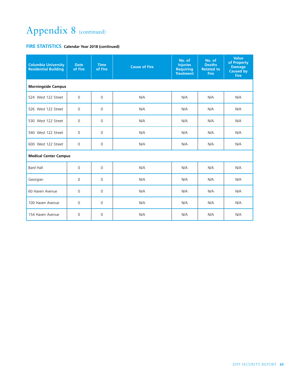| <b>Columbia University</b><br><b>Residential Building</b> | <b>Date</b><br>of Fire | <b>Time</b><br>of Fire | <b>Cause of Fire</b> | No. of<br><b>Injuries</b><br><b>Requiring</b><br><b>Treatment</b> | No. of<br><b>Deaths</b><br><b>Related to</b><br><b>Fire</b> | Value<br>of Property<br><b>Damage</b><br><b>Caused by</b><br><b>Fire</b> |  |  |  |
|-----------------------------------------------------------|------------------------|------------------------|----------------------|-------------------------------------------------------------------|-------------------------------------------------------------|--------------------------------------------------------------------------|--|--|--|
| <b>Morningside Campus</b>                                 |                        |                        |                      |                                                                   |                                                             |                                                                          |  |  |  |
| 524 West 122 Street                                       | $\mathbf 0$            | 0                      | N/A                  | N/A                                                               | N/A                                                         | N/A                                                                      |  |  |  |
| 526 West 122 Street                                       | $\Omega$               | $\Omega$               | N/A                  | N/A                                                               | N/A                                                         | N/A                                                                      |  |  |  |
| 530 West 122 Street                                       | $\mathbf 0$            | $\mathbf 0$            | N/A                  | N/A                                                               | N/A                                                         | N/A                                                                      |  |  |  |
| 540 West 122 Street                                       | $\Omega$               | $\Omega$               | N/A                  | N/A                                                               | N/A                                                         | N/A                                                                      |  |  |  |
| 600 West 122 Street                                       | $\mathbf 0$            | $\mathbf 0$            | N/A                  | N/A                                                               | N/A                                                         | N/A                                                                      |  |  |  |
| <b>Medical Center Campus</b>                              |                        |                        |                      |                                                                   |                                                             |                                                                          |  |  |  |
| <b>Bard Hall</b>                                          | $\Omega$               | $\Omega$               | N/A                  | N/A                                                               | N/A                                                         | N/A                                                                      |  |  |  |
| Georgian                                                  | $\mathbf 0$            | $\mathbf 0$            | N/A                  | N/A                                                               | N/A                                                         | N/A                                                                      |  |  |  |
| 60 Haven Avenue                                           | $\Omega$               | $\Omega$               | N/A                  | N/A                                                               | N/A                                                         | N/A                                                                      |  |  |  |
| 100 Haven Avenue                                          | $\mathbf 0$            | $\Omega$               | N/A                  | N/A                                                               | N/A                                                         | N/A                                                                      |  |  |  |
| 154 Haven Avenue                                          | $\mathbf 0$            | $\Omega$               | N/A                  | N/A                                                               | N/A                                                         | N/A                                                                      |  |  |  |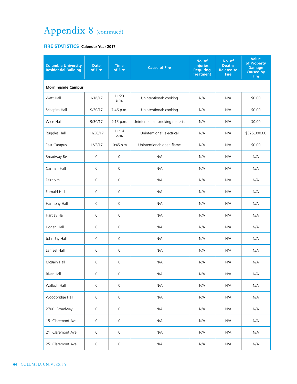#### **FIRE STATISTICS Calendar Year 2017**

| <b>Columbia University</b><br><b>Residential Building</b> | <b>Date</b><br>of Fire | <b>Time</b><br>of Fire | <b>Cause of Fire</b>            | No. of<br><b>Injuries</b><br><b>Requiring</b><br><b>Treatment</b> | No. of<br><b>Deaths</b><br><b>Related to</b><br><b>Fire</b> | <b>Value</b><br>of Property<br><b>Damage</b><br>Caused by<br><b>Fire</b> |  |  |  |
|-----------------------------------------------------------|------------------------|------------------------|---------------------------------|-------------------------------------------------------------------|-------------------------------------------------------------|--------------------------------------------------------------------------|--|--|--|
| <b>Morningside Campus</b>                                 |                        |                        |                                 |                                                                   |                                                             |                                                                          |  |  |  |
| Watt Hall                                                 | 1/16/17                | 11:23<br>a.m.          | Unintentional: cooking          | N/A                                                               | N/A                                                         | \$0.00                                                                   |  |  |  |
| Schapiro Hall                                             | 9/30/17                | 7:46 p.m.              | Unintentional: cooking          | N/A                                                               | N/A                                                         | \$0.00                                                                   |  |  |  |
| Wien Hall                                                 | 9/30/17                | 9:15 p.m.              | Unintentional: smoking material | N/A                                                               | N/A                                                         | \$0.00                                                                   |  |  |  |
| Ruggles Hall                                              | 11/30/17               | 11:14<br>p.m.          | Unintentional: electrical       | N/A                                                               | N/A                                                         | \$325,000.00                                                             |  |  |  |
| East Campus                                               | 12/3/17                | 10:45 p.m.             | Unintentional: open flame       | N/A                                                               | N/A                                                         | \$0.00                                                                   |  |  |  |
| Broadway Res.                                             | 0                      | $\mathbf 0$            | N/A                             | N/A                                                               | N/A                                                         | N/A                                                                      |  |  |  |
| Carman Hall                                               | $\mathbf 0$            | $\mathbf 0$            | N/A                             | N/A                                                               | N/A                                                         | N/A                                                                      |  |  |  |
| Fairholm                                                  | 0                      | $\mathbf 0$            | N/A                             | N/A                                                               | N/A                                                         | N/A                                                                      |  |  |  |
| Furnald Hall                                              | $\mathsf{O}\xspace$    | $\mathsf{O}\xspace$    | N/A                             | N/A                                                               | N/A                                                         | N/A                                                                      |  |  |  |
| Harmony Hall                                              | $\mathbf 0$            | $\mathbf 0$            | N/A                             | N/A                                                               | N/A                                                         | N/A                                                                      |  |  |  |
| Hartley Hall                                              | 0                      | 0                      | N/A                             | N/A                                                               | N/A                                                         | N/A                                                                      |  |  |  |
| Hogan Hall                                                | $\mathsf{O}\xspace$    | $\mathbf 0$            | N/A                             | N/A                                                               | N/A                                                         | N/A                                                                      |  |  |  |
| John Jay Hall                                             | $\mathbf 0$            | $\mathbf 0$            | N/A                             | N/A                                                               | N/A                                                         | N/A                                                                      |  |  |  |
| Lenfest Hall                                              | 0                      | 0                      | N/A                             | N/A                                                               | N/A                                                         | N/A                                                                      |  |  |  |
| McBain Hall                                               | 0                      | $\mathbf 0$            | N/A                             | N/A                                                               | N/A                                                         | N/A                                                                      |  |  |  |
| River Hall                                                | $\mathsf{O}\xspace$    | 0                      | N/A                             | N/A                                                               | N/A                                                         | N/A                                                                      |  |  |  |
| Wallach Hall                                              | $\mathsf{O}\xspace$    | $\mathbf 0$            | N/A                             | N/A                                                               | N/A                                                         | N/A                                                                      |  |  |  |
| Woodbridge Hall                                           | $\mathsf{O}\xspace$    | $\mathsf{O}\xspace$    | N/A                             | N/A                                                               | N/A                                                         | N/A                                                                      |  |  |  |
| 2700 Broadway                                             | $\mathsf{O}\xspace$    | $\mathsf{O}\xspace$    | N/A                             | N/A                                                               | N/A                                                         | N/A                                                                      |  |  |  |
| 15 Claremont Ave                                          | $\mathsf{O}\xspace$    | $\mathsf{O}\xspace$    | N/A                             | N/A                                                               | N/A                                                         | N/A                                                                      |  |  |  |
| 21 Claremont Ave                                          | $\mathsf{O}\xspace$    | $\mathsf{O}\xspace$    | N/A                             | N/A                                                               | N/A                                                         | N/A                                                                      |  |  |  |
| 25 Claremont Ave                                          | $\mathsf{O}\xspace$    | $\mathsf{O}\xspace$    | N/A                             | N/A                                                               | N/A                                                         | N/A                                                                      |  |  |  |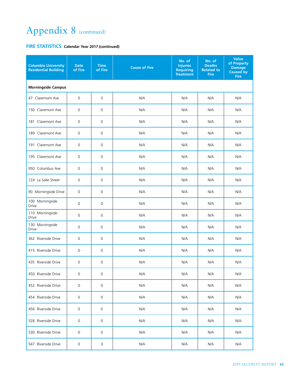| <b>Columbia University</b><br><b>Residential Building</b> | <b>Date</b><br>of Fire | <b>Time</b><br>of Fire | <b>Cause of Fire</b> | No. of<br><b>Injuries</b><br><b>Requiring</b><br><b>Treatment</b> | No. of<br><b>Deaths</b><br><b>Related to</b><br><b>Fire</b> | <b>Value</b><br>of Property<br><b>Damage</b><br>Caused by<br><b>Fire</b> |  |  |  |
|-----------------------------------------------------------|------------------------|------------------------|----------------------|-------------------------------------------------------------------|-------------------------------------------------------------|--------------------------------------------------------------------------|--|--|--|
| <b>Morningside Campus</b>                                 |                        |                        |                      |                                                                   |                                                             |                                                                          |  |  |  |
| 47 Claremont Ave                                          | $\mathbf 0$            | 0                      | N/A                  | N/A                                                               | N/A                                                         | N/A                                                                      |  |  |  |
| 150 Claremont Ave                                         | $\mathbf 0$            | $\mathsf 0$            | N/A                  | N/A                                                               | N/A                                                         | N/A                                                                      |  |  |  |
| 181 Claremont Ave                                         | $\mathbf 0$            | 0                      | N/A                  | N/A                                                               | N/A                                                         | N/A                                                                      |  |  |  |
| 189 Claremont Ave                                         | 0                      | 0                      | N/A                  | N/A                                                               | N/A                                                         | N/A                                                                      |  |  |  |
| 191 Claremont Ave                                         | 0                      | 0                      | N/A                  | N/A                                                               | N/A                                                         | N/A                                                                      |  |  |  |
| 195 Claremont Ave                                         | $\mathbf 0$            | 0                      | N/A                  | N/A                                                               | N/A                                                         | N/A                                                                      |  |  |  |
| 950 Columbus Ave                                          | 0                      | 0                      | N/A                  | N/A                                                               | N/A                                                         | N/A                                                                      |  |  |  |
| 124 La Salle Street                                       | $\mathbf 0$            | 0                      | N/A                  | N/A                                                               | N/A                                                         | N/A                                                                      |  |  |  |
| 90 Morningside Drive                                      | $\mathbf 0$            | 0                      | N/A                  | N/A                                                               | N/A                                                         | N/A                                                                      |  |  |  |
| 100 Morningside<br>Drive                                  | $\overline{0}$         | $\mathsf{O}\xspace$    | N/A                  | N/A                                                               | N/A                                                         | N/A                                                                      |  |  |  |
| 110 Morningside<br>Drive                                  | $\mathbf 0$            | 0                      | N/A                  | N/A                                                               | N/A                                                         | N/A                                                                      |  |  |  |
| 130 Morningside<br><b>Drive</b>                           | $\mathbf 0$            | 0                      | N/A                  | N/A                                                               | N/A                                                         | N/A                                                                      |  |  |  |
| 362 Riverside Drive                                       | $\mathbf 0$            | 0                      | N/A                  | N/A                                                               | N/A                                                         | N/A                                                                      |  |  |  |
| 415 Riverside Drive                                       | 0                      | 0                      | N/A                  | N/A                                                               | N/A                                                         | N/A                                                                      |  |  |  |
| 435 Riverside Drive                                       | $\mathbf 0$            | 0                      | N/A                  | N/A                                                               | N/A                                                         | N/A                                                                      |  |  |  |
| 450 Riverside Drive                                       | 0                      | 0                      | N/A                  | N/A                                                               | N/A                                                         | N/A                                                                      |  |  |  |
| 452 Riverside Drive                                       | 0                      | $\mathsf 0$            | N/A                  | N/A                                                               | N/A                                                         | N/A                                                                      |  |  |  |
| 454 Riverside Drive                                       | 0                      | 0                      | N/A                  | N/A                                                               | N/A                                                         | N/A                                                                      |  |  |  |
| 456 Riverside Drive                                       | 0                      | 0                      | N/A                  | N/A                                                               | N/A                                                         | N/A                                                                      |  |  |  |
| 528 Riverside Drive                                       | 0                      | 0                      | N/A                  | N/A                                                               | N/A                                                         | N/A                                                                      |  |  |  |
| 530 Riverside Drive                                       | 0                      | 0                      | N/A                  | N/A                                                               | N/A                                                         | N/A                                                                      |  |  |  |
| 547 Riverside Drive                                       | 0                      | 0                      | N/A                  | N/A                                                               | N/A                                                         | N/A                                                                      |  |  |  |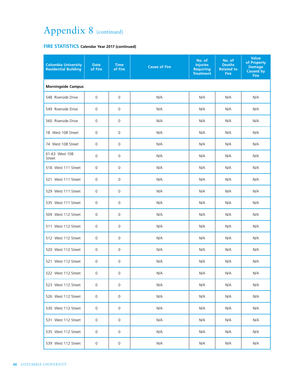| <b>Columbia University</b><br><b>Residential Building</b> | <b>Date</b><br>of Fire | <b>Time</b><br>of Fire | <b>Cause of Fire</b> | No. of<br><b>Injuries</b><br><b>Requiring</b><br><b>Treatment</b> | No. of<br><b>Deaths</b><br><b>Related to</b><br><b>Fire</b> | <b>Value</b><br>of Property<br><b>Damage</b><br><b>Caused by</b><br><b>Fire</b> |  |  |
|-----------------------------------------------------------|------------------------|------------------------|----------------------|-------------------------------------------------------------------|-------------------------------------------------------------|---------------------------------------------------------------------------------|--|--|
| <b>Morningside Campus</b>                                 |                        |                        |                      |                                                                   |                                                             |                                                                                 |  |  |
| 548 Riverside Drive                                       | $\mathbf 0$            | $\mathbf 0$            | N/A                  | N/A                                                               | N/A                                                         | N/A                                                                             |  |  |
| 549 Riverside Drive                                       | $\mathbf 0$            | $\mathbf 0$            | N/A                  | N/A                                                               | N/A                                                         | N/A                                                                             |  |  |
| 560 Riverside Drive                                       | 0                      | 0                      | N/A                  | N/A                                                               | N/A                                                         | N/A                                                                             |  |  |
| 18 West 108 Street                                        | 0                      | 0                      | N/A                  | N/A                                                               | N/A                                                         | N/A                                                                             |  |  |
| 74 West 108 Street                                        | $\mathbf 0$            | $\mathbf 0$            | N/A                  | N/A                                                               | N/A                                                         | N/A                                                                             |  |  |
| 61-63 West 108<br>Street                                  | 0                      | $\mathbf 0$            | N/A                  | N/A                                                               | N/A                                                         | N/A                                                                             |  |  |
| 518 West 111 Street                                       | 0                      | $\mathbf 0$            | N/A                  | N/A                                                               | N/A                                                         | N/A                                                                             |  |  |
| 521 West 111 Street                                       | 0                      | $\mathbf 0$            | N/A                  | N/A                                                               | N/A                                                         | N/A                                                                             |  |  |
| 529 West 111 Street                                       | 0                      | 0                      | N/A                  | N/A                                                               | N/A                                                         | N/A                                                                             |  |  |
| 535 West 111 Street                                       | $\mathbf 0$            | $\mathbf 0$            | N/A                  | N/A                                                               | N/A                                                         | N/A                                                                             |  |  |
| 509 West 112 Street                                       | 0                      | 0                      | N/A                  | N/A                                                               | N/A                                                         | N/A                                                                             |  |  |
| 511 West 112 Street                                       | 0                      | $\mathbf 0$            | N/A                  | N/A                                                               | N/A                                                         | N/A                                                                             |  |  |
| 512 West 112 Street                                       | $\mathbf 0$            | $\mathbf 0$            | N/A                  | N/A                                                               | N/A                                                         | N/A                                                                             |  |  |
| 520 West 112 Street                                       | 0                      | 0                      | N/A                  | N/A                                                               | N/A                                                         | N/A                                                                             |  |  |
| 521 West 112 Street                                       | 0                      | 0                      | N/A                  | N/A                                                               | N/A                                                         | N/A                                                                             |  |  |
| 522 West 112 Street                                       | 0                      | 0                      | N/A                  | N/A                                                               | N/A                                                         | N/A                                                                             |  |  |
| 523 West 112 Street                                       | $\mathsf{O}\xspace$    | $\mathbf 0$            | N/A                  | N/A                                                               | N/A                                                         | N/A                                                                             |  |  |
| 526 West 112 Street                                       | 0                      | 0                      | N/A                  | N/A                                                               | N/A                                                         | N/A                                                                             |  |  |
| 530 West 112 Street                                       | 0                      | 0                      | N/A                  | N/A                                                               | N/A                                                         | N/A                                                                             |  |  |
| 531 West 112 Street                                       | 0                      | 0                      | N/A                  | N/A                                                               | N/A                                                         | N/A                                                                             |  |  |
| 535 West 112 Street                                       | 0                      | 0                      | N/A                  | N/A                                                               | N/A                                                         | N/A                                                                             |  |  |
| 539 West 112 Street                                       | $\mathsf{O}$           | $\mathsf{O}\xspace$    | N/A                  | N/A                                                               | N/A                                                         | N/A                                                                             |  |  |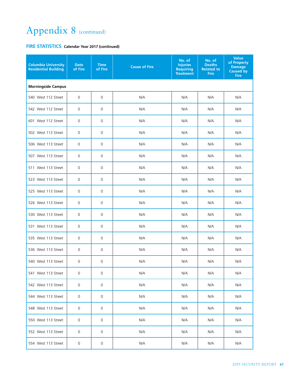| <b>Columbia University</b><br><b>Residential Building</b> | <b>Date</b><br>of Fire | <b>Time</b><br>of Fire | <b>Cause of Fire</b> | No. of<br><b>Injuries</b><br><b>Requiring</b><br><b>Treatment</b> | No. of<br><b>Deaths</b><br><b>Related to</b><br><b>Fire</b> | <b>Value</b><br>of Property<br><b>Damage</b><br>Caused by<br><b>Fire</b> |  |  |  |
|-----------------------------------------------------------|------------------------|------------------------|----------------------|-------------------------------------------------------------------|-------------------------------------------------------------|--------------------------------------------------------------------------|--|--|--|
| <b>Morningside Campus</b>                                 |                        |                        |                      |                                                                   |                                                             |                                                                          |  |  |  |
| 540 West 112 Street                                       | $\mathbf 0$            | 0                      | N/A                  | N/A                                                               | N/A                                                         | N/A                                                                      |  |  |  |
| 542 West 112 Street                                       | 0                      | 0                      | N/A                  | N/A                                                               | N/A                                                         | N/A                                                                      |  |  |  |
| 601 West 112 Street                                       | 0                      | 0                      | N/A                  | N/A                                                               | N/A                                                         | N/A                                                                      |  |  |  |
| 502 West 113 Street                                       | $\mathbf 0$            | 0                      | N/A                  | N/A                                                               | N/A                                                         | N/A                                                                      |  |  |  |
| 506 West 113 Street                                       | $\mathbf 0$            | 0                      | N/A                  | N/A                                                               | N/A                                                         | N/A                                                                      |  |  |  |
| 507 West 113 Street                                       | 0                      | 0                      | N/A                  | N/A                                                               | N/A                                                         | N/A                                                                      |  |  |  |
| 511 West 113 Street                                       | $\mathbf 0$            | 0                      | N/A                  | N/A                                                               | N/A                                                         | N/A                                                                      |  |  |  |
| 523 West 113 Street                                       | $\mathbf 0$            | 0                      | N/A                  | N/A                                                               | N/A                                                         | N/A                                                                      |  |  |  |
| 525 West 113 Street                                       | 0                      | 0                      | N/A                  | N/A                                                               | N/A                                                         | N/A                                                                      |  |  |  |
| 526 West 113 Street                                       | $\mathbf 0$            | 0                      | N/A                  | N/A                                                               | N/A                                                         | N/A                                                                      |  |  |  |
| 530 West 113 Street                                       | $\mathbf 0$            | 0                      | N/A                  | N/A                                                               | N/A                                                         | N/A                                                                      |  |  |  |
| 531 West 113 Street                                       | 0                      | 0                      | N/A                  | N/A                                                               | N/A                                                         | N/A                                                                      |  |  |  |
| 535 West 113 Street                                       | 0                      | 0                      | N/A                  | N/A                                                               | N/A                                                         | N/A                                                                      |  |  |  |
| 536 West 113 Street                                       | 0                      | 0                      | N/A                  | N/A                                                               | N/A                                                         | N/A                                                                      |  |  |  |
| 540 West 113 Street                                       | 0                      | 0                      | N/A                  | N/A                                                               | N/A                                                         | N/A                                                                      |  |  |  |
| 541 West 113 Street                                       | 0                      | 0                      | N/A                  | N/A                                                               | N/A                                                         | N/A                                                                      |  |  |  |
| 542 West 113 Street                                       | 0                      | 0                      | N/A                  | N/A                                                               | N/A                                                         | N/A                                                                      |  |  |  |
| 544 West 113 Street                                       | 0                      | 0                      | N/A                  | N/A                                                               | N/A                                                         | N/A                                                                      |  |  |  |
| 548 West 113 Street                                       | 0                      | 0                      | N/A                  | N/A                                                               | N/A                                                         | N/A                                                                      |  |  |  |
| 550 West 113 Street                                       | 0                      | 0                      | N/A                  | N/A                                                               | N/A                                                         | N/A                                                                      |  |  |  |
| 552 West 113 Street                                       | 0                      | 0                      | N/A                  | N/A                                                               | N/A                                                         | N/A                                                                      |  |  |  |
| 554 West 113 Street                                       | 0                      | 0                      | N/A                  | N/A                                                               | N/A                                                         | N/A                                                                      |  |  |  |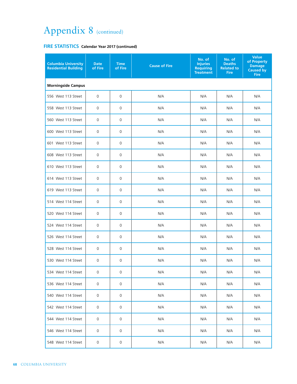| <b>Columbia University</b><br><b>Residential Building</b> | <b>Date</b><br>of Fire | <b>Time</b><br>of Fire | <b>Cause of Fire</b> | No. of<br><b>Injuries</b><br><b>Requiring</b><br><b>Treatment</b> | No. of<br><b>Deaths</b><br><b>Related to</b><br><b>Fire</b> | <b>Value</b><br>of Property<br><b>Damage</b><br><b>Caused by</b><br><b>Fire</b> |  |  |  |
|-----------------------------------------------------------|------------------------|------------------------|----------------------|-------------------------------------------------------------------|-------------------------------------------------------------|---------------------------------------------------------------------------------|--|--|--|
| <b>Morningside Campus</b>                                 |                        |                        |                      |                                                                   |                                                             |                                                                                 |  |  |  |
| 556 West 113 Street                                       | 0                      | 0                      | N/A                  | N/A                                                               | N/A                                                         | N/A                                                                             |  |  |  |
| 558 West 113 Street                                       | 0                      | $\mathbf 0$            | N/A                  | N/A                                                               | N/A                                                         | N/A                                                                             |  |  |  |
| 560 West 113 Street                                       | $\mathbf 0$            | 0                      | N/A                  | N/A                                                               | N/A                                                         | N/A                                                                             |  |  |  |
| 600 West 113 Street                                       | $\mathbf 0$            | $\mathbf 0$            | N/A                  | N/A                                                               | N/A                                                         | N/A                                                                             |  |  |  |
| 601 West 113 Street                                       | $\mathbf 0$            | 0                      | N/A                  | N/A                                                               | N/A                                                         | N/A                                                                             |  |  |  |
| 608 West 113 Street                                       | 0                      | 0                      | N/A                  | N/A                                                               | N/A                                                         | N/A                                                                             |  |  |  |
| 610 West 113 Street                                       | $\mathsf{O}\xspace$    | 0                      | N/A                  | N/A                                                               | N/A                                                         | N/A                                                                             |  |  |  |
| 614 West 113 Street                                       | 0                      | 0                      | N/A                  | N/A                                                               | N/A                                                         | N/A                                                                             |  |  |  |
| 619 West 113 Street                                       | 0                      | 0                      | N/A                  | N/A                                                               | N/A                                                         | N/A                                                                             |  |  |  |
| 514 West 114 Street                                       | 0                      | 0                      | N/A                  | N/A                                                               | N/A                                                         | N/A                                                                             |  |  |  |
| 520 West 114 Street                                       | 0                      | 0                      | N/A                  | N/A                                                               | N/A                                                         | N/A                                                                             |  |  |  |
| 524 West 114 Street                                       | 0                      | 0                      | N/A                  | N/A                                                               | N/A                                                         | N/A                                                                             |  |  |  |
| 526 West 114 Street                                       | $\mathsf{O}\xspace$    | 0                      | N/A                  | N/A                                                               | N/A                                                         | N/A                                                                             |  |  |  |
| 528 West 114 Street                                       | 0                      | 0                      | N/A                  | N/A                                                               | N/A                                                         | N/A                                                                             |  |  |  |
| 530 West 114 Street                                       | 0                      | 0                      | N/A                  | N/A                                                               | N/A                                                         | N/A                                                                             |  |  |  |
| 534 West 114 Street                                       | 0                      | 0                      | N/A                  | N/A                                                               | N/A                                                         | N/A                                                                             |  |  |  |
| 536 West 114 Street                                       | 0                      | 0                      | N/A                  | N/A                                                               | N/A                                                         | N/A                                                                             |  |  |  |
| 540 West 114 Street                                       | 0                      | 0                      | N/A                  | N/A                                                               | N/A                                                         | N/A                                                                             |  |  |  |
| 542 West 114 Street                                       | 0                      | 0                      | N/A                  | N/A                                                               | N/A                                                         | N/A                                                                             |  |  |  |
| 544 West 114 Street                                       | 0                      | 0                      | N/A                  | N/A                                                               | N/A                                                         | N/A                                                                             |  |  |  |
| 546 West 114 Street                                       | 0                      | 0                      | N/A                  | N/A                                                               | N/A                                                         | N/A                                                                             |  |  |  |
| 548 West 114 Street                                       | 0                      | 0                      | N/A                  | N/A                                                               | N/A                                                         | N/A                                                                             |  |  |  |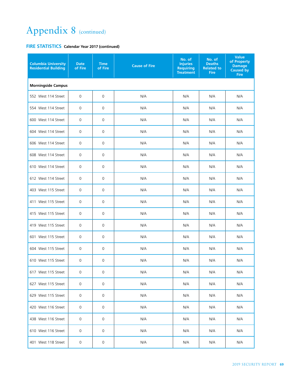| <b>Columbia University</b><br><b>Residential Building</b> | <b>Date</b><br>of Fire | <b>Time</b><br>of Fire | <b>Cause of Fire</b> | No. of<br><b>Injuries</b><br><b>Requiring</b><br><b>Treatment</b> | No. of<br><b>Deaths</b><br><b>Related to</b><br><b>Fire</b> | Value<br>of Property<br><b>Damage</b><br><b>Caused by</b><br><b>Fire</b> |  |  |  |
|-----------------------------------------------------------|------------------------|------------------------|----------------------|-------------------------------------------------------------------|-------------------------------------------------------------|--------------------------------------------------------------------------|--|--|--|
| <b>Morningside Campus</b>                                 |                        |                        |                      |                                                                   |                                                             |                                                                          |  |  |  |
| 552 West 114 Street                                       | $\mathbf 0$            | 0                      | N/A                  | N/A                                                               | N/A                                                         | N/A                                                                      |  |  |  |
| 554 West 114 Street                                       | $\mathbf 0$            | 0                      | N/A                  | N/A                                                               | N/A                                                         | N/A                                                                      |  |  |  |
| 600 West 114 Street                                       | $\mathbf 0$            | 0                      | N/A                  | N/A                                                               | N/A                                                         | N/A                                                                      |  |  |  |
| 604 West 114 Street                                       | $\mathbf 0$            | $\mathbf 0$            | N/A                  | N/A                                                               | N/A                                                         | N/A                                                                      |  |  |  |
| 606 West 114 Street                                       | $\mathbf 0$            | 0                      | N/A                  | N/A                                                               | N/A                                                         | N/A                                                                      |  |  |  |
| 608 West 114 Street                                       | 0                      | 0                      | N/A                  | N/A                                                               | N/A                                                         | N/A                                                                      |  |  |  |
| 610 West 114 Street                                       | $\mathbf 0$            | 0                      | N/A                  | N/A                                                               | N/A                                                         | N/A                                                                      |  |  |  |
| 612 West 114 Street                                       | $\mathbf 0$            | 0                      | N/A                  | N/A                                                               | N/A                                                         | N/A                                                                      |  |  |  |
| 403 West 115 Street                                       | 0                      | 0                      | N/A                  | N/A                                                               | N/A                                                         | N/A                                                                      |  |  |  |
| 411 West 115 Street                                       | 0                      | 0                      | N/A                  | N/A                                                               | N/A                                                         | N/A                                                                      |  |  |  |
| 415 West 115 Street                                       | 0                      | 0                      | N/A                  | N/A                                                               | N/A                                                         | N/A                                                                      |  |  |  |
| 419 West 115 Street                                       | $\mathbf 0$            | 0                      | N/A                  | N/A                                                               | N/A                                                         | N/A                                                                      |  |  |  |
| 601 West 115 Street                                       | $\mathbf 0$            | $\mathsf{O}\xspace$    | N/A                  | N/A                                                               | N/A                                                         | N/A                                                                      |  |  |  |
| 604 West 115 Street                                       | $\mathbf 0$            | 0                      | N/A                  | N/A                                                               | N/A                                                         | N/A                                                                      |  |  |  |
| 610 West 115 Street                                       | $\mathsf 0$            | $\mathsf{O}\xspace$    | N/A                  | N/A                                                               | N/A                                                         | N/A                                                                      |  |  |  |
| 617 West 115 Street                                       | $\mathsf{O}$           | 0                      | N/A                  | N/A                                                               | N/A                                                         | N/A                                                                      |  |  |  |
| 627 West 115 Street                                       | 0                      | 0                      | N/A                  | N/A                                                               | N/A                                                         | N/A                                                                      |  |  |  |
| 629 West 115 Street                                       | 0                      | 0                      | N/A                  | N/A                                                               | N/A                                                         | N/A                                                                      |  |  |  |
| 420 West 116 Street                                       | 0                      | 0                      | N/A                  | N/A                                                               | N/A                                                         | N/A                                                                      |  |  |  |
| 438 West 116 Street                                       | 0                      | 0                      | N/A                  | N/A                                                               | N/A                                                         | N/A                                                                      |  |  |  |
| 610 West 116 Street                                       | 0                      | 0                      | N/A                  | N/A                                                               | N/A                                                         | N/A                                                                      |  |  |  |
| 401 West 118 Street                                       | 0                      | 0                      | N/A                  | N/A                                                               | N/A                                                         | N/A                                                                      |  |  |  |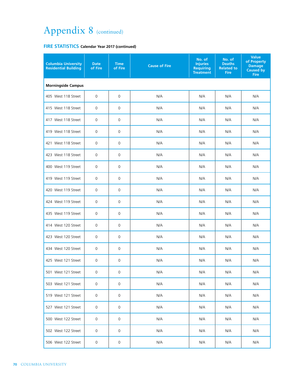| <b>Columbia University</b><br><b>Residential Building</b> | <b>Date</b><br>of Fire | <b>Time</b><br>of Fire | <b>Cause of Fire</b> | No. of<br><b>Injuries</b><br><b>Requiring</b><br><b>Treatment</b> | No. of<br><b>Deaths</b><br><b>Related to</b><br><b>Fire</b> | <b>Value</b><br>of Property<br><b>Damage</b><br><b>Caused by</b><br><b>Fire</b> |  |  |  |
|-----------------------------------------------------------|------------------------|------------------------|----------------------|-------------------------------------------------------------------|-------------------------------------------------------------|---------------------------------------------------------------------------------|--|--|--|
| <b>Morningside Campus</b>                                 |                        |                        |                      |                                                                   |                                                             |                                                                                 |  |  |  |
| 405 West 118 Street                                       | 0                      | $\mathbf 0$            | N/A                  | N/A                                                               | N/A                                                         | N/A                                                                             |  |  |  |
| 415 West 118 Street                                       | 0                      | $\mathbf 0$            | N/A                  | N/A                                                               | N/A                                                         | N/A                                                                             |  |  |  |
| 417 West 118 Street                                       | 0                      | 0                      | N/A                  | N/A                                                               | N/A                                                         | N/A                                                                             |  |  |  |
| 419 West 118 Street                                       | $\mathbf 0$            | $\mathbf 0$            | N/A                  | N/A                                                               | N/A                                                         | N/A                                                                             |  |  |  |
| 421 West 118 Street                                       | 0                      | $\mathbf 0$            | N/A                  | N/A                                                               | N/A                                                         | N/A                                                                             |  |  |  |
| 423 West 118 Street                                       | 0                      | 0                      | N/A                  | N/A                                                               | N/A                                                         | N/A                                                                             |  |  |  |
| 400 West 119 Street                                       | $\mathsf 0$            | $\mathbf 0$            | N/A                  | N/A                                                               | N/A                                                         | N/A                                                                             |  |  |  |
| 419 West 119 Street                                       | 0                      | 0                      | N/A                  | N/A                                                               | N/A                                                         | N/A                                                                             |  |  |  |
| 420 West 119 Street                                       | 0                      | 0                      | N/A                  | N/A                                                               | N/A                                                         | N/A                                                                             |  |  |  |
| 424 West 119 Street                                       | 0                      | 0                      | N/A                  | N/A                                                               | N/A                                                         | N/A                                                                             |  |  |  |
| 435 West 119 Street                                       | 0                      | 0                      | N/A                  | N/A                                                               | N/A                                                         | N/A                                                                             |  |  |  |
| 414 West 120 Street                                       | $\mathbf 0$            | 0                      | N/A                  | N/A                                                               | N/A                                                         | N/A                                                                             |  |  |  |
| 423 West 120 Street                                       | 0                      | $\mathbf 0$            | N/A                  | N/A                                                               | N/A                                                         | N/A                                                                             |  |  |  |
| 434 West 120 Street                                       | 0                      | $\mathsf{O}\xspace$    | N/A                  | N/A                                                               | N/A                                                         | N/A                                                                             |  |  |  |
| 425 West 121 Street                                       | 0                      | $\mathbf 0$            | N/A                  | N/A                                                               | N/A                                                         | N/A                                                                             |  |  |  |
| 501 West 121 Street                                       | 0                      | 0                      | N/A                  | N/A                                                               | N/A                                                         | N/A                                                                             |  |  |  |
| 503 West 121 Street                                       | 0                      | 0                      | N/A                  | N/A                                                               | N/A                                                         | N/A                                                                             |  |  |  |
| 519 West 121 Street                                       | 0                      | 0                      | N/A                  | N/A                                                               | N/A                                                         | N/A                                                                             |  |  |  |
| 527 West 121 Street                                       | 0                      | $\mathbf 0$            | N/A                  | N/A                                                               | N/A                                                         | N/A                                                                             |  |  |  |
| 500 West 122 Street                                       | 0                      | $\mathbf 0$            | N/A                  | N/A                                                               | N/A                                                         | N/A                                                                             |  |  |  |
| 502 West 122 Street                                       | 0                      | $\mathbf 0$            | N/A                  | N/A                                                               | N/A                                                         | N/A                                                                             |  |  |  |
| 506 West 122 Street                                       | 0                      | 0                      | N/A                  | N/A                                                               | N/A                                                         | N/A                                                                             |  |  |  |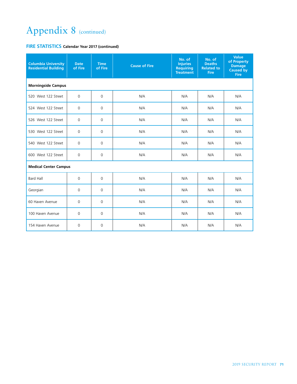| <b>Columbia University</b><br><b>Residential Building</b> | <b>Date</b><br>of Fire | <b>Time</b><br>of Fire | <b>Cause of Fire</b> | No. of<br><b>Injuries</b><br><b>Requiring</b><br><b>Treatment</b> | No. of<br><b>Deaths</b><br><b>Related to</b><br><b>Fire</b> | <b>Value</b><br>of Property<br><b>Damage</b><br><b>Caused by</b><br><b>Fire</b> |  |  |  |
|-----------------------------------------------------------|------------------------|------------------------|----------------------|-------------------------------------------------------------------|-------------------------------------------------------------|---------------------------------------------------------------------------------|--|--|--|
| <b>Morningside Campus</b>                                 |                        |                        |                      |                                                                   |                                                             |                                                                                 |  |  |  |
| 520 West 122 Street                                       | $\mathbf 0$            | $\Omega$               | N/A                  | N/A                                                               | N/A                                                         | N/A                                                                             |  |  |  |
| 524 West 122 Street                                       | $\mathbf 0$            | $\mathbf 0$            | N/A                  | N/A                                                               | N/A                                                         | N/A                                                                             |  |  |  |
| 526 West 122 Street                                       | $\mathbf 0$            | $\mathbf 0$            | N/A                  | N/A                                                               | N/A                                                         | N/A                                                                             |  |  |  |
| 530 West 122 Street                                       | $\Omega$               | $\Omega$               | N/A                  | N/A                                                               | N/A                                                         | N/A                                                                             |  |  |  |
| 540 West 122 Street                                       | $\mathbf 0$            | $\mathbf 0$            | N/A                  | N/A                                                               | N/A                                                         | N/A                                                                             |  |  |  |
| 600 West 122 Street                                       | $\Omega$               | $\Omega$               | N/A                  | N/A                                                               | N/A                                                         | N/A                                                                             |  |  |  |
| <b>Medical Center Campus</b>                              |                        |                        |                      |                                                                   |                                                             |                                                                                 |  |  |  |
| <b>Bard Hall</b>                                          | $\mathbf 0$            | $\mathbf 0$            | N/A                  | N/A                                                               | N/A                                                         | N/A                                                                             |  |  |  |
| Georgian                                                  | $\mathbf 0$            | $\mathbf 0$            | N/A                  | N/A                                                               | N/A                                                         | N/A                                                                             |  |  |  |
| 60 Haven Avenue                                           | $\mathbf 0$            | $\Omega$               | N/A                  | N/A                                                               | N/A                                                         | N/A                                                                             |  |  |  |
| 100 Haven Avenue                                          | 0                      | $\mathbf 0$            | N/A                  | N/A                                                               | N/A                                                         | N/A                                                                             |  |  |  |
| 154 Haven Avenue                                          | $\Omega$               | $\Omega$               | N/A                  | N/A                                                               | N/A                                                         | N/A                                                                             |  |  |  |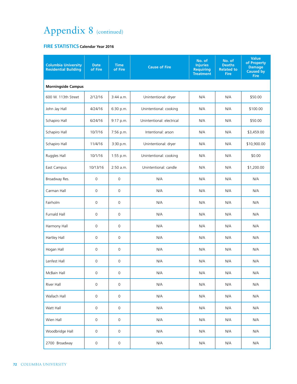#### **FIRE STATISTICS Calendar Year 2016**

| <b>Columbia University</b><br><b>Residential Building</b> | <b>Date</b><br>of Fire | <b>Time</b><br>of Fire | <b>Cause of Fire</b>      | No. of<br><b>Injuries</b><br><b>Requiring</b><br><b>Treatment</b> | No. of<br><b>Deaths</b><br><b>Related to</b><br><b>Fire</b> | <b>Value</b><br>of Property<br><b>Damage</b><br><b>Caused by</b><br><b>Fire</b> |
|-----------------------------------------------------------|------------------------|------------------------|---------------------------|-------------------------------------------------------------------|-------------------------------------------------------------|---------------------------------------------------------------------------------|
| <b>Morningside Campus</b>                                 |                        |                        |                           |                                                                   |                                                             |                                                                                 |
| 600 W. 113th Street                                       | 2/12/16                | $3:44$ a.m.            | Unintentional: dryer      | N/A                                                               | N/A                                                         | \$50.00                                                                         |
| John Jay Hall                                             | 4/24/16                | 6:30 p.m.              | Unintentional: cooking    | N/A                                                               | N/A                                                         | \$100.00                                                                        |
| Schapiro Hall                                             | 6/24/16                | 9:17 p.m.              | Unintentional: electrical | N/A                                                               | N/A                                                         | \$50.00                                                                         |
| Schapiro Hall                                             | 10/7/16                | 7:56 p.m.              | Intentional: arson        | N/A                                                               | N/A                                                         | \$3,459.00                                                                      |
| Schapiro Hall                                             | 11/4/16                | 3:30 p.m.              | Unintentional: dryer      | N/A                                                               | N/A                                                         | \$10,900.00                                                                     |
| Ruggles Hall                                              | 10/1/16                | 1:55 p.m.              | Unintentional: cooking    | N/A                                                               | N/A                                                         | \$0.00                                                                          |
| East Campus                                               | 10/13/16               | $2:50$ a.m.            | Unintentional: candle     | N/A                                                               | N/A                                                         | \$1,200.00                                                                      |
| Broadway Res.                                             | $\mathbf 0$            | $\mathbf 0$            | N/A                       | N/A                                                               | N/A                                                         | N/A                                                                             |
| Carman Hall                                               | $\mathbf 0$            | $\mathbf 0$            | N/A                       | N/A                                                               | N/A                                                         | N/A                                                                             |
| Fairholm                                                  | $\mathbf 0$            | $\mathbf 0$            | N/A                       | N/A                                                               | N/A                                                         | N/A                                                                             |
| Furnald Hall                                              | $\mathbf 0$            | 0                      | N/A                       | N/A                                                               | N/A                                                         | N/A                                                                             |
| Harmony Hall                                              | $\mathbf 0$            | $\mathbf 0$            | N/A                       | N/A                                                               | N/A                                                         | N/A                                                                             |
| Hartley Hall                                              | $\mathbf 0$            | 0                      | N/A                       | N/A                                                               | N/A                                                         | N/A                                                                             |
| Hogan Hall                                                | $\mathsf{O}\xspace$    | $\mathsf{O}\xspace$    | N/A                       | N/A                                                               | N/A                                                         | N/A                                                                             |
| Lenfest Hall                                              | 0                      | $\mathbf 0$            | N/A                       | N/A                                                               | N/A                                                         | N/A                                                                             |
| McBain Hall                                               | 0                      | 0                      | N/A                       | N/A                                                               | N/A                                                         | N/A                                                                             |
| River Hall                                                | $\mathsf{O}\xspace$    | $\mathsf{O}\xspace$    | N/A                       | N/A                                                               | N/A                                                         | N/A                                                                             |
| Wallach Hall                                              | $\mathsf{O}\xspace$    | $\mathsf{O}\xspace$    | N/A                       | N/A                                                               | N/A                                                         | N/A                                                                             |
| Watt Hall                                                 | $\mathsf{O}\xspace$    | $\mathsf{O}\xspace$    | N/A                       | N/A                                                               | N/A                                                         | N/A                                                                             |
| Wien Hall                                                 | $\mathsf{O}\xspace$    | $\mathsf{O}\xspace$    | N/A                       | N/A                                                               | N/A                                                         | N/A                                                                             |
| Woodbridge Hall                                           | $\mathsf{O}\xspace$    | 0                      | N/A                       | N/A                                                               | N/A                                                         | N/A                                                                             |
| 2700 Broadway                                             | $\mathsf{O}\xspace$    | $\mathsf{O}\xspace$    | N/A                       | N/A                                                               | N/A                                                         | N/A                                                                             |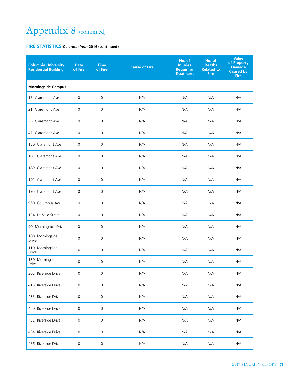| <b>Columbia University</b><br><b>Residential Building</b> | <b>Date</b><br>of Fire | <b>Time</b><br>of Fire | <b>Cause of Fire</b> | No. of<br><b>Injuries</b><br><b>Requiring</b><br><b>Treatment</b> | No. of<br><b>Deaths</b><br><b>Related to</b><br><b>Fire</b> | <b>Value</b><br>of Property<br><b>Damage</b><br>Caused by<br><b>Fire</b> |  |
|-----------------------------------------------------------|------------------------|------------------------|----------------------|-------------------------------------------------------------------|-------------------------------------------------------------|--------------------------------------------------------------------------|--|
| <b>Morningside Campus</b>                                 |                        |                        |                      |                                                                   |                                                             |                                                                          |  |
| 15 Claremont Ave                                          | $\mathbf 0$            | 0                      | N/A                  | N/A                                                               | N/A                                                         | N/A                                                                      |  |
| 21 Claremont Ave                                          | $\mathbf 0$            | 0                      | N/A                  | N/A                                                               | N/A                                                         | N/A                                                                      |  |
| 25 Claremont Ave                                          | $\mathbf 0$            | 0                      | N/A                  | N/A                                                               | N/A                                                         | N/A                                                                      |  |
| 47 Claremont Ave                                          | $\mathbf 0$            | 0                      | N/A                  | N/A                                                               | N/A                                                         | N/A                                                                      |  |
| 150 Claremont Ave                                         | 0                      | $\mathsf{O}\xspace$    | N/A                  | N/A                                                               | N/A                                                         | N/A                                                                      |  |
| 181 Claremont Ave                                         | 0                      | $\mathsf{O}\xspace$    | N/A                  | N/A                                                               | N/A                                                         | N/A                                                                      |  |
| 189 Claremont Ave                                         | $\mathbf 0$            | $\mathsf{O}\xspace$    | N/A                  | N/A                                                               | N/A                                                         | N/A                                                                      |  |
| 191 Claremont Ave                                         | $\mathbf 0$            | $\mathsf{O}\xspace$    | N/A                  | N/A                                                               | N/A                                                         | N/A                                                                      |  |
| 195 Claremont Ave                                         | $\overline{0}$         | $\mathsf{O}\xspace$    | N/A                  | N/A                                                               | N/A                                                         | N/A                                                                      |  |
| 950 Columbus Ave                                          | 0                      | 0                      | N/A                  | N/A                                                               | N/A                                                         | N/A                                                                      |  |
| 124 La Salle Street                                       | 0                      | $\mathbf 0$            | N/A                  | N/A                                                               | N/A                                                         | N/A                                                                      |  |
| 90 Morningside Drive                                      | 0                      | $\mathsf{O}\xspace$    | N/A                  | N/A                                                               | N/A                                                         | N/A                                                                      |  |
| 100 Morningside<br>Drive                                  | $\overline{0}$         | $\mathbf 0$            | N/A                  | N/A                                                               | N/A                                                         | N/A                                                                      |  |
| 110 Morningside<br>Drive                                  | 0                      | 0                      | N/A                  | N/A                                                               | N/A                                                         | N/A                                                                      |  |
| 130 Morningside<br>Drive                                  | $\overline{0}$         | $\mathsf 0$            | N/A                  | N/A                                                               | N/A                                                         | N/A                                                                      |  |
| 362 Riverside Drive                                       | 0                      | 0                      | N/A                  | N/A                                                               | N/A                                                         | N/A                                                                      |  |
| 415 Riverside Drive                                       | 0                      | 0                      | N/A                  | N/A                                                               | N/A                                                         | N/A                                                                      |  |
| 435 Riverside Drive                                       | 0                      | 0                      | N/A                  | N/A                                                               | N/A                                                         | N/A                                                                      |  |
| 450 Riverside Drive                                       | 0                      | 0                      | N/A                  | N/A                                                               | N/A                                                         | N/A                                                                      |  |
| 452 Riverside Drive                                       | 0                      | 0                      | N/A                  | N/A                                                               | N/A                                                         | N/A                                                                      |  |
| 454 Riverside Drive                                       | 0                      | 0                      | N/A                  | N/A                                                               | N/A                                                         | N/A                                                                      |  |
| 456 Riverside Drive                                       | 0                      | $\mathsf{O}\xspace$    | N/A                  | N/A                                                               | N/A                                                         | N/A                                                                      |  |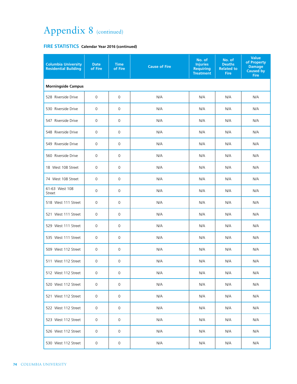| <b>Columbia University</b><br><b>Residential Building</b> | <b>Date</b><br>of Fire | <b>Time</b><br>of Fire | <b>Cause of Fire</b> | No. of<br><b>Injuries</b><br><b>Requiring</b><br><b>Treatment</b> | No. of<br><b>Deaths</b><br><b>Related to</b><br><b>Fire</b> | <b>Value</b><br>of Property<br><b>Damage</b><br><b>Caused by</b><br><b>Fire</b> |  |
|-----------------------------------------------------------|------------------------|------------------------|----------------------|-------------------------------------------------------------------|-------------------------------------------------------------|---------------------------------------------------------------------------------|--|
| <b>Morningside Campus</b>                                 |                        |                        |                      |                                                                   |                                                             |                                                                                 |  |
| 528 Riverside Drive                                       | $\mathbf 0$            | 0                      | N/A                  | N/A                                                               | N/A                                                         | N/A                                                                             |  |
| 530 Riverside Drive                                       | 0                      | 0                      | N/A                  | N/A                                                               | N/A                                                         | N/A                                                                             |  |
| 547 Riverside Drive                                       | $\mathbf 0$            | 0                      | N/A                  | N/A                                                               | N/A                                                         | N/A                                                                             |  |
| 548 Riverside Drive                                       | $\mathbf 0$            | 0                      | N/A                  | N/A                                                               | N/A                                                         | N/A                                                                             |  |
| 549 Riverside Drive                                       | 0                      | 0                      | N/A                  | N/A                                                               | N/A                                                         | N/A                                                                             |  |
| 560 Riverside Drive                                       | 0                      | 0                      | N/A                  | N/A                                                               | N/A                                                         | N/A                                                                             |  |
| 18 West 108 Street                                        | $\mathbf 0$            | $\mathbf 0$            | N/A                  | N/A                                                               | N/A                                                         | N/A                                                                             |  |
| 74 West 108 Street                                        | $\mathbf 0$            | 0                      | N/A                  | N/A                                                               | N/A                                                         | N/A                                                                             |  |
| 61-63 West 108<br>Street                                  | $\mathbf 0$            | $\mathbf 0$            | N/A                  | N/A                                                               | N/A                                                         | N/A                                                                             |  |
| 518 West 111 Street                                       | $\mathbf 0$            | $\mathbf 0$            | N/A                  | N/A                                                               | N/A                                                         | N/A                                                                             |  |
| 521 West 111 Street                                       | $\mathbf 0$            | 0                      | N/A                  | N/A                                                               | N/A                                                         | N/A                                                                             |  |
| 529 West 111 Street                                       | $\mathbf 0$            | 0                      | N/A                  | N/A                                                               | N/A                                                         | N/A                                                                             |  |
| 535 West 111 Street                                       | 0                      | 0                      | N/A                  | N/A                                                               | N/A                                                         | N/A                                                                             |  |
| 509 West 112 Street                                       | 0                      | 0                      | N/A                  | N/A                                                               | N/A                                                         | N/A                                                                             |  |
| 511 West 112 Street                                       | $\mathbf 0$            | 0                      | N/A                  | N/A                                                               | N/A                                                         | N/A                                                                             |  |
| 512 West 112 Street                                       | 0                      | 0                      | N/A                  | N/A                                                               | N/A                                                         | N/A                                                                             |  |
| 520 West 112 Street                                       | $\mathbf 0$            | 0                      | N/A                  | N/A                                                               | N/A                                                         | N/A                                                                             |  |
| 521 West 112 Street                                       | $\mathbf 0$            | 0                      | N/A                  | N/A                                                               | N/A                                                         | N/A                                                                             |  |
| 522 West 112 Street                                       | $\mathbf 0$            | 0                      | N/A                  | N/A                                                               | N/A                                                         | N/A                                                                             |  |
| 523 West 112 Street                                       | $\mathbf 0$            | 0                      | N/A                  | N/A                                                               | N/A                                                         | N/A                                                                             |  |
| 526 West 112 Street                                       | $\mathbf 0$            | 0                      | N/A                  | N/A                                                               | N/A                                                         | N/A                                                                             |  |
| 530 West 112 Street                                       | 0                      | 0                      | N/A                  | N/A                                                               | N/A                                                         | N/A                                                                             |  |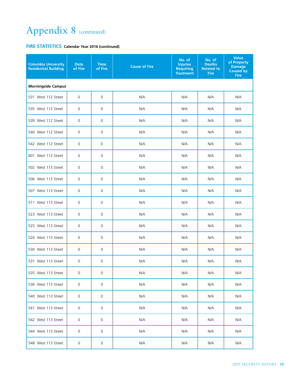| <b>Columbia University</b><br><b>Residential Building</b> | <b>Date</b><br>of Fire | <b>Time</b><br>of Fire | <b>Cause of Fire</b> | No. of<br><b>Injuries</b><br><b>Requiring</b><br><b>Treatment</b> | No. of<br><b>Deaths</b><br><b>Related to</b><br><b>Fire</b> | <b>Value</b><br>of Property<br><b>Damage</b><br><b>Caused by</b><br><b>Fire</b> |  |  |
|-----------------------------------------------------------|------------------------|------------------------|----------------------|-------------------------------------------------------------------|-------------------------------------------------------------|---------------------------------------------------------------------------------|--|--|
| <b>Morningside Campus</b>                                 |                        |                        |                      |                                                                   |                                                             |                                                                                 |  |  |
| 531 West 112 Street                                       | $\mathbf 0$            | $\mathbf 0$            | N/A                  | N/A                                                               | N/A                                                         | N/A                                                                             |  |  |
| 535 West 112 Street                                       | $\mathbf 0$            | $\mathsf 0$            | N/A                  | N/A                                                               | N/A                                                         | N/A                                                                             |  |  |
| 539 West 112 Street                                       | $\mathbf 0$            | $\mathsf 0$            | N/A                  | N/A                                                               | N/A                                                         | N/A                                                                             |  |  |
| 540 West 112 Street                                       | 0                      | 0                      | N/A                  | N/A                                                               | N/A                                                         | N/A                                                                             |  |  |
| 542 West 112 Street                                       | 0                      | 0                      | N/A                  | N/A                                                               | N/A                                                         | N/A                                                                             |  |  |
| 601 West 112 Street                                       | $\mathbf 0$            | 0                      | N/A                  | N/A                                                               | N/A                                                         | N/A                                                                             |  |  |
| 502 West 113 Street                                       | $\mathbf 0$            | 0                      | N/A                  | N/A                                                               | N/A                                                         | N/A                                                                             |  |  |
| 506 West 113 Street                                       | 0                      | 0                      | N/A                  | N/A                                                               | N/A                                                         | N/A                                                                             |  |  |
| 507 West 113 Street                                       | $\mathbf 0$            | 0                      | N/A                  | N/A                                                               | N/A                                                         | N/A                                                                             |  |  |
| 511 West 113 Street                                       | 0                      | 0                      | N/A                  | N/A                                                               | N/A                                                         | N/A                                                                             |  |  |
| 523 West 113 Street                                       | $\mathbf 0$            | 0                      | N/A                  | N/A                                                               | N/A                                                         | N/A                                                                             |  |  |
| 525 West 113 Street                                       | $\mathbf 0$            | $\mathsf{O}\xspace$    | N/A                  | N/A                                                               | N/A                                                         | N/A                                                                             |  |  |
| 526 West 113 Street                                       | $\mathbf 0$            | 0                      | N/A                  | N/A                                                               | N/A                                                         | N/A                                                                             |  |  |
| 530 West 113 Street                                       | 0                      | 0                      | N/A                  | N/A                                                               | N/A                                                         | N/A                                                                             |  |  |
| 531 West 113 Street                                       | 0                      | 0                      | N/A                  | N/A                                                               | N/A                                                         | N/A                                                                             |  |  |
| 535 West 113 Street                                       | 0                      | 0                      | N/A                  | N/A                                                               | N/A                                                         | N/A                                                                             |  |  |
| 536 West 113 Street                                       | 0                      | 0                      | N/A                  | N/A                                                               | N/A                                                         | N/A                                                                             |  |  |
| 540 West 113 Street                                       | 0                      | 0                      | N/A                  | N/A                                                               | N/A                                                         | N/A                                                                             |  |  |
| 541 West 113 Street                                       | 0                      | 0                      | N/A                  | N/A                                                               | N/A                                                         | N/A                                                                             |  |  |
| 542 West 113 Street                                       | 0                      | 0                      | N/A                  | N/A                                                               | N/A                                                         | N/A                                                                             |  |  |
| 544 West 113 Street                                       | 0                      | 0                      | N/A                  | N/A                                                               | N/A                                                         | N/A                                                                             |  |  |
| 548 West 113 Street                                       | 0                      | 0                      | N/A                  | N/A                                                               | N/A                                                         | N/A                                                                             |  |  |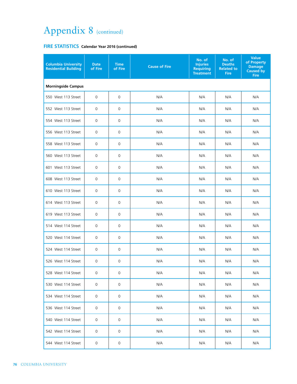| <b>Columbia University</b><br><b>Residential Building</b> | <b>Date</b><br>of Fire | <b>Time</b><br>of Fire | <b>Cause of Fire</b> | No. of<br><b>Injuries</b><br><b>Requiring</b><br><b>Treatment</b> | No. of<br><b>Deaths</b><br><b>Related to</b><br><b>Fire</b> | <b>Value</b><br>of Property<br><b>Damage</b><br><b>Caused by</b><br><b>Fire</b> |
|-----------------------------------------------------------|------------------------|------------------------|----------------------|-------------------------------------------------------------------|-------------------------------------------------------------|---------------------------------------------------------------------------------|
| <b>Morningside Campus</b>                                 |                        |                        |                      |                                                                   |                                                             |                                                                                 |
| 550 West 113 Street                                       | $\mathbf 0$            | $\mathbf 0$            | N/A                  | N/A                                                               | N/A                                                         | N/A                                                                             |
| 552 West 113 Street                                       | $\mathbf 0$            | $\mathbf 0$            | N/A                  | N/A                                                               | N/A                                                         | N/A                                                                             |
| 554 West 113 Street                                       | 0                      | $\mathbf 0$            | N/A                  | N/A                                                               | N/A                                                         | N/A                                                                             |
| 556 West 113 Street                                       | 0                      | 0                      | N/A                  | N/A                                                               | N/A                                                         | N/A                                                                             |
| 558 West 113 Street                                       | $\mathbf 0$            | $\mathbf 0$            | N/A                  | N/A                                                               | N/A                                                         | N/A                                                                             |
| 560 West 113 Street                                       | 0                      | 0                      | N/A                  | N/A                                                               | N/A                                                         | N/A                                                                             |
| 601 West 113 Street                                       | $\mathbf 0$            | 0                      | N/A                  | N/A                                                               | N/A                                                         | N/A                                                                             |
| 608 West 113 Street                                       | 0                      | 0                      | N/A                  | N/A                                                               | N/A                                                         | N/A                                                                             |
| 610 West 113 Street                                       | 0                      | 0                      | N/A                  | N/A                                                               | N/A                                                         | N/A                                                                             |
| 614 West 113 Street                                       | $\mathbf 0$            | $\mathbf 0$            | N/A                  | N/A                                                               | N/A                                                         | N/A                                                                             |
| 619 West 113 Street                                       | 0                      | 0                      | N/A                  | N/A                                                               | N/A                                                         | N/A                                                                             |
| 514 West 114 Street                                       | $\mathbf 0$            | $\mathbf 0$            | N/A                  | N/A                                                               | N/A                                                         | N/A                                                                             |
| 520 West 114 Street                                       | 0                      | 0                      | N/A                  | N/A                                                               | N/A                                                         | N/A                                                                             |
| 524 West 114 Street                                       | 0                      | 0                      | N/A                  | N/A                                                               | N/A                                                         | N/A                                                                             |
| 526 West 114 Street                                       | 0                      | $\mathbf 0$            | N/A                  | N/A                                                               | N/A                                                         | N/A                                                                             |
| 528 West 114 Street                                       | 0                      | 0                      | N/A                  | N/A                                                               | N/A                                                         | N/A                                                                             |
| 530 West 114 Street                                       | 0                      | $\mathbf 0$            | N/A                  | N/A                                                               | N/A                                                         | N/A                                                                             |
| 534 West 114 Street                                       | 0                      | $\mathbf 0$            | N/A                  | N/A                                                               | N/A                                                         | N/A                                                                             |
| 536 West 114 Street                                       | 0                      | $\mathbf 0$            | N/A                  | N/A                                                               | N/A                                                         | N/A                                                                             |
| 540 West 114 Street                                       | 0                      | $\mathbf 0$            | N/A                  | N/A                                                               | N/A                                                         | N/A                                                                             |
| 542 West 114 Street                                       | 0                      | $\mathbf 0$            | N/A                  | N/A                                                               | N/A                                                         | N/A                                                                             |
| 544 West 114 Street                                       | $\mathsf{O}\xspace$    | 0                      | N/A                  | N/A                                                               | N/A                                                         | N/A                                                                             |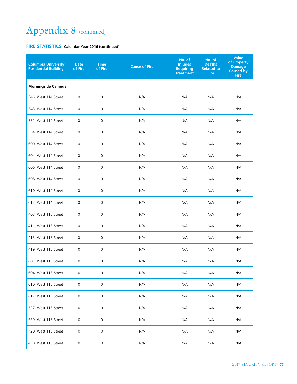| <b>Columbia University</b><br><b>Residential Building</b> | <b>Date</b><br>of Fire | <b>Time</b><br>of Fire | <b>Cause of Fire</b> | No. of<br><b>Injuries</b><br><b>Requiring</b><br><b>Treatment</b> | No. of<br><b>Deaths</b><br><b>Related to</b><br><b>Fire</b> | <b>Value</b><br>of Property<br><b>Damage</b><br><b>Caused by</b><br><b>Fire</b> |  |  |
|-----------------------------------------------------------|------------------------|------------------------|----------------------|-------------------------------------------------------------------|-------------------------------------------------------------|---------------------------------------------------------------------------------|--|--|
| <b>Morningside Campus</b>                                 |                        |                        |                      |                                                                   |                                                             |                                                                                 |  |  |
| 546 West 114 Street                                       | $\mathbf 0$            | $\mathbf 0$            | N/A                  | N/A                                                               | N/A                                                         | N/A                                                                             |  |  |
| 548 West 114 Street                                       | $\mathbf 0$            | $\mathsf{O}\xspace$    | N/A                  | N/A                                                               | N/A                                                         | N/A                                                                             |  |  |
| 552 West 114 Street                                       | $\mathbf 0$            | $\mathsf{O}\xspace$    | N/A                  | N/A                                                               | N/A                                                         | N/A                                                                             |  |  |
| 554 West 114 Street                                       | 0                      | 0                      | N/A                  | N/A                                                               | N/A                                                         | N/A                                                                             |  |  |
| 600 West 114 Street                                       | 0                      | 0                      | N/A                  | N/A                                                               | N/A                                                         | N/A                                                                             |  |  |
| 604 West 114 Street                                       | $\mathbf 0$            | 0                      | N/A                  | N/A                                                               | N/A                                                         | N/A                                                                             |  |  |
| 606 West 114 Street                                       | $\mathbf 0$            | 0                      | N/A                  | N/A                                                               | N/A                                                         | N/A                                                                             |  |  |
| 608 West 114 Street                                       | 0                      | 0                      | N/A                  | N/A                                                               | N/A                                                         | N/A                                                                             |  |  |
| 610 West 114 Street                                       | $\mathbf 0$            | 0                      | N/A                  | N/A                                                               | N/A                                                         | N/A                                                                             |  |  |
| 612 West 114 Street                                       | 0                      | 0                      | N/A                  | N/A                                                               | N/A                                                         | N/A                                                                             |  |  |
| 403 West 115 Street                                       | 0                      | 0                      | N/A                  | N/A                                                               | N/A                                                         | N/A                                                                             |  |  |
| 411 West 115 Street                                       | 0                      | $\mathsf{O}\xspace$    | N/A                  | N/A                                                               | N/A                                                         | N/A                                                                             |  |  |
| 415 West 115 Street                                       | $\mathbf 0$            | 0                      | N/A                  | N/A                                                               | N/A                                                         | N/A                                                                             |  |  |
| 419 West 115 Street                                       | 0                      | 0                      | N/A                  | N/A                                                               | N/A                                                         | N/A                                                                             |  |  |
| 601 West 115 Street                                       | 0                      | 0                      | N/A                  | N/A                                                               | N/A                                                         | N/A                                                                             |  |  |
| 604 West 115 Street                                       | 0                      | 0                      | N/A                  | N/A                                                               | N/A                                                         | N/A                                                                             |  |  |
| 610 West 115 Street                                       | 0                      | 0                      | N/A                  | N/A                                                               | N/A                                                         | N/A                                                                             |  |  |
| 617 West 115 Street                                       | 0                      | 0                      | N/A                  | N/A                                                               | N/A                                                         | N/A                                                                             |  |  |
| 627 West 115 Street                                       | 0                      | 0                      | N/A                  | N/A                                                               | N/A                                                         | N/A                                                                             |  |  |
| 629 West 115 Street                                       | 0                      | 0                      | N/A                  | N/A                                                               | N/A                                                         | N/A                                                                             |  |  |
| 420 West 116 Street                                       | 0                      | 0                      | N/A                  | N/A                                                               | N/A                                                         | N/A                                                                             |  |  |
| 438 West 116 Street                                       | 0                      | 0                      | N/A                  | N/A                                                               | N/A                                                         | N/A                                                                             |  |  |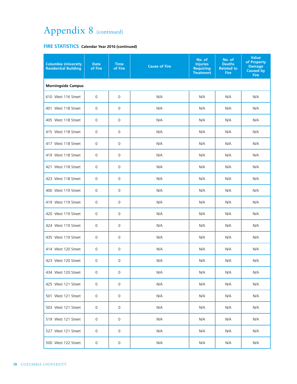| <b>Columbia University</b><br><b>Residential Building</b> | <b>Date</b><br>of Fire | <b>Time</b><br>of Fire | <b>Cause of Fire</b> | No. of<br><b>Injuries</b><br><b>Requiring</b><br><b>Treatment</b> | No. of<br><b>Deaths</b><br><b>Related to</b><br><b>Fire</b> | <b>Value</b><br>of Property<br><b>Damage</b><br><b>Caused by</b><br><b>Fire</b> |  |
|-----------------------------------------------------------|------------------------|------------------------|----------------------|-------------------------------------------------------------------|-------------------------------------------------------------|---------------------------------------------------------------------------------|--|
| <b>Morningside Campus</b>                                 |                        |                        |                      |                                                                   |                                                             |                                                                                 |  |
| 610 West 116 Street                                       | $\mathsf{O}\xspace$    | $\mathsf{O}\xspace$    | N/A                  | N/A                                                               | N/A                                                         | N/A                                                                             |  |
| 401 West 118 Street                                       | 0                      | 0                      | N/A                  | N/A                                                               | N/A                                                         | N/A                                                                             |  |
| 405 West 118 Street                                       | 0                      | 0                      | N/A                  | N/A                                                               | N/A                                                         | N/A                                                                             |  |
| 415 West 118 Street                                       | $\mathbf 0$            | $\mathbf 0$            | N/A                  | N/A                                                               | N/A                                                         | N/A                                                                             |  |
| 417 West 118 Street                                       | 0                      | $\mathbf 0$            | N/A                  | N/A                                                               | N/A                                                         | N/A                                                                             |  |
| 419 West 118 Street                                       | 0                      | 0                      | N/A                  | N/A                                                               | N/A                                                         | N/A                                                                             |  |
| 421 West 118 Street                                       | $\mathsf 0$            | $\mathbf 0$            | N/A                  | N/A                                                               | N/A                                                         | N/A                                                                             |  |
| 423 West 118 Street                                       | 0                      | 0                      | N/A                  | N/A                                                               | N/A                                                         | N/A                                                                             |  |
| 400 West 119 Street                                       | 0                      | 0                      | N/A                  | N/A                                                               | N/A                                                         | N/A                                                                             |  |
| 419 West 119 Street                                       | 0                      | 0                      | N/A                  | N/A                                                               | N/A                                                         | N/A                                                                             |  |
| 420 West 119 Street                                       | 0                      | 0                      | N/A                  | N/A                                                               | N/A                                                         | N/A                                                                             |  |
| 424 West 119 Street                                       | $\mathbf 0$            | $\mathbf 0$            | N/A                  | N/A                                                               | N/A                                                         | N/A                                                                             |  |
| 435 West 119 Street                                       | 0                      | $\mathbf 0$            | N/A                  | N/A                                                               | N/A                                                         | N/A                                                                             |  |
| 414 West 120 Street                                       | 0                      | $\mathsf{O}\xspace$    | N/A                  | N/A                                                               | N/A                                                         | N/A                                                                             |  |
| 423 West 120 Street                                       | 0                      | $\mathbf 0$            | N/A                  | N/A                                                               | N/A                                                         | N/A                                                                             |  |
| 434 West 120 Street                                       | 0                      | 0                      | N/A                  | N/A                                                               | N/A                                                         | N/A                                                                             |  |
| 425 West 121 Street                                       | 0                      | 0                      | N/A                  | N/A                                                               | N/A                                                         | N/A                                                                             |  |
| 501 West 121 Street                                       | 0                      | 0                      | N/A                  | N/A                                                               | N/A                                                         | N/A                                                                             |  |
| 503 West 121 Street                                       | 0                      | $\mathbf 0$            | N/A                  | N/A                                                               | N/A                                                         | N/A                                                                             |  |
| 519 West 121 Street                                       | 0                      | $\mathbf 0$            | N/A                  | N/A                                                               | N/A                                                         | N/A                                                                             |  |
| 527 West 121 Street                                       | 0                      | $\mathbf 0$            | N/A                  | N/A                                                               | N/A                                                         | N/A                                                                             |  |
| 500 West 122 Street                                       | 0                      | 0                      | N/A                  | N/A                                                               | N/A                                                         | N/A                                                                             |  |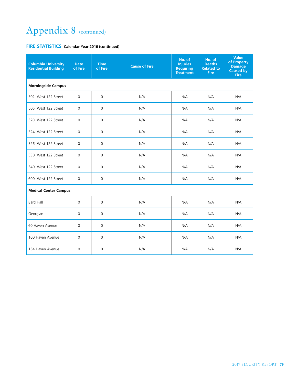| <b>Columbia University</b><br><b>Residential Building</b> | <b>Date</b><br>of Fire | <b>Time</b><br>of Fire | <b>Cause of Fire</b> | No. of<br><b>Injuries</b><br><b>Requiring</b><br><b>Treatment</b> | No. of<br><b>Deaths</b><br><b>Related to</b><br><b>Fire</b> | <b>Value</b><br>of Property<br><b>Damage</b><br><b>Caused by</b><br><b>Fire</b> |  |  |  |
|-----------------------------------------------------------|------------------------|------------------------|----------------------|-------------------------------------------------------------------|-------------------------------------------------------------|---------------------------------------------------------------------------------|--|--|--|
| <b>Morningside Campus</b>                                 |                        |                        |                      |                                                                   |                                                             |                                                                                 |  |  |  |
| 502 West 122 Street                                       | $\mathbf 0$            | $\mathbf 0$            | N/A                  | N/A                                                               | N/A                                                         | N/A                                                                             |  |  |  |
| 506 West 122 Street                                       | $\mathbf 0$            | $\Omega$               | N/A                  | N/A                                                               | N/A                                                         | N/A                                                                             |  |  |  |
| 520 West 122 Street                                       | $\mathbf 0$            | $\mathbf 0$            | N/A                  | N/A                                                               | N/A                                                         | N/A                                                                             |  |  |  |
| 524 West 122 Street                                       | 0                      | $\Omega$               | N/A                  | N/A                                                               | N/A                                                         | N/A                                                                             |  |  |  |
| 526 West 122 Street                                       | $\Omega$               | $\mathbf 0$            | N/A                  | N/A                                                               | N/A                                                         | N/A                                                                             |  |  |  |
| 530 West 122 Street                                       | $\mathbf 0$            | $\mathbf 0$            | N/A                  | N/A                                                               | N/A                                                         | N/A                                                                             |  |  |  |
| 540 West 122 Street                                       | $\mathbf 0$            | $\mathbf 0$            | N/A                  | N/A                                                               | N/A                                                         | N/A                                                                             |  |  |  |
| 600 West 122 Street                                       | $\Omega$               | $\Omega$               | N/A                  | N/A                                                               | N/A                                                         | N/A                                                                             |  |  |  |
| <b>Medical Center Campus</b>                              |                        |                        |                      |                                                                   |                                                             |                                                                                 |  |  |  |
| <b>Bard Hall</b>                                          | $\mathbf 0$            | $\mathbf 0$            | N/A                  | N/A                                                               | N/A                                                         | N/A                                                                             |  |  |  |
| Georgian                                                  | $\mathbf 0$            | $\mathbf 0$            | N/A                  | N/A                                                               | N/A                                                         | N/A                                                                             |  |  |  |
| 60 Haven Avenue                                           | 0                      | $\mathbf 0$            | N/A                  | N/A                                                               | N/A                                                         | N/A                                                                             |  |  |  |
| 100 Haven Avenue                                          | 0                      | 0                      | N/A                  | N/A                                                               | N/A                                                         | N/A                                                                             |  |  |  |
| 154 Haven Avenue                                          | 0                      | $\Omega$               | N/A                  | N/A                                                               | N/A                                                         | N/A                                                                             |  |  |  |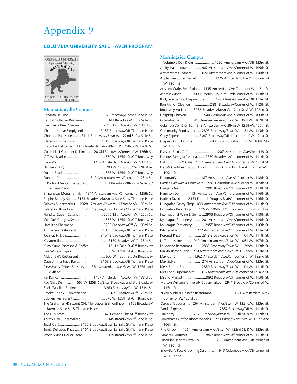### Appendix 9

#### **COLUMBIA UNIVERSITY SAFE HAVEN PROGRAM**



#### **Manhattanville Campus**

| Bahama Deli Inc.  3137 Broadway/Corner La Salle St.                   |  |
|-----------------------------------------------------------------------|--|
| Bettolona Italian Restaurant 3143 Broadway/Off La Salle St.           |  |
| Bierstrasse Beer Garden  2346 12th Ave./Off W. 133rd St.              |  |
| Chapati House Simply Indian 3153 Broadway/Off Tiemann Place           |  |
| Chokolat Patisserie3111 Broadway /Btwn W. 122nd St./La Salle St.      |  |
| Claremont Chemists  3181 Broadway/Off Tiemann Place                   |  |
| Columbia Deli & Grill1348 Amsterdam Ave./Btwn W. 125th & W. 126th St. |  |
| Columbia 1 Gourmet Deli Inc.  20 Old Broadway/Corner of W. 126th St.  |  |
|                                                                       |  |
|                                                                       |  |
|                                                                       |  |
|                                                                       |  |
| Dunkin' Donuts1342 Amsterdam Ave./Corner of 125th St.                 |  |
| El Porton Mexican Restaurant3151 Broadway/Btwn La Salle St./          |  |
| <b>Tiemann Place</b>                                                  |  |
| Empanadas Monumental 1344 Amsterdam Ave. / Off corner of 125th St.    |  |
| Empire Beauty Spa  3153 Broadway/Btwn La Salle St. & Tiemann Place    |  |
| Fairway Supermarket . 2328 12th Ave./Btwn W. 132nd St./W. 133th St.   |  |
| Falafel on Broadway3151 Broadway/Btwn La Salle St./Tiemann Place      |  |
| Floridita Cuban Cuisine  2276 12th Ave./Off W. 125th St.              |  |
| Go! Go! Curry! USA 567 W. 125th St./Off Broadway                      |  |
| Hamilton Pharmacy3293 Broadway/Off W. 133rd St.                       |  |
| Jin Ramen Restaurant  3183 Broadway/Off Tiemann Place                 |  |
|                                                                       |  |
|                                                                       |  |
| Kuro Kuma Espresso & Coffee121 La Salle St./Off Broadway              |  |
| Lala Wine & Liquor 566 W. 125th St./Off Broadway                      |  |
| McDonald's Restaurant  600 W. 125th St./On Broadway                   |  |
| Oasis Jimma Juice Bar  3163 Broadway/Off Tiemann Place                |  |
| Plowshares Coffee Roasters1351 Amsterdam Ave./Btwn W. 125th and       |  |
| 126th St.                                                             |  |
| Rai Rai Ken 1467 Amsterdam Ave./Off W. 133rd St.                      |  |
| Red Olive Deli 567 W. 125th St./Btwn Broadway and Old Broadway        |  |
| Shell Gasoline Station  3260 Broadway/Off W. 131st St.                |  |
| Smoke Shop & Convenience  3189 Broadway/Off 125th St.                 |  |
| Subway Restaurant 578 W. 125th St./Off Broadway                       |  |
| The Craftsman (Discount ONLY for Juices & Smoothies) 3155 Broadway/   |  |
| Btwn La Salle St. & Tiemann Place                                     |  |
|                                                                       |  |
| Thrifty Deli Supermarket 3149 Broadway/Off La Salle St.               |  |
| Toast Café3157 Broadway/Btwn La Salle St./Tiemann Place               |  |
| Tom's Delicious Pizza 3161 Broadway/Btwn La Salle St./Tiemann Place   |  |
| World Wines Liquor Store 3139 Broadway/Off La Salle St.               |  |
|                                                                       |  |

#### **Morningside Campus**

|              | 1 Columbia Deli & Grill 1290 Amsterdam Ave./Off 123rd St.           |
|--------------|---------------------------------------------------------------------|
|              | Amity Hall Uptown 982 Amsterdam Ave./Corner of W. 109th St.         |
|              | Amsterdam Cleaners1022 Amsterdam Ave./Corner of W. 110th St.        |
|              | Apple Tree Supermarket 1225 Amsterdam Ave./On corner of             |
| W. 120th St. |                                                                     |
|              | Arts and Crafts Reer Parlor 1135 Amsterdam Ave Corner of W 116th St |

Arts and Crafts Beer Parlor..... 1135 Amsterdam Ave./Corner of W. 116th St. Atomic Wings........... 2090 Fredrick Douglas Blvd/Corner of W. 113th St. Body Mechanics Acupuncture ...........1270 Amsterdam Ave/Off 123rd St. Bon French Cleaners...................2881 Broadway/Corner of W. 112th St. Broadway Au Lait.......3072 Broadway/Btwn W. 121st St. & W. 122nd St. Chirping Chicken..................940 Columbus Ave./Corner of W. 106th St. Columbia Deli............ 945 Amsterdam Ave./Btwn W. 106th/W. 107th St. Columbia Deli & Grill.....1348 Amsterdam Ave./Btwn W. 125th/W. 126th St. Community Food & Juice ... 2893 Broadway/Btwn W. 112th/W. 113th St. Copy Experts.................... 3062 Broadway/Off the corner of W. 121st St. Crepes On Columbus..................990 Columbus Ave./Btwn W. 108th St./ W. 109th St.

Elyssian Fields Café ...........................1207 Amsterdam Ave/West 119 St. Famous Famiglia Pizzeria........ 2859 Broadway/On corner of W. 111th St. Flat Top Bistro & Café... 1241 Amsterdam Ave./On corner of W. 121st St. Freda's Caribbean & Soul Food..........993 Columbus Ave./Off corner W. 109th St.

Friedman's .......................1187 Amsterdam Ave./Off corner W. 118th St. Garcia's Hardware & Houseware ....995 Columbus Ave./Corner W. 109th St. Haagen-Dazs .........................2905 Broadway/Off corner of W. 113th St. Hamilton Deli........ 1131 Amsterdam Ave./Off the corner of W. 116th St. Harlem Tavern ..... 2153 Fredrick Douglas Blvd/On corner of W. 116th St. Hungarian Pastry Shop 1030 Amsterdam Ave./Off corner of W. 111th St. Innovative Bike Shop........105 W. 106th St./Off corner of Columbus Ave. International Wine & Spirits ...2903 Broadway/Off corner of W. 113th St. Ivy League Stationery ........1201 Amsterdam Ave./Corner of W. 119th St. Ivy League Stationery .............2955 Broadway/Off corner of W. 116th St. Kitchenette................. 1272 Amsterdam Ave./Off corner of W. 123rd St. Koronet Pizza..................... 2848 Broadway/Btwn W. 110th/W. 111th St. La Toulousaine ........... 942 Amsterdam Ave./Btwn W. 106th/W. 107th St. Le Monde Restaurant......... 2885 Broadway/Btwn W. 112th/W. 113th St. Malvin Barber Shop. 1270 Amsterdam Ave./Btwn W. 122nd/W. 123rd St. Max Caffé...................1262 Amsterdam Ave./Off corner of W. 122nd St. Max SoHa.........................1274 Amsterdam Ave./Corner of W. 123rd St. Mel's Burger Bar................. 2850 Broadway/Btwn W. 110th/W. 111th St. Met Food Supermarket ... 1316 Amsterdam Ave./Off corner of LaSalle St. Milano Market.......................2892 Broadway/Off corner of W. 113th St. Morton Williams University Supermarket ... 2941 Broadway/Corner of W. 115th St. Nikko Sushi & Chinese Restaurant ......................1280 Amsterdam Ave./ Corner of W. 123rd St. Oaxaca Taqueria ..... 1264 Amsterdam Ave./Btwn W. 122nd/W. 123rd St. Panda Express.......................................2852 Broadway/Off W. 111th St. Pinkberry...................2873 Broadway/Btwn W. 111th St. & W. 112th St. Plowshares Coffee Bloomingdales ...2730 Broadway/Btwn W. 105th and 106th St. Rite Check......1264 Amsterdam Ave./Btwn W. 122nd St. & W. 123rd St. Samad's Gourmet..................2867 Broadway/Off corner of W. 111th St. Sliced by Harlem Pizza Co................1215 Amsterdam Ave./Off corner of W. 120th St. SnowBall's Pets Grooming Salon..........943 Columbus Ave./Off corner of W. 106th St.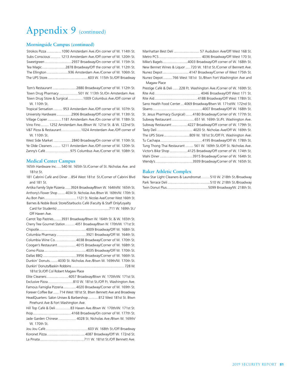#### **Morningside Campus (continued)**

| Strokos Pizza 1090 Amsterdam Ave./On corner of W. 114th St.    |  |
|----------------------------------------------------------------|--|
| Subs Conscious  1213 Amsterdam Ave./Off corner of W. 120th St. |  |
|                                                                |  |
|                                                                |  |
|                                                                |  |
|                                                                |  |
|                                                                |  |

|              | Town Drug Pharmacy 501 W. 113th St./On Amsterdam Ave.             |
|--------------|-------------------------------------------------------------------|
|              | Town Drug Store & Surgical 1009 Columbus Ave./Off corner of       |
| W. 110th St. |                                                                   |
|              | Tropical Sensation  953 Amsterdam Ave./Off corner of W. 107th St. |

University Hardware...............2906 Broadway/Off corner of W. 113th St. Village Copier..............1181 Amsterdam Ave./On corner of W. 118th St. Vino Fino ........ 1252 Amsterdam Ave./Btwn W. 121st St. & W. 122nd St. V&T Pizza & Restaurant....................1024 Amsterdam Ave./Off corner of W. 110th St.

West Side Market .................. 2840 Broadway/On corner of W. 110th St. Ye Olde Cleaners ........ 1211 Amsterdam Ave./Off corner of W. 120th St. Zanny's Café .........................975 Columbus Ave./Corner of W. 108th St.

#### **Medical Center Campus**

165th Hardware Inc. ....540 W. 165th St./Corner of St. Nicholas Ave. and 181st St.

181 Cabrini Café and Diner ...854 West 181st St./Corner of Cabrini Blvd and 181 St.

Antika Family Style Pizzeria ......3924 Broadway/Btwn W. 164th/W. 165th St. Anthony's Flower Shop ........ 4034 St. Nicholas Ave./Btwn W. 169th/W. 170th St. Au Bon Pain..................................... 1121 St. Nicolas Ave/Corner West 166th St. Barnes & Noble Book Store/Starbucks Café (Faculty & Staff Only/Loyalty Card for Students) .......................................................711 W. 169th St./

| Off Haven Ave.                       |                                                                      |  |
|--------------------------------------|----------------------------------------------------------------------|--|
|                                      | Carrot Top Pastries 3931 Broadway/Btwn W. 164th St. & W. 165th St.   |  |
|                                      | Cherry Tree Gourmet Station 4051 Broadway/Btwn W. 170th/W. 171st St. |  |
|                                      |                                                                      |  |
|                                      | Columbia Pharmacy3921 Broadway/Off W. 164th St.                      |  |
|                                      | Columbia Wine Co. 4038 Broadway/Corner of W. 170th St.               |  |
|                                      | Coogan's Restaurant 4015 Broadway/Corner of W. 168th St.             |  |
|                                      |                                                                      |  |
|                                      |                                                                      |  |
|                                      | Dunkin' Donuts 4030 St. Nicholas Ave./Btwn W. 169th/W. 170th St.     |  |
|                                      |                                                                      |  |
| 181st St./Off Col Robert Magaw Place |                                                                      |  |
|                                      | Flite Cleaners 4057 Broadway/Btwn W 170th M 171st St                 |  |

Elite Cleaners......................4057 Broadway/Btwn W. 170th/W. 171st St. Exclusive Pizza..........................810 W. 181st St./Off Ft. Washington Ave. Famous Famiglia Pizzeria.............4020 Broadway/Corner of W. 169th St. Forever Coffee Bar ...... 714 West 181st St. Btwn Bennett Ave and Broadway HeadQuarters: Salon Unisex & Barbershop .......... 812 West 181st St. Btwn Pinehurst Ave & Fort Washington Ave.

Hill Top Café & Deli...............83 Haven Ave./Btwn W. 170th/W. 171st St. Ihop....................................... 4168 Broadway/On corner of W. 177th St. Jade Garden Chinese .................. 4028 St. Nicholas Ave./Btwn W. 169th/ W. 170th St.

|             | Manhattan Best Deli  57 Audubon Ave/Off West 168 St.                 |
|-------------|----------------------------------------------------------------------|
|             |                                                                      |
|             | Mike's Bagels 4003 Broadway/Off corner of W. 168th St.               |
|             | New Bennet Wines & Liquor  720 W. 181st St./Corner of Bennett Ave.   |
|             | Nunez Depot  4147 Broadway/Corner of West 175th St.                  |
|             | Nunez Depot 766 West 181st St./Btwn Fort Washington Ave and          |
| Magaw Place |                                                                      |
|             | Prestige Café & Deli  228 Ft. Washington Ave./Corner of W. 169th St. |
|             |                                                                      |
|             |                                                                      |
|             | Sano Health Food Center 4069 Broadway/Btwn W. 171st/W. 172nd St.     |
|             |                                                                      |
|             | St. Jesus Pharmacy (Surgical)4180 Broadway/Corner of W. 177th St.    |
|             | Subway Restaurant  651 W. 169th St./Ft. Washington Ave.              |
|             | Subway Restaurant 4227 Broadway/Off corner of W. 179th St.           |
|             |                                                                      |
|             | The UPS Store 809 W. 181st St./Off Ft. Washington Ave.               |
|             |                                                                      |
|             | Tung Thong Thai Restaurant  561 W. 169th St./Off St. Nicholas Ave.   |
|             | Victor's Bike Shop 4125 Broadway/Off corner of W. 174th St.          |
|             |                                                                      |
|             |                                                                      |

#### **Baker Athletic Complex**

| New Star Light Cleaners & Laundromat510 W. 218th St./Broadway |
|---------------------------------------------------------------|
|                                                               |
|                                                               |